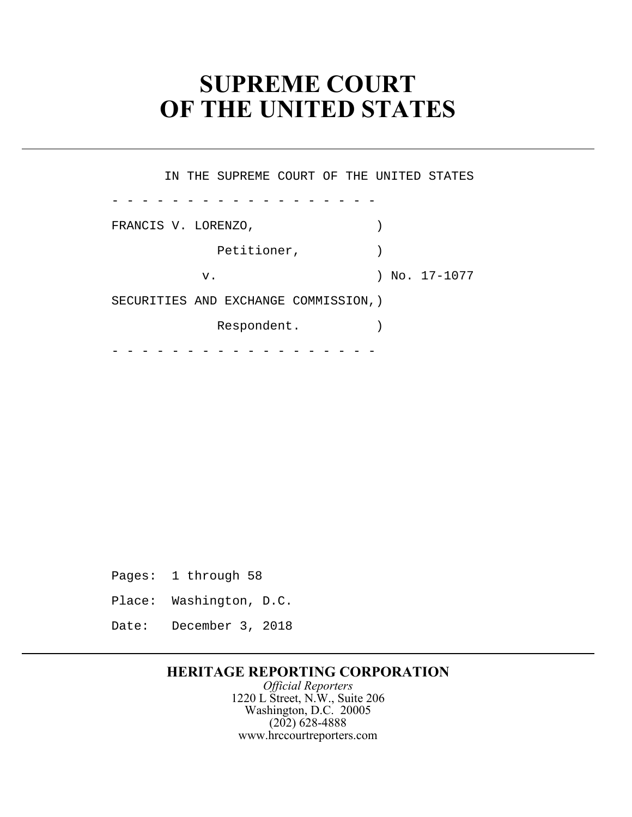# **SUPREME COURT** � **OF THE UNITED STATES**

- - - - - - - - - - - - - - - - - - FRANCIS V. LORENZO,  $($  SECURITIES AND EXCHANGE COMMISSION,) - - - - - - - - - - - - - - - - - - IN THE SUPREME COURT OF THE UNITED STATES Petitioner,  $)$ v. ) No. 17-1077 Respondent.

- Pages: 1 through 58
- Place: Washington, D.C.
- Date: December 3, 2018

## **HERITAGE REPORTING CORPORATION**

*Official Reporters*  1220 L Street, N.W., Suite 206 Washington, D.C. 20005 (202) 628-4888 www.hrccourtreporters.com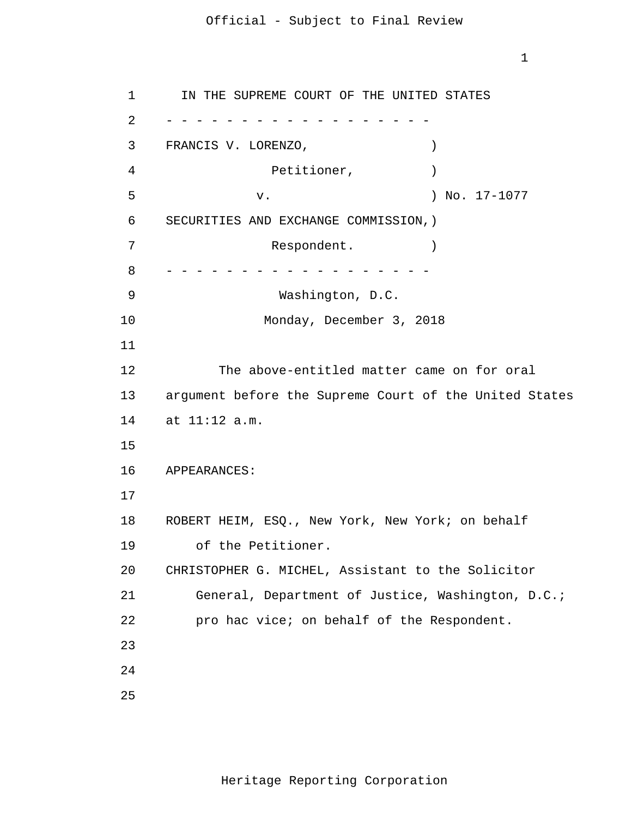1

 1 2 - - - - - - - - - - - - - - - - - - 3 4 **5 5**  6 7 8 - - - - - - - - - - - - - - - - - - 9 10 11 12 13 14 at 11:12 a.m. 15 16 17 18 19 20 21 22 23 24 25 IN THE SUPREME COURT OF THE UNITED STATES FRANCIS V. LORENZO,  $($ Petitioner,  $)$ v. 17-1077 SECURITIES AND EXCHANGE COMMISSION,) Respondent. Washington, D.C. Monday, December 3, 2018 The above-entitled matter came on for oral argument before the Supreme Court of the United States APPEARANCES: ROBERT HEIM, ESQ., New York, New York; on behalf of the Petitioner. CHRISTOPHER G. MICHEL, Assistant to the Solicitor General, Department of Justice, Washington, D.C.; pro hac vice; on behalf of the Respondent.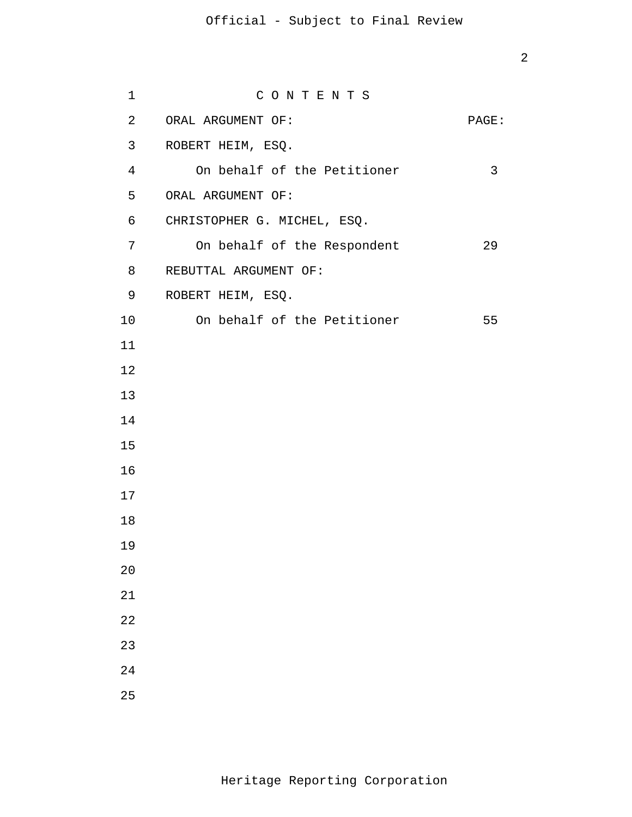| $\mathbf 1$    | CONTENTS                    |       |
|----------------|-----------------------------|-------|
| $\overline{a}$ | ORAL ARGUMENT OF:           | PAGE: |
| 3              | ROBERT HEIM, ESQ.           |       |
| 4              | On behalf of the Petitioner | 3     |
| 5              | ORAL ARGUMENT OF:           |       |
| 6              | CHRISTOPHER G. MICHEL, ESQ. |       |
| 7              | On behalf of the Respondent | 29    |
| 8              | REBUTTAL ARGUMENT OF:       |       |
| 9              | ROBERT HEIM, ESQ.           |       |
| 10             | On behalf of the Petitioner | 55    |
| 11             |                             |       |
| 12             |                             |       |
| 13             |                             |       |
| 14             |                             |       |
| 15             |                             |       |
| 16             |                             |       |
| 17             |                             |       |
| 18             |                             |       |
| 19             |                             |       |
| 20             |                             |       |
| 21             |                             |       |
| 22             |                             |       |
| 23             |                             |       |
| 24             |                             |       |
| 25             |                             |       |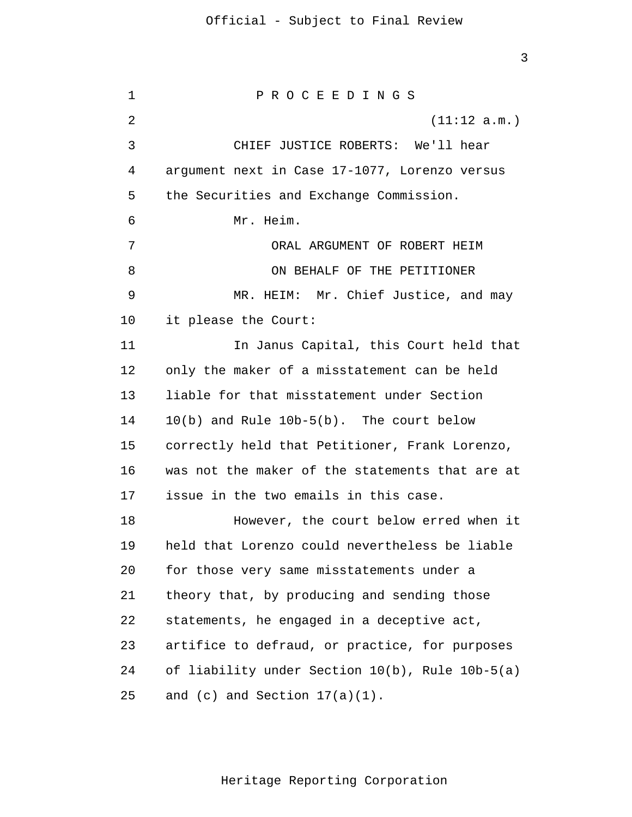10(b) and Rule 10b-5(b). The court below for those very same misstatements under a 1 2 3 4 5 6 7 8 9 10 11 12 13 14 15 16 17 18 19 20 21 22 23 24 25 P R O C E E D I N G S (11:12 a.m.) CHIEF JUSTICE ROBERTS: We'll hear argument next in Case 17-1077, Lorenzo versus the Securities and Exchange Commission. Mr. Heim. ORAL ARGUMENT OF ROBERT HEIM ON BEHALF OF THE PETITIONER MR. HEIM: Mr. Chief Justice, and may it please the Court: In Janus Capital, this Court held that only the maker of a misstatement can be held liable for that misstatement under Section correctly held that Petitioner, Frank Lorenzo, was not the maker of the statements that are at issue in the two emails in this case. However, the court below erred when it held that Lorenzo could nevertheless be liable theory that, by producing and sending those statements, he engaged in a deceptive act, artifice to defraud, or practice, for purposes of liability under Section 10(b), Rule 10b-5(a) and  $(c)$  and Section  $17(a)(1)$ .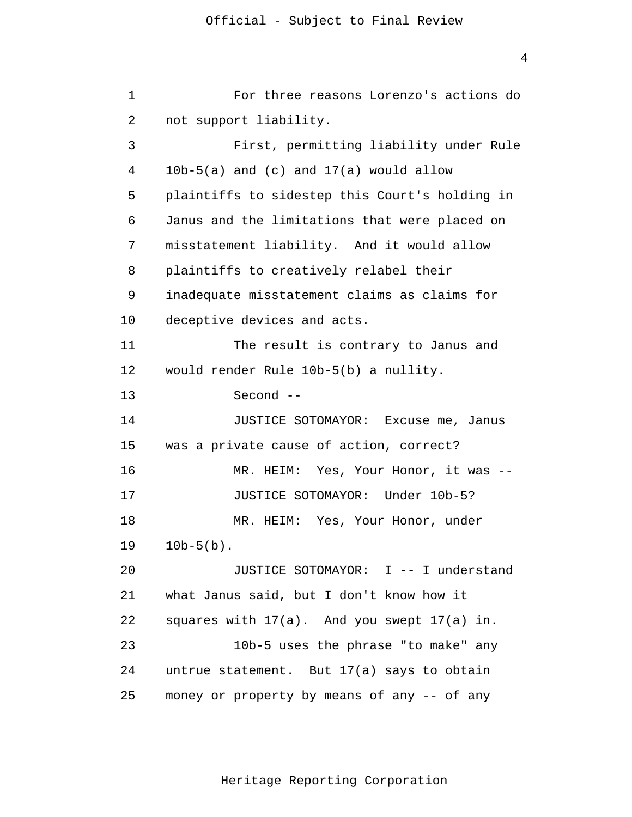JUSTICE SOTOMAYOR: Excuse me, Janus 1 2 3 4 5 6 7 8 9 10 11 12 13 14 15 16 17 18 19 20 21 22 23  $2.4$ 25 For three reasons Lorenzo's actions do not support liability. First, permitting liability under Rule  $10b-5(a)$  and  $(c)$  and  $17(a)$  would allow plaintiffs to sidestep this Court's holding in Janus and the limitations that were placed on misstatement liability. And it would allow plaintiffs to creatively relabel their inadequate misstatement claims as claims for deceptive devices and acts. The result is contrary to Janus and would render Rule 10b-5(b) a nullity.  $Second$   $-$ was a private cause of action, correct? MR. HEIM: Yes, Your Honor, it was --JUSTICE SOTOMAYOR: Under 10b-5? MR. HEIM: Yes, Your Honor, under  $10b-5(b)$ . JUSTICE SOTOMAYOR: I -- I understand what Janus said, but I don't know how it squares with 17(a). And you swept 17(a) in. 10b-5 uses the phrase "to make" any untrue statement. But 17(a) says to obtain money or property by means of any -- of any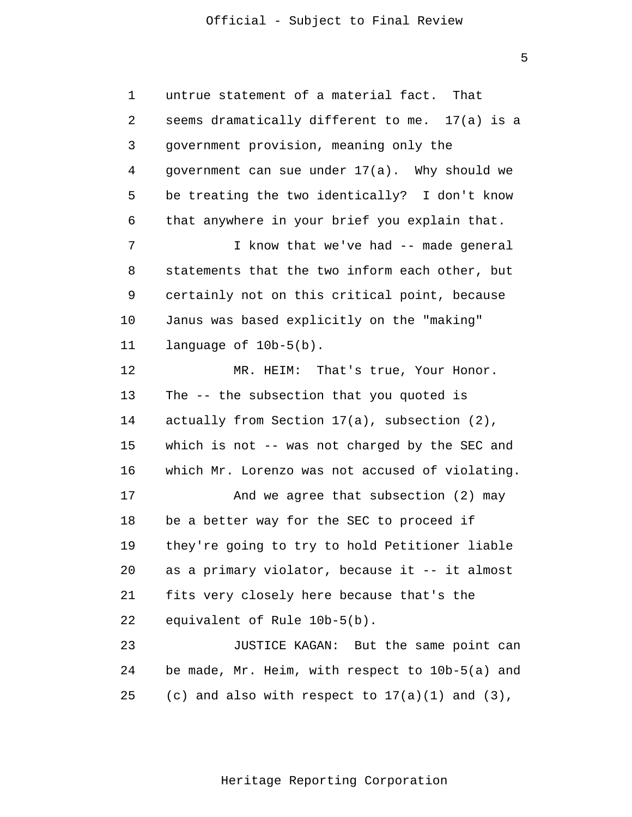1 2 3 4 5 6 7 8 9 10 11 12 13 14 15 16 17 18 19 20 21 22 23 untrue statement of a material fact. That seems dramatically different to me. 17(a) is a government provision, meaning only the government can sue under 17(a). Why should we be treating the two identically? I don't know that anywhere in your brief you explain that. I know that we've had -- made general statements that the two inform each other, but certainly not on this critical point, because Janus was based explicitly on the "making" language of 10b-5(b). MR. HEIM: That's true, Your Honor. The -- the subsection that you quoted is actually from Section 17(a), subsection (2), which is not -- was not charged by the SEC and which Mr. Lorenzo was not accused of violating. And we agree that subsection (2) may be a better way for the SEC to proceed if they're going to try to hold Petitioner liable as a primary violator, because it -- it almost fits very closely here because that's the equivalent of Rule 10b-5(b). JUSTICE KAGAN: But the same point can

 $2.4$ 25 be made, Mr. Heim, with respect to 10b-5(a) and (c) and also with respect to  $17(a)(1)$  and  $(3)$ ,

5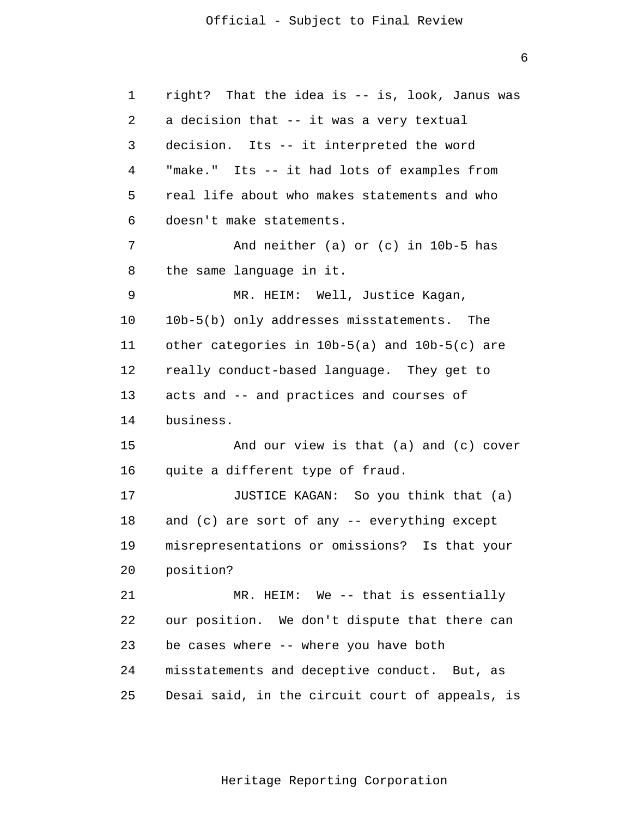1 2 3 4 5 6 7 8 9 10 11 12 13 14 15 16 17 18 19 20 21 22 23 24 25 right? That the idea is -- is, look, Janus was a decision that -- it was a very textual decision. Its -- it interpreted the word "make." Its -- it had lots of examples from real life about who makes statements and who doesn't make statements. And neither (a) or (c) in 10b-5 has the same language in it. MR. HEIM: Well, Justice Kagan, 10b-5(b) only addresses misstatements. The other categories in 10b-5(a) and 10b-5(c) are really conduct-based language. They get to acts and -- and practices and courses of business. And our view is that (a) and (c) cover quite a different type of fraud. JUSTICE KAGAN: So you think that (a) and (c) are sort of any -- everything except misrepresentations or omissions? Is that your position? MR. HEIM: We -- that is essentially our position. We don't dispute that there can be cases where -- where you have both misstatements and deceptive conduct. But, as Desai said, in the circuit court of appeals, is

Heritage Reporting Corporation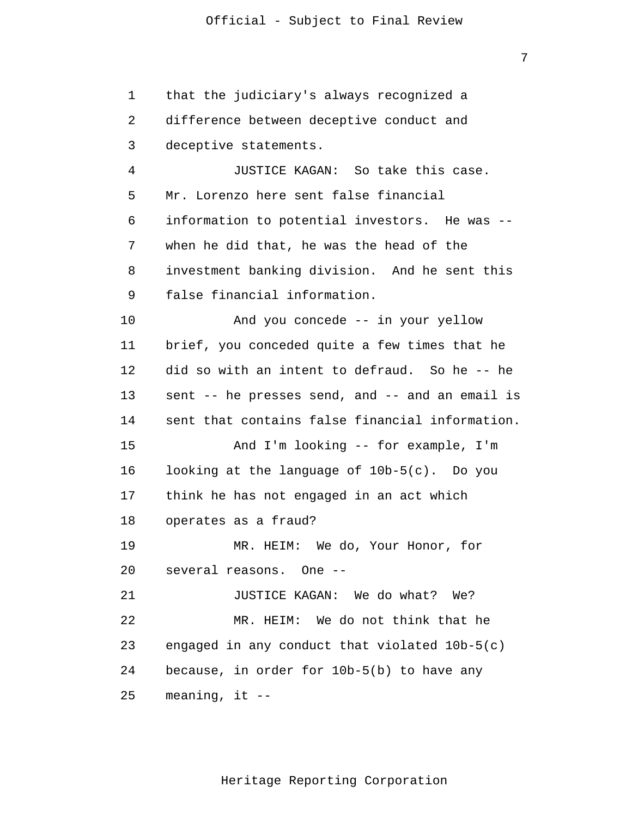1 2 3 4 5 6 7 8 9 10 11 12 13 14 15 16 17 18 19 20 21 22 23 24 25 that the judiciary's always recognized a difference between deceptive conduct and deceptive statements. JUSTICE KAGAN: So take this case. Mr. Lorenzo here sent false financial information to potential investors. He was when he did that, he was the head of the investment banking division. And he sent this false financial information. And you concede -- in your yellow brief, you conceded quite a few times that he did so with an intent to defraud. So he -- he sent -- he presses send, and -- and an email is sent that contains false financial information. And I'm looking -- for example, I'm looking at the language of 10b-5(c). Do you think he has not engaged in an act which operates as a fraud? MR. HEIM: We do, Your Honor, for several reasons. One - JUSTICE KAGAN: We do what? We? MR. HEIM: We do not think that he engaged in any conduct that violated 10b-5(c) because, in order for 10b-5(b) to have any meaning, it  $--$ 

Heritage Reporting Corporation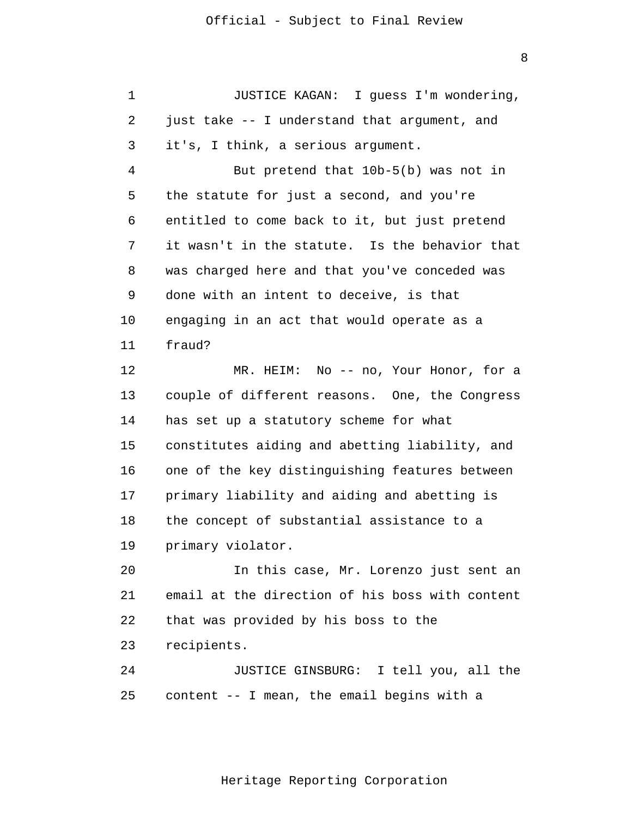1 2 3 4 5 6 7 8 9 10 11 JUSTICE KAGAN: I guess I'm wondering, just take -- I understand that argument, and it's, I think, a serious argument. But pretend that 10b-5(b) was not in the statute for just a second, and you're entitled to come back to it, but just pretend it wasn't in the statute. Is the behavior that was charged here and that you've conceded was done with an intent to deceive, is that engaging in an act that would operate as a fraud?

12 13 14 15 16 17 18 19 MR. HEIM: No -- no, Your Honor, for a couple of different reasons. One, the Congress has set up a statutory scheme for what constitutes aiding and abetting liability, and one of the key distinguishing features between primary liability and aiding and abetting is the concept of substantial assistance to a primary violator.

20 21 22 23 In this case, Mr. Lorenzo just sent an email at the direction of his boss with content that was provided by his boss to the recipients.

24 25 JUSTICE GINSBURG: I tell you, all the content -- I mean, the email begins with a

Heritage Reporting Corporation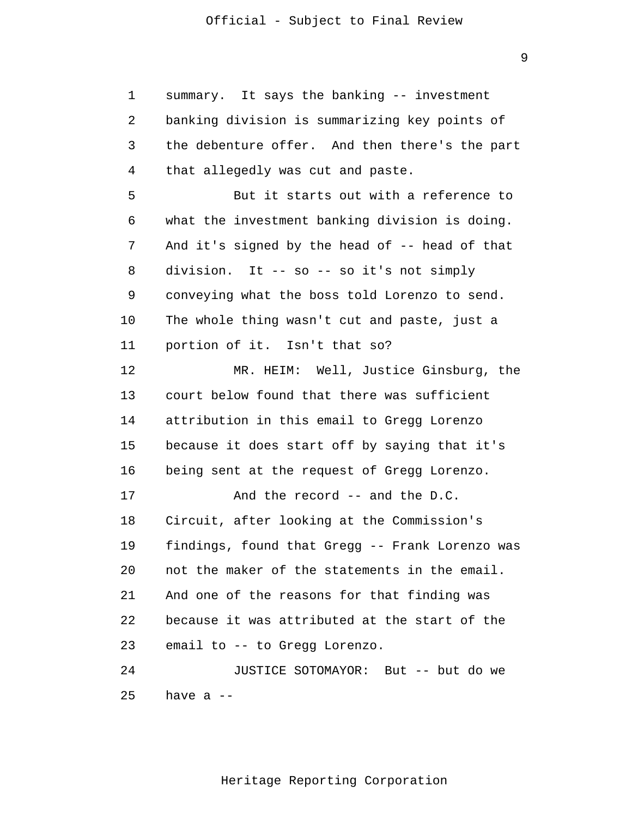1 2 3 4 5 6 7 8 9 10 11 12 13 14 15 16 17 18 19 20 21 22 23 24 25 summary. It says the banking -- investment banking division is summarizing key points of the debenture offer. And then there's the part that allegedly was cut and paste. But it starts out with a reference to what the investment banking division is doing. And it's signed by the head of -- head of that division. It -- so -- so it's not simply conveying what the boss told Lorenzo to send. The whole thing wasn't cut and paste, just a portion of it. Isn't that so? MR. HEIM: Well, Justice Ginsburg, the court below found that there was sufficient attribution in this email to Gregg Lorenzo because it does start off by saying that it's being sent at the request of Gregg Lorenzo. And the record -- and the D.C. Circuit, after looking at the Commission's findings, found that Gregg -- Frank Lorenzo was not the maker of the statements in the email. And one of the reasons for that finding was because it was attributed at the start of the email to -- to Gregg Lorenzo. JUSTICE SOTOMAYOR: But -- but do we have  $a$  --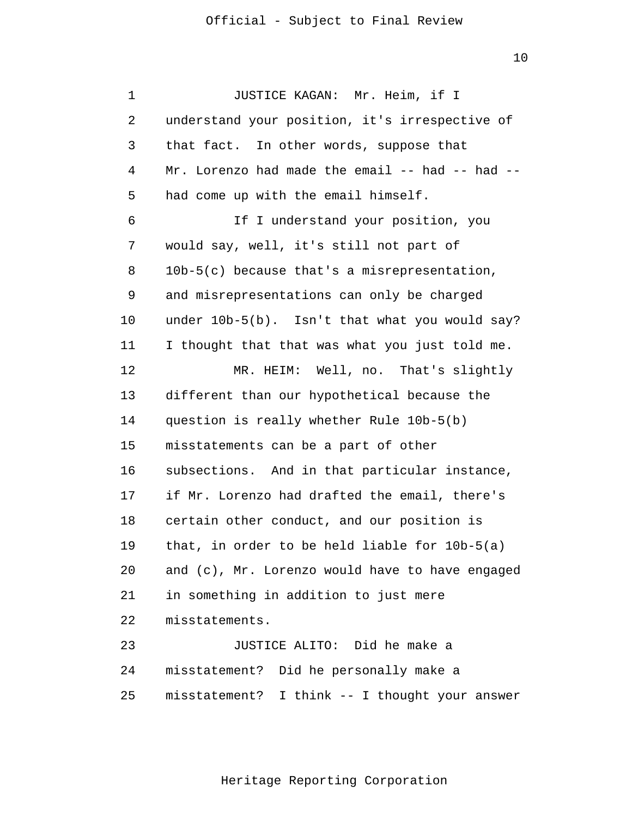1 2 3 4 5 6 7 8 9 10 11 12 13 14 15 16 17 18 19 20 21 22 23  $2.4$ 25 JUSTICE KAGAN: Mr. Heim, if I understand your position, it's irrespective of that fact. In other words, suppose that Mr. Lorenzo had made the email -- had -- had -had come up with the email himself. If I understand your position, you would say, well, it's still not part of 10b-5(c) because that's a misrepresentation, and misrepresentations can only be charged under 10b-5(b). Isn't that what you would say? I thought that that was what you just told me. MR. HEIM: Well, no. That's slightly different than our hypothetical because the question is really whether Rule 10b-5(b) misstatements can be a part of other subsections. And in that particular instance, if Mr. Lorenzo had drafted the email, there's certain other conduct, and our position is that, in order to be held liable for 10b-5(a) and (c), Mr. Lorenzo would have to have engaged in something in addition to just mere misstatements. JUSTICE ALITO: Did he make a misstatement? Did he personally make a misstatement? I think -- I thought your answer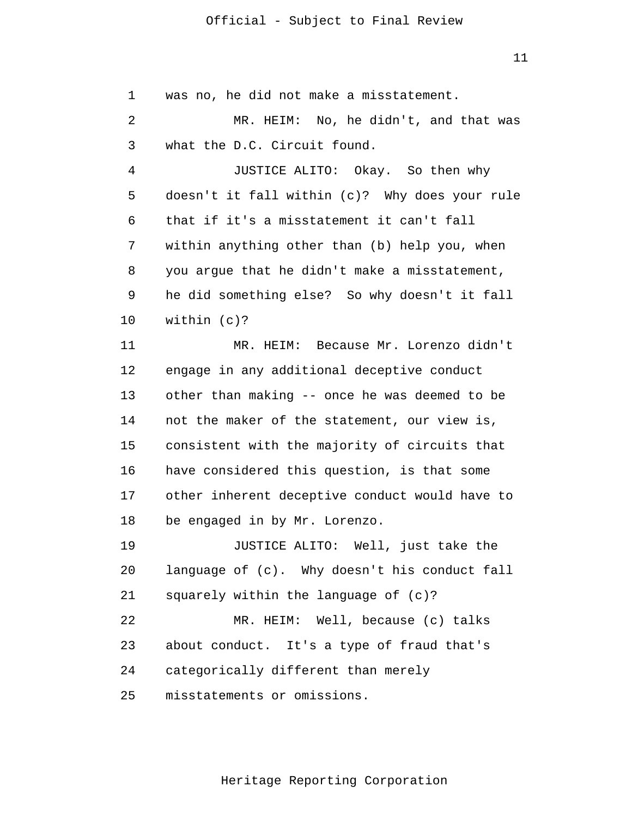11

1 2 3 4 5 6 7 8 9 10 11 12 13 14 15 16 17 18 19 20 21 22 23 24 25 was no, he did not make a misstatement. MR. HEIM: No, he didn't, and that was what the D.C. Circuit found. JUSTICE ALITO: Okay. So then why doesn't it fall within (c)? Why does your rule that if it's a misstatement it can't fall within anything other than (b) help you, when you argue that he didn't make a misstatement, he did something else? So why doesn't it fall within (c)? MR. HEIM: Because Mr. Lorenzo didn't engage in any additional deceptive conduct other than making -- once he was deemed to be not the maker of the statement, our view is, consistent with the majority of circuits that have considered this question, is that some other inherent deceptive conduct would have to be engaged in by Mr. Lorenzo. JUSTICE ALITO: Well, just take the language of (c). Why doesn't his conduct fall squarely within the language of (c)? MR. HEIM: Well, because (c) talks about conduct. It's a type of fraud that's categorically different than merely misstatements or omissions.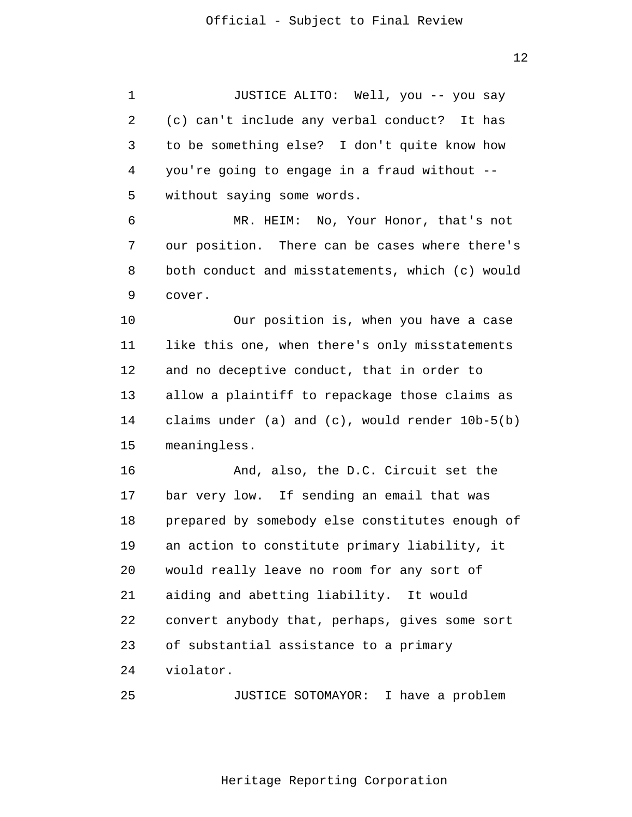1 2 3 4 5 6 7 8 9 10 11 12 13 14 15 16 17 18 19 20 21 22 23 24 JUSTICE ALITO: Well, you -- you say (c) can't include any verbal conduct? It has to be something else? I don't quite know how you're going to engage in a fraud without without saying some words. MR. HEIM: No, Your Honor, that's not our position. There can be cases where there's both conduct and misstatements, which (c) would cover. Our position is, when you have a case like this one, when there's only misstatements and no deceptive conduct, that in order to allow a plaintiff to repackage those claims as claims under (a) and (c), would render 10b-5(b) meaningless. And, also, the D.C. Circuit set the bar very low. If sending an email that was prepared by somebody else constitutes enough of an action to constitute primary liability, it would really leave no room for any sort of aiding and abetting liability. It would convert anybody that, perhaps, gives some sort of substantial assistance to a primary violator.

25 JUSTICE SOTOMAYOR: I have a problem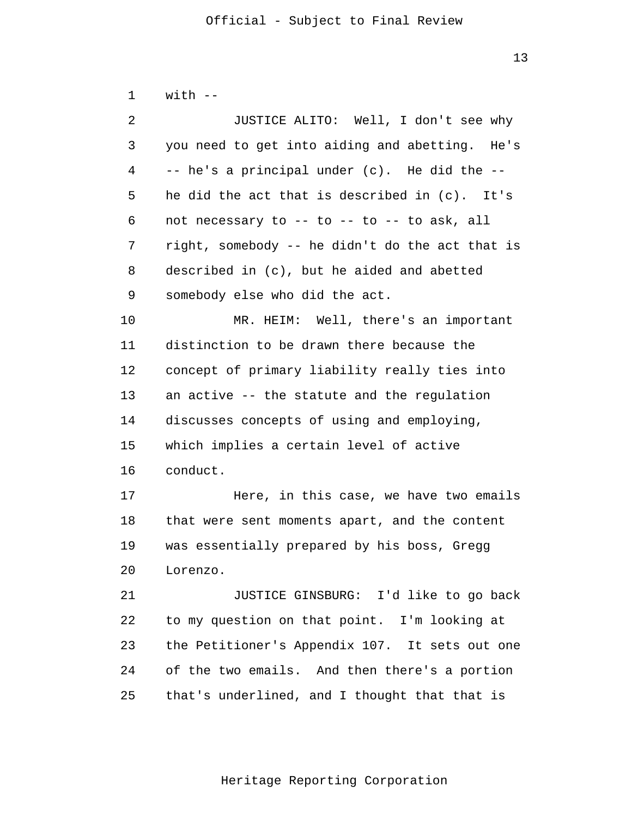| $\mathbf 1$ | $with --$                                       |  |  |
|-------------|-------------------------------------------------|--|--|
| 2           | JUSTICE ALITO: Well, I don't see why            |  |  |
| 3           | you need to get into aiding and abetting. He's  |  |  |
| 4           | -- he's a principal under (c). He did the --    |  |  |
| 5           | he did the act that is described in (c). It's   |  |  |
| 6           | not necessary to -- to -- to -- to ask, all     |  |  |
| 7           | right, somebody -- he didn't do the act that is |  |  |
| 8           | described in (c), but he aided and abetted      |  |  |
| 9           | somebody else who did the act.                  |  |  |
| 10          | MR. HEIM: Well, there's an important            |  |  |
| 11          | distinction to be drawn there because the       |  |  |
| 12          | concept of primary liability really ties into   |  |  |
| 13          | an active -- the statute and the regulation     |  |  |
| 14          | discusses concepts of using and employing,      |  |  |
| 15          | which implies a certain level of active         |  |  |
| 16          | conduct.                                        |  |  |
| 17          | Here, in this case, we have two emails          |  |  |
| 18          | that were sent moments apart, and the content   |  |  |
| 19          | was essentially prepared by his boss, Gregg     |  |  |
| 20          | Lorenzo.                                        |  |  |
| 21          | JUSTICE GINSBURG: I'd like to go back           |  |  |
| 22          | to my question on that point. I'm looking at    |  |  |
| 23          | the Petitioner's Appendix 107. It sets out one  |  |  |
| 24          | of the two emails. And then there's a portion   |  |  |
| 25          | that's underlined, and I thought that that is   |  |  |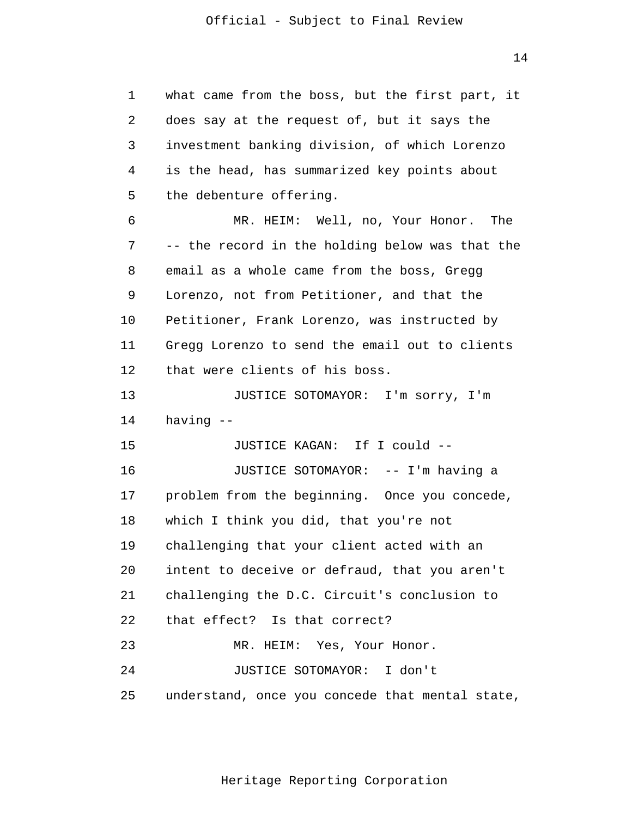1 2 3 4 5 6 7 8 9 10 11 12 13 14 15 16 17 18 19 20 21 22 23 24 25 what came from the boss, but the first part, it does say at the request of, but it says the investment banking division, of which Lorenzo is the head, has summarized key points about the debenture offering. MR. HEIM: Well, no, Your Honor. The -- the record in the holding below was that the email as a whole came from the boss, Gregg Lorenzo, not from Petitioner, and that the Petitioner, Frank Lorenzo, was instructed by Gregg Lorenzo to send the email out to clients that were clients of his boss. JUSTICE SOTOMAYOR: I'm sorry, I'm having - JUSTICE KAGAN: If I could - JUSTICE SOTOMAYOR: -- I'm having a problem from the beginning. Once you concede, which I think you did, that you're not challenging that your client acted with an intent to deceive or defraud, that you aren't challenging the D.C. Circuit's conclusion to that effect? Is that correct? MR. HEIM: Yes, Your Honor. JUSTICE SOTOMAYOR: I don't understand, once you concede that mental state,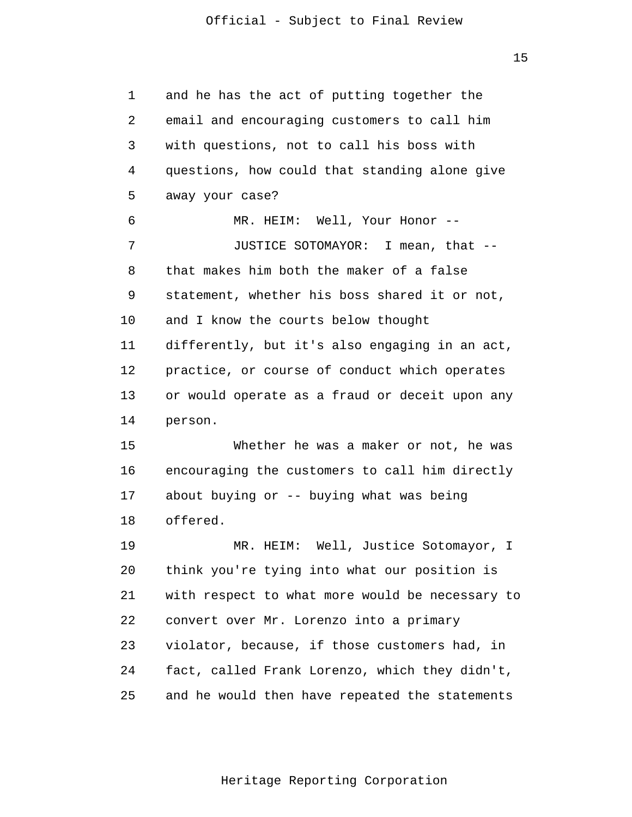1 2 3 4 5 6 7 8 9 10 11 12 13 14 15 16 17 18 19 20 21 22 23 24 25 and he has the act of putting together the email and encouraging customers to call him with questions, not to call his boss with questions, how could that standing alone give away your case? MR. HEIM: Well, Your Honor --JUSTICE SOTOMAYOR: I mean, that that makes him both the maker of a false statement, whether his boss shared it or not, and I know the courts below thought differently, but it's also engaging in an act, practice, or course of conduct which operates or would operate as a fraud or deceit upon any person. Whether he was a maker or not, he was encouraging the customers to call him directly about buying or -- buying what was being offered. MR. HEIM: Well, Justice Sotomayor, I think you're tying into what our position is with respect to what more would be necessary to convert over Mr. Lorenzo into a primary violator, because, if those customers had, in fact, called Frank Lorenzo, which they didn't, and he would then have repeated the statements

Heritage Reporting Corporation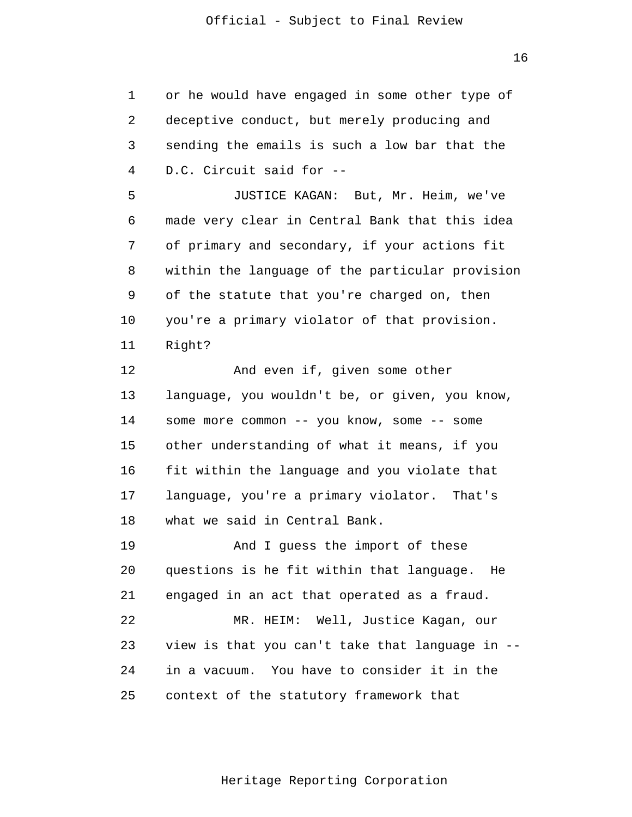16

1 2 3 4 5 6 7 8 9 10 11 12 13 14 15 16 17 18 19 20 21 22 23 24 25 or he would have engaged in some other type of deceptive conduct, but merely producing and sending the emails is such a low bar that the D.C. Circuit said for - JUSTICE KAGAN: But, Mr. Heim, we've made very clear in Central Bank that this idea of primary and secondary, if your actions fit within the language of the particular provision of the statute that you're charged on, then you're a primary violator of that provision. Right? And even if, given some other language, you wouldn't be, or given, you know, some more common -- you know, some -- some other understanding of what it means, if you fit within the language and you violate that language, you're a primary violator. That's what we said in Central Bank. And I guess the import of these questions is he fit within that language. He engaged in an act that operated as a fraud. MR. HEIM: Well, Justice Kagan, our view is that you can't take that language in in a vacuum. You have to consider it in the context of the statutory framework that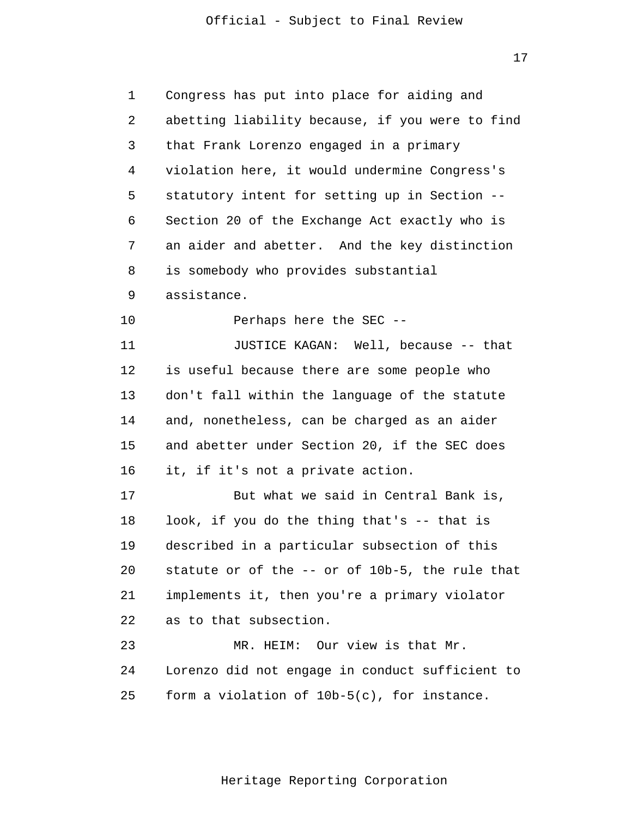17

| 1  | Congress has put into place for aiding and      |  |  |
|----|-------------------------------------------------|--|--|
| 2  | abetting liability because, if you were to find |  |  |
| 3  | that Frank Lorenzo engaged in a primary         |  |  |
| 4  | violation here, it would undermine Congress's   |  |  |
| 5  | statutory intent for setting up in Section --   |  |  |
| 6  | Section 20 of the Exchange Act exactly who is   |  |  |
| 7  | an aider and abetter. And the key distinction   |  |  |
| 8  | is somebody who provides substantial            |  |  |
| 9  | assistance.                                     |  |  |
| 10 | Perhaps here the SEC --                         |  |  |
| 11 | JUSTICE KAGAN: Well, because -- that            |  |  |
| 12 | is useful because there are some people who     |  |  |
| 13 | don't fall within the language of the statute   |  |  |
| 14 | and, nonetheless, can be charged as an aider    |  |  |
| 15 | and abetter under Section 20, if the SEC does   |  |  |
| 16 | it, if it's not a private action.               |  |  |
| 17 | But what we said in Central Bank is,            |  |  |
| 18 | look, if you do the thing that's -- that is     |  |  |
| 19 | described in a particular subsection of this    |  |  |
| 20 | statute or of the -- or of 10b-5, the rule that |  |  |
| 21 | implements it, then you're a primary violator   |  |  |
| 22 | as to that subsection.                          |  |  |
| 23 | MR. HEIM: Our view is that Mr.                  |  |  |
| 24 | Lorenzo did not engage in conduct sufficient to |  |  |
| 25 | form a violation of 10b-5(c), for instance.     |  |  |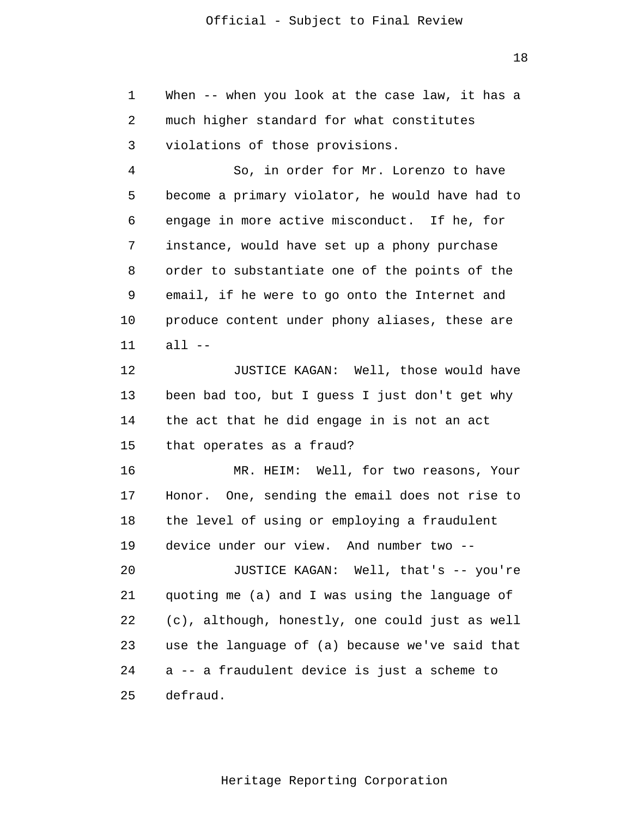1 2 3 When -- when you look at the case law, it has a much higher standard for what constitutes violations of those provisions.

4 5 6 7 8 9 10 11 So, in order for Mr. Lorenzo to have become a primary violator, he would have had to engage in more active misconduct. If he, for instance, would have set up a phony purchase order to substantiate one of the points of the email, if he were to go onto the Internet and produce content under phony aliases, these are all  $--$ 

12 13 14 15 JUSTICE KAGAN: Well, those would have been bad too, but I guess I just don't get why the act that he did engage in is not an act that operates as a fraud?

16 17 18 19 20 MR. HEIM: Well, for two reasons, Your Honor. One, sending the email does not rise to the level of using or employing a fraudulent device under our view. And number two - JUSTICE KAGAN: Well, that's -- you're

21 22 23 24 25 quoting me (a) and I was using the language of (c), although, honestly, one could just as well use the language of (a) because we've said that a -- a fraudulent device is just a scheme to defraud.

Heritage Reporting Corporation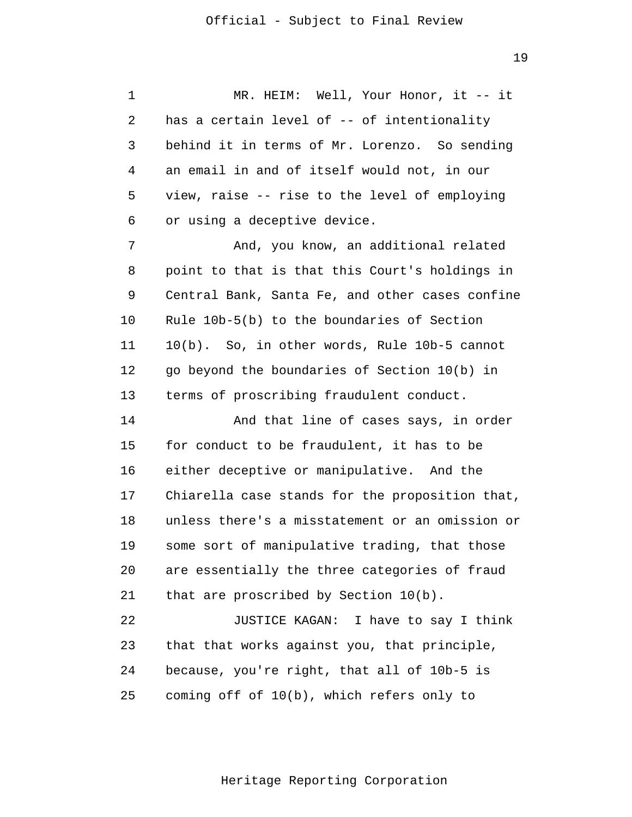some sort of manipulative trading, that those 1 2 3 4 5 6 7 8 9 10 11 12 13 14 15 16 17 18 19 20 21 22 23 24 25 MR. HEIM: Well, Your Honor, it -- it has a certain level of -- of intentionality behind it in terms of Mr. Lorenzo. So sending an email in and of itself would not, in our view, raise -- rise to the level of employing or using a deceptive device. And, you know, an additional related point to that is that this Court's holdings in Central Bank, Santa Fe, and other cases confine Rule 10b-5(b) to the boundaries of Section 10(b). So, in other words, Rule 10b-5 cannot go beyond the boundaries of Section 10(b) in terms of proscribing fraudulent conduct. And that line of cases says, in order for conduct to be fraudulent, it has to be either deceptive or manipulative. And the Chiarella case stands for the proposition that, unless there's a misstatement or an omission or are essentially the three categories of fraud that are proscribed by Section 10(b). JUSTICE KAGAN: I have to say I think that that works against you, that principle, because, you're right, that all of 10b-5 is coming off of 10(b), which refers only to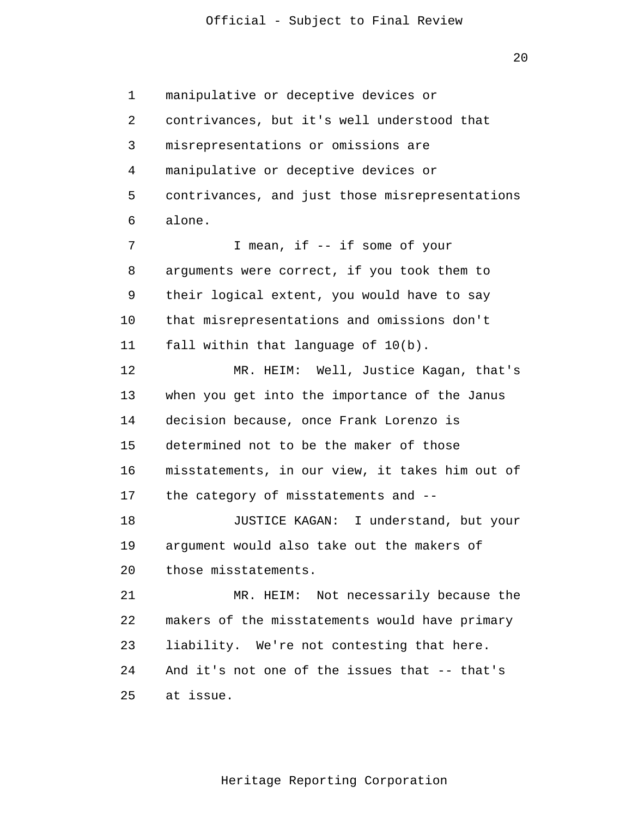$2.0$ 

1  $\overline{2}$ 3 4 5 6 7 8 9 10 11 12 13 14 15 16 17 18 19 20 21 22 23 24 25 manipulative or deceptive devices or contrivances, but it's well understood that misrepresentations or omissions are manipulative or deceptive devices or contrivances, and just those misrepresentations alone. I mean, if -- if some of your arguments were correct, if you took them to their logical extent, you would have to say that misrepresentations and omissions don't fall within that language of 10(b). MR. HEIM: Well, Justice Kagan, that's when you get into the importance of the Janus decision because, once Frank Lorenzo is determined not to be the maker of those misstatements, in our view, it takes him out of the category of misstatements and - JUSTICE KAGAN: I understand, but your argument would also take out the makers of those misstatements. MR. HEIM: Not necessarily because the makers of the misstatements would have primary liability. We're not contesting that here. And it's not one of the issues that -- that's at issue.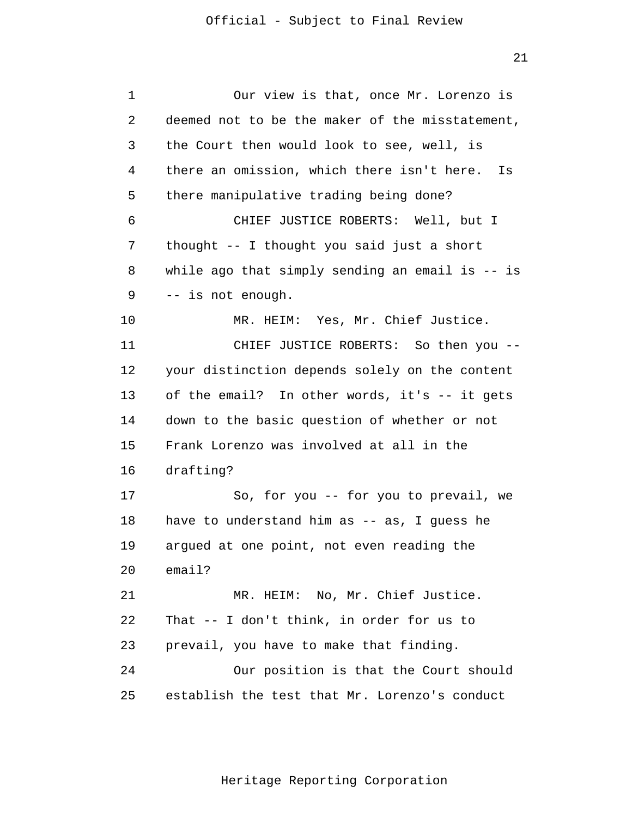| $\mathbf 1$ | Our view is that, once Mr. Lorenzo is            |  |  |
|-------------|--------------------------------------------------|--|--|
| 2           | deemed not to be the maker of the misstatement,  |  |  |
| 3           | the Court then would look to see, well, is       |  |  |
| 4           | there an omission, which there isn't here.<br>Is |  |  |
| 5           | there manipulative trading being done?           |  |  |
| 6           | CHIEF JUSTICE ROBERTS: Well, but I               |  |  |
| 7           | thought -- I thought you said just a short       |  |  |
| 8           | while ago that simply sending an email is -- is  |  |  |
| 9           | -- is not enough.                                |  |  |
| 10          | MR. HEIM: Yes, Mr. Chief Justice.                |  |  |
| 11          | CHIEF JUSTICE ROBERTS: So then you --            |  |  |
| 12          | your distinction depends solely on the content   |  |  |
| 13          | of the email? In other words, it's -- it gets    |  |  |
| 14          | down to the basic question of whether or not     |  |  |
| 15          | Frank Lorenzo was involved at all in the         |  |  |
| 16          | drafting?                                        |  |  |
| 17          | So, for you -- for you to prevail, we            |  |  |
| 18          | have to understand him as -- as, I guess he      |  |  |
| 19          | argued at one point, not even reading the        |  |  |
| 20          | email?                                           |  |  |
| 21          | MR. HEIM: No, Mr. Chief Justice.                 |  |  |
| 22          | That -- I don't think, in order for us to        |  |  |
| 23          | prevail, you have to make that finding.          |  |  |
| 24          | Our position is that the Court should            |  |  |
| 25          | establish the test that Mr. Lorenzo's conduct    |  |  |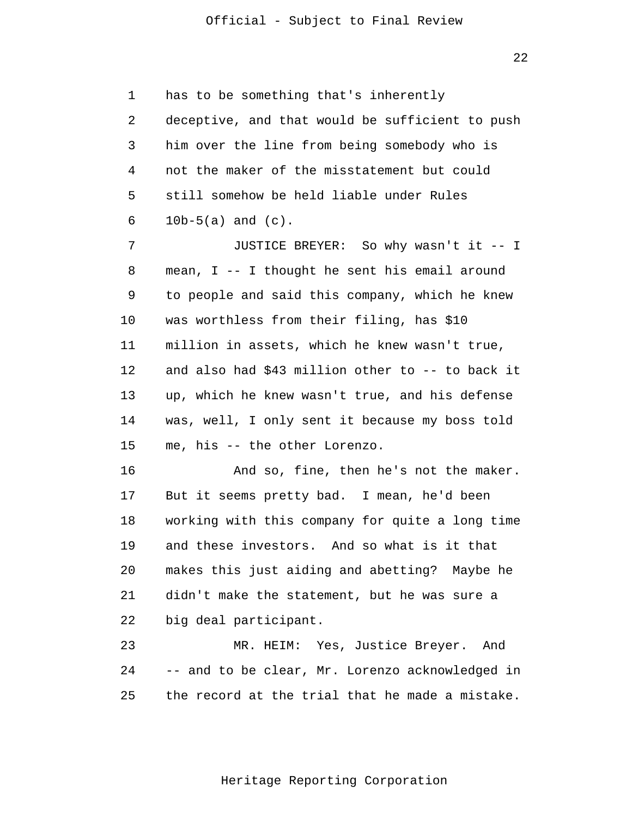22

1 2 3 4 5 6 has to be something that's inherently deceptive, and that would be sufficient to push him over the line from being somebody who is not the maker of the misstatement but could still somehow be held liable under Rules 10b-5(a) and (c).

7 8 9 10 11 12 13 14 15 JUSTICE BREYER: So why wasn't it -- I mean, I -- I thought he sent his email around to people and said this company, which he knew was worthless from their filing, has \$10 million in assets, which he knew wasn't true, and also had \$43 million other to -- to back it up, which he knew wasn't true, and his defense was, well, I only sent it because my boss told me, his -- the other Lorenzo.

16 17 18 19 20 21 22 And so, fine, then he's not the maker. But it seems pretty bad. I mean, he'd been working with this company for quite a long time and these investors. And so what is it that makes this just aiding and abetting? Maybe he didn't make the statement, but he was sure a big deal participant.

23 24 25 MR. HEIM: Yes, Justice Breyer. And -- and to be clear, Mr. Lorenzo acknowledged in the record at the trial that he made a mistake.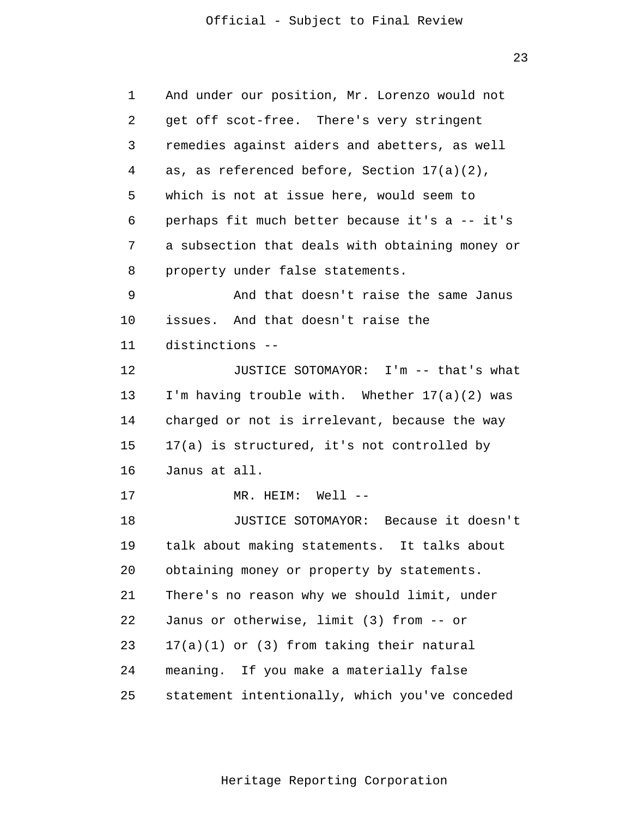23

| 1  | And under our position, Mr. Lorenzo would not   |  |  |
|----|-------------------------------------------------|--|--|
| 2  | get off scot-free. There's very stringent       |  |  |
| 3  | remedies against aiders and abetters, as well   |  |  |
| 4  | as, as referenced before, Section $17(a)(2)$ ,  |  |  |
| 5  | which is not at issue here, would seem to       |  |  |
| 6  | perhaps fit much better because it's a -- it's  |  |  |
| 7  | a subsection that deals with obtaining money or |  |  |
| 8  | property under false statements.                |  |  |
| 9  | And that doesn't raise the same Janus           |  |  |
| 10 | issues. And that doesn't raise the              |  |  |
| 11 | distinctions --                                 |  |  |
| 12 | JUSTICE SOTOMAYOR: I'm -- that's what           |  |  |
| 13 | I'm having trouble with. Whether 17(a)(2) was   |  |  |
| 14 | charged or not is irrelevant, because the way   |  |  |
| 15 | 17(a) is structured, it's not controlled by     |  |  |
| 16 | Janus at all.                                   |  |  |
| 17 | MR. HEIM: Well --                               |  |  |
| 18 | JUSTICE SOTOMAYOR: Because it doesn't           |  |  |
| 19 | talk about making statements. It talks about    |  |  |
| 20 | obtaining money or property by statements.      |  |  |
| 21 | There's no reason why we should limit, under    |  |  |
| 22 | Janus or otherwise, limit (3) from -- or        |  |  |
| 23 | $17(a)(1)$ or (3) from taking their natural     |  |  |
| 24 | meaning. If you make a materially false         |  |  |
| 25 | statement intentionally, which you've conceded  |  |  |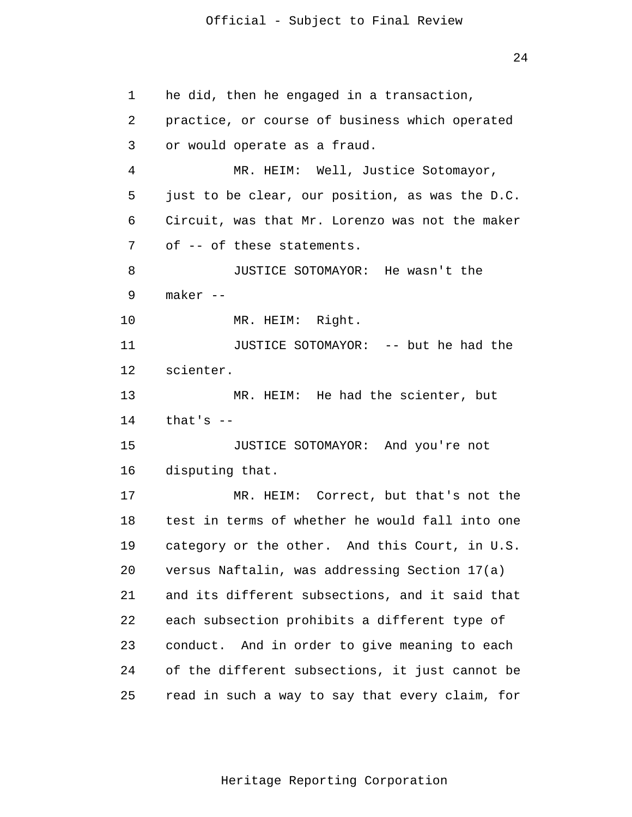24

1 2 3 4 5 6 7 8 9 10 11 12 13 14 15 16 17 18 19 20 21 22 23 24 25 he did, then he engaged in a transaction, practice, or course of business which operated or would operate as a fraud. MR. HEIM: Well, Justice Sotomayor, just to be clear, our position, as was the D.C. Circuit, was that Mr. Lorenzo was not the maker of -- of these statements. JUSTICE SOTOMAYOR: He wasn't the maker - MR. HEIM: Right. JUSTICE SOTOMAYOR: -- but he had the scienter. MR. HEIM: He had the scienter, but that's  $-$ JUSTICE SOTOMAYOR: And you're not disputing that. MR. HEIM: Correct, but that's not the test in terms of whether he would fall into one category or the other. And this Court, in U.S. versus Naftalin, was addressing Section 17(a) and its different subsections, and it said that each subsection prohibits a different type of conduct. And in order to give meaning to each of the different subsections, it just cannot be read in such a way to say that every claim, for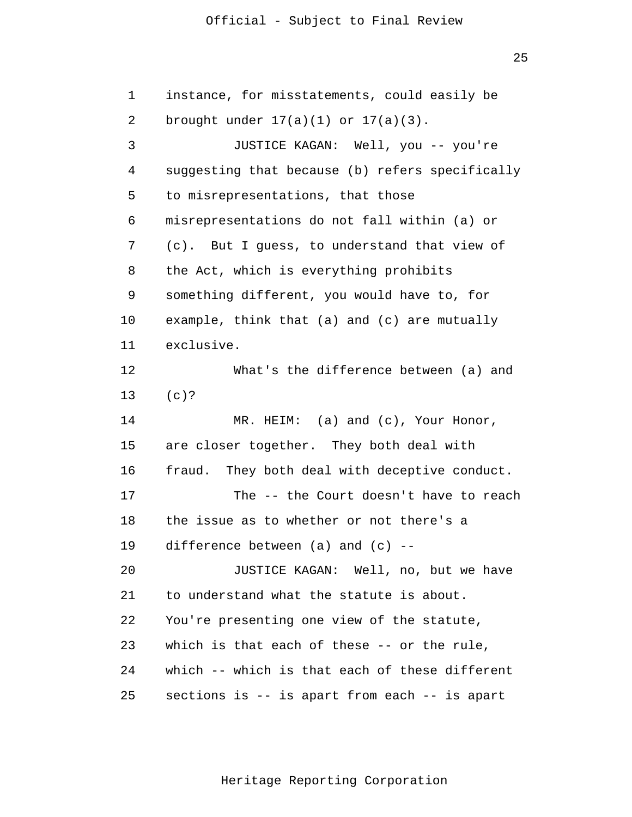1 2 3 4 5 6 7 8 9 10 11 12 13 14 15 16 17 18 19 20 21 22 instance, for misstatements, could easily be brought under  $17(a)(1)$  or  $17(a)(3)$ . JUSTICE KAGAN: Well, you -- you're suggesting that because (b) refers specifically to misrepresentations, that those misrepresentations do not fall within (a) or (c). But I guess, to understand that view of the Act, which is everything prohibits something different, you would have to, for example, think that (a) and (c) are mutually exclusive. What's the difference between (a) and (c)? MR. HEIM: (a) and (c), Your Honor, are closer together. They both deal with fraud. They both deal with deceptive conduct. The -- the Court doesn't have to reach the issue as to whether or not there's a difference between  $(a)$  and  $(c)$  --JUSTICE KAGAN: Well, no, but we have to understand what the statute is about. You're presenting one view of the statute,

which is that each of these -- or the rule,

which -- which is that each of these different

sections is -- is apart from each -- is apart

Heritage Reporting Corporation

23

24

25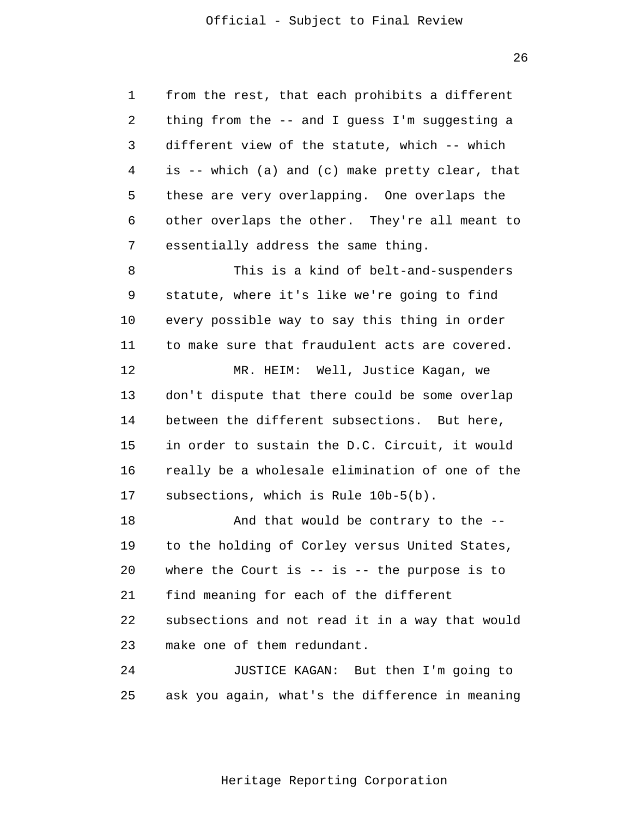1 2 3 4 5 6 7 from the rest, that each prohibits a different thing from the -- and I guess I'm suggesting a different view of the statute, which -- which is -- which (a) and (c) make pretty clear, that these are very overlapping. One overlaps the other overlaps the other. They're all meant to essentially address the same thing.

8 9 10 11 This is a kind of belt-and-suspenders statute, where it's like we're going to find every possible way to say this thing in order to make sure that fraudulent acts are covered.

12 13 14 15 16 17 MR. HEIM: Well, Justice Kagan, we don't dispute that there could be some overlap between the different subsections. But here, in order to sustain the D.C. Circuit, it would really be a wholesale elimination of one of the subsections, which is Rule 10b-5(b).

18 19 20 21 22 23 And that would be contrary to the to the holding of Corley versus United States, where the Court is  $-$  is  $-$  the purpose is to find meaning for each of the different subsections and not read it in a way that would make one of them redundant.

24 25 JUSTICE KAGAN: But then I'm going to ask you again, what's the difference in meaning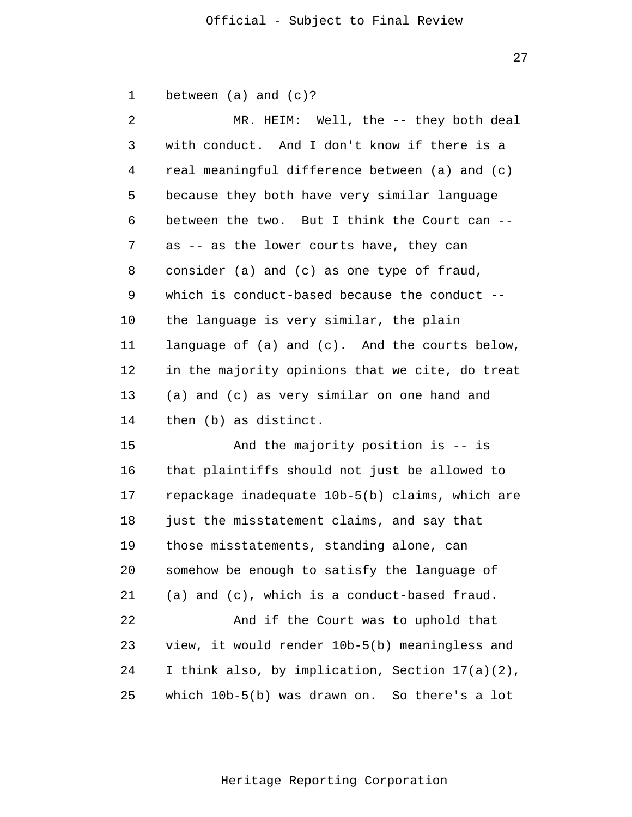| $\mathbf 1$ | between $(a)$ and $(c)?$ |  |  |
|-------------|--------------------------|--|--|
|             |                          |  |  |

| $\overline{2}$ | MR. HEIM: Well, the -- they both deal           |  |  |
|----------------|-------------------------------------------------|--|--|
| 3              | with conduct. And I don't know if there is a    |  |  |
| 4              | real meaningful difference between (a) and (c)  |  |  |
| 5              | because they both have very similar language    |  |  |
| 6              | between the two. But I think the Court can --   |  |  |
| 7              | as -- as the lower courts have, they can        |  |  |
| 8              | consider (a) and (c) as one type of fraud,      |  |  |
| 9              | which is conduct-based because the conduct --   |  |  |
| 10             | the language is very similar, the plain         |  |  |
| 11             | language of (a) and (c). And the courts below,  |  |  |
| 12             | in the majority opinions that we cite, do treat |  |  |
| 13             | (a) and (c) as very similar on one hand and     |  |  |
| 14             | then (b) as distinct.                           |  |  |
| 15             | And the majority position is -- is              |  |  |
| 16             | that plaintiffs should not just be allowed to   |  |  |
| 17             | repackage inadequate 10b-5(b) claims, which are |  |  |
| 18             | just the misstatement claims, and say that      |  |  |
| 19             | those misstatements, standing alone, can        |  |  |
| 20             | somehow be enough to satisfy the language of    |  |  |
| 21             | (a) and (c), which is a conduct-based fraud.    |  |  |

22 23 24 25 And if the Court was to uphold that view, it would render 10b-5(b) meaningless and I think also, by implication, Section 17(a)(2), which 10b-5(b) was drawn on. So there's a lot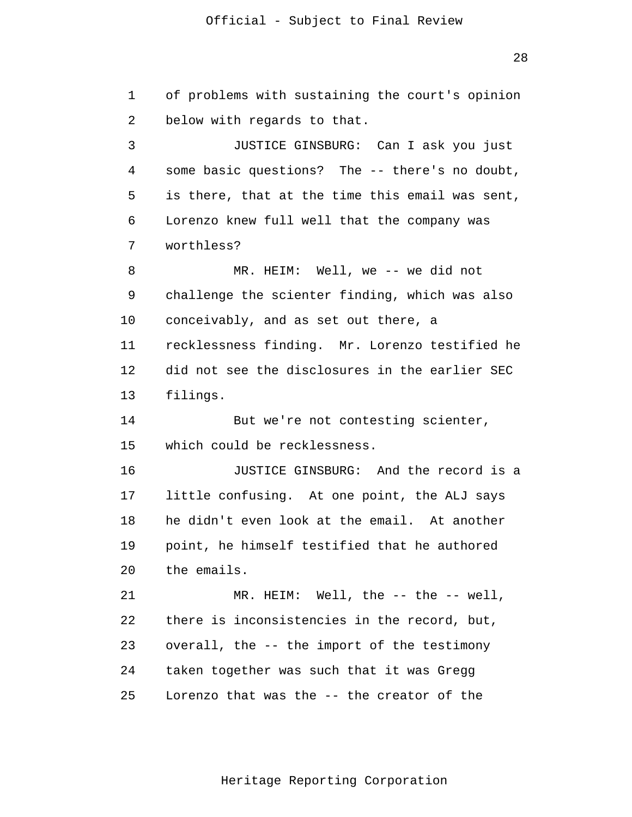28

1 2 3 4 5 6 7 8 9 10 11 12 13 14 15 16 17 18 19 20 21 22 23 24 25 of problems with sustaining the court's opinion below with regards to that. JUSTICE GINSBURG: Can I ask you just some basic questions? The -- there's no doubt, is there, that at the time this email was sent, Lorenzo knew full well that the company was worthless? MR. HEIM: Well, we -- we did not challenge the scienter finding, which was also conceivably, and as set out there, a recklessness finding. Mr. Lorenzo testified he did not see the disclosures in the earlier SEC filings. But we're not contesting scienter, which could be recklessness. JUSTICE GINSBURG: And the record is a little confusing. At one point, the ALJ says he didn't even look at the email. At another point, he himself testified that he authored the emails. MR. HEIM: Well, the -- the -- well, there is inconsistencies in the record, but, overall, the -- the import of the testimony taken together was such that it was Gregg Lorenzo that was the -- the creator of the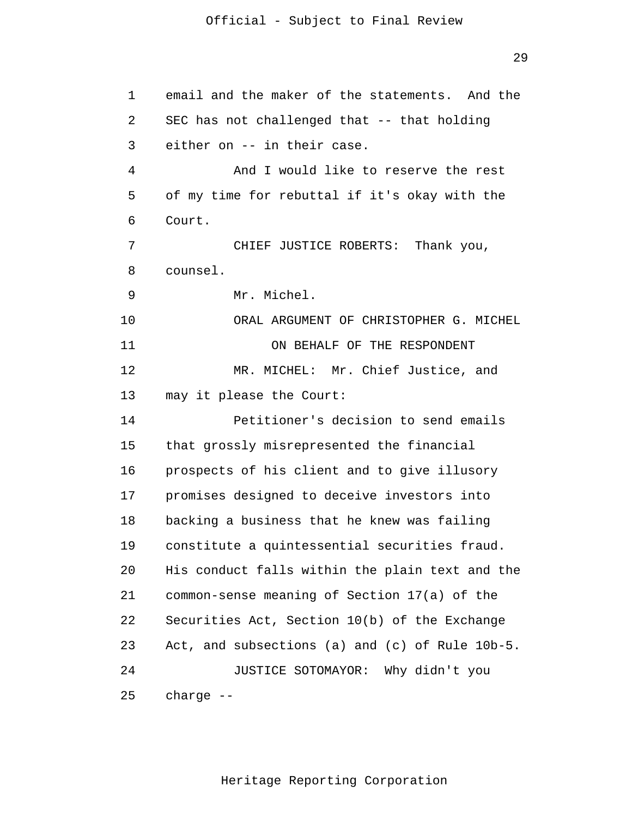1 2 3 4 5 6 7 8 9 10 11 12 13 14 15 16 17 18 19 20 21 22 23 24 25 email and the maker of the statements. And the SEC has not challenged that -- that holding either on -- in their case. And I would like to reserve the rest of my time for rebuttal if it's okay with the Court. CHIEF JUSTICE ROBERTS: Thank you, counsel. Mr. Michel. ORAL ARGUMENT OF CHRISTOPHER G. MICHEL ON BEHALF OF THE RESPONDENT MR. MICHEL: Mr. Chief Justice, and may it please the Court: Petitioner's decision to send emails that grossly misrepresented the financial prospects of his client and to give illusory promises designed to deceive investors into backing a business that he knew was failing constitute a quintessential securities fraud. His conduct falls within the plain text and the common-sense meaning of Section 17(a) of the Securities Act, Section 10(b) of the Exchange Act, and subsections (a) and (c) of Rule 10b-5. JUSTICE SOTOMAYOR: Why didn't you charge --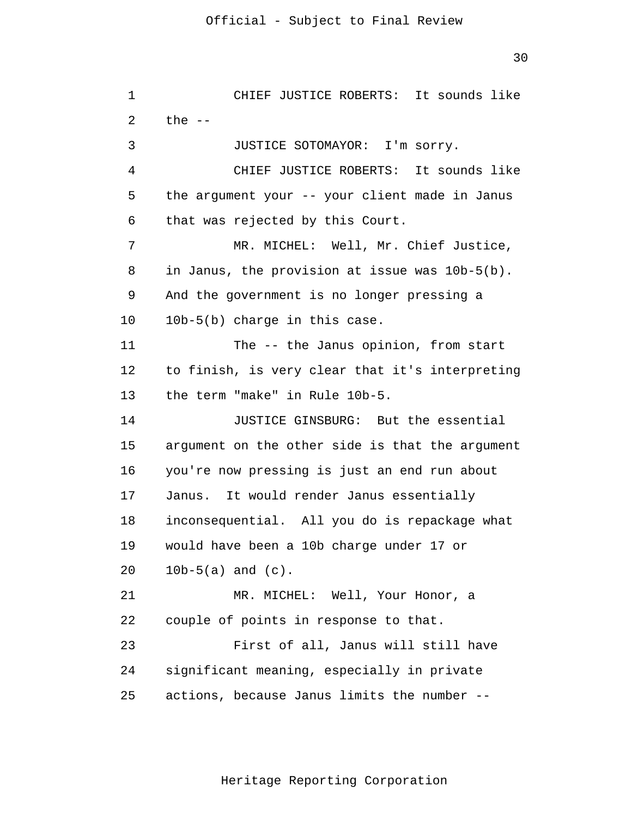| 1  | CHIEF JUSTICE ROBERTS: It sounds like           |  |  |
|----|-------------------------------------------------|--|--|
| 2  | the $--$                                        |  |  |
| 3  | JUSTICE SOTOMAYOR: I'm sorry.                   |  |  |
| 4  | CHIEF JUSTICE ROBERTS: It sounds like           |  |  |
| 5  | the argument your -- your client made in Janus  |  |  |
| 6  | that was rejected by this Court.                |  |  |
| 7  | MR. MICHEL: Well, Mr. Chief Justice,            |  |  |
| 8  | in Janus, the provision at issue was 10b-5(b).  |  |  |
| 9  | And the government is no longer pressing a      |  |  |
| 10 | 10b-5(b) charge in this case.                   |  |  |
| 11 | The -- the Janus opinion, from start            |  |  |
| 12 | to finish, is very clear that it's interpreting |  |  |
| 13 | the term "make" in Rule 10b-5.                  |  |  |
| 14 | JUSTICE GINSBURG: But the essential             |  |  |
| 15 | argument on the other side is that the argument |  |  |
| 16 | you're now pressing is just an end run about    |  |  |
| 17 | Janus. It would render Janus essentially        |  |  |
| 18 | inconsequential. All you do is repackage what   |  |  |
| 19 | would have been a 10b charge under 17 or        |  |  |
| 20 | $10b-5(a)$ and $(c)$ .                          |  |  |
| 21 | MR. MICHEL: Well, Your Honor, a                 |  |  |
| 22 | couple of points in response to that.           |  |  |
| 23 | First of all, Janus will still have             |  |  |
| 24 | significant meaning, especially in private      |  |  |
| 25 | actions, because Janus limits the number --     |  |  |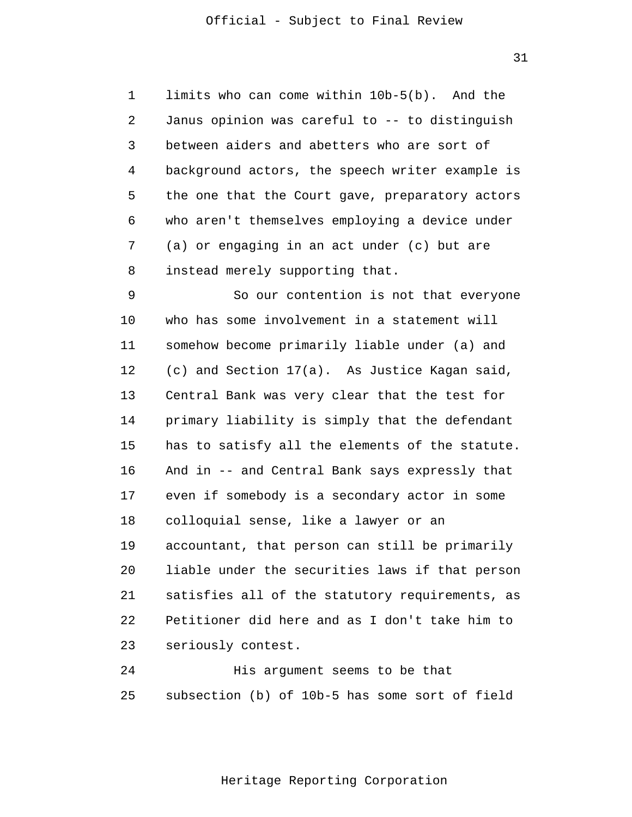31

1 2 3 4 5 6 7 8 limits who can come within 10b-5(b). And the Janus opinion was careful to -- to distinguish between aiders and abetters who are sort of background actors, the speech writer example is the one that the Court gave, preparatory actors who aren't themselves employing a device under (a) or engaging in an act under (c) but are instead merely supporting that.

9 10 11 12 13 14 15 16 17 18 19 20 21 22 23 So our contention is not that everyone who has some involvement in a statement will somehow become primarily liable under (a) and (c) and Section 17(a). As Justice Kagan said, Central Bank was very clear that the test for primary liability is simply that the defendant has to satisfy all the elements of the statute. And in -- and Central Bank says expressly that even if somebody is a secondary actor in some colloquial sense, like a lawyer or an accountant, that person can still be primarily liable under the securities laws if that person satisfies all of the statutory requirements, as Petitioner did here and as I don't take him to seriously contest.

24 25 His argument seems to be that subsection (b) of 10b-5 has some sort of field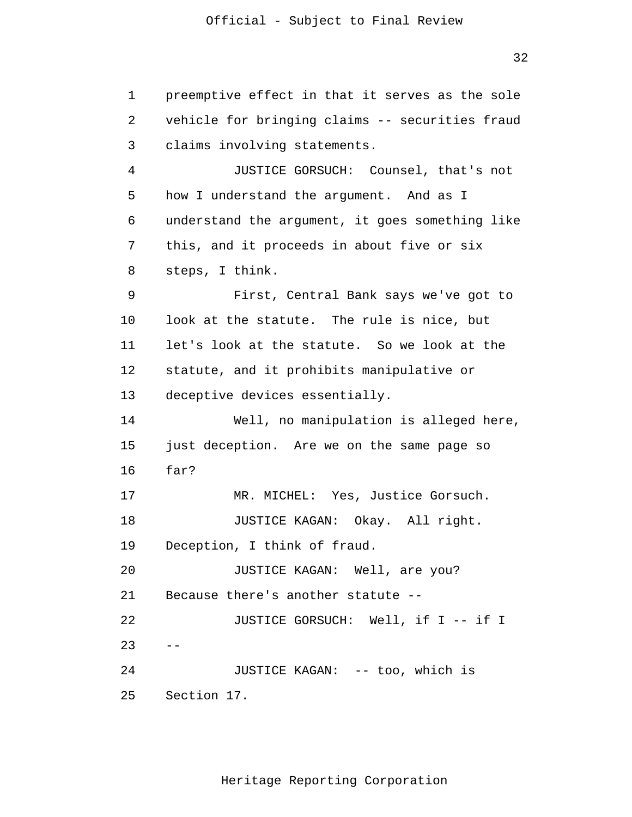```
 1 
 2 
 3 
 4 
5 5
 6 
 7 
 8 
 9 
            10 
            11 
            12 
            13 
            14 
            15 
            16 
            17 
            18 
            19 
            20 
            21 
            22 
23 - -2.4 25 
                preemptive effect in that it serves as the sole
                vehicle for bringing claims -- securities fraud
                claims involving statements.
                        JUSTICE GORSUCH: Counsel, that's not
                how I understand the argument. And as I
                understand the argument, it goes something like
                this, and it proceeds in about five or six
                steps, I think.
                        First, Central Bank says we've got to
                look at the statute. The rule is nice, but
                let's look at the statute. So we look at the
                statute, and it prohibits manipulative or
                deceptive devices essentially.
                        Well, no manipulation is alleged here,
                just deception. Are we on the same page so
                far?
                        MR. MICHEL: Yes, Justice Gorsuch.
                        JUSTICE KAGAN: Okay. All right.
                Deception, I think of fraud.
                        JUSTICE KAGAN: Well, are you?
                Because there's another statute -
                        JUSTICE GORSUCH: Well, if I -- if I
                        JUSTICE KAGAN: -- too, which is
                Section 17.
```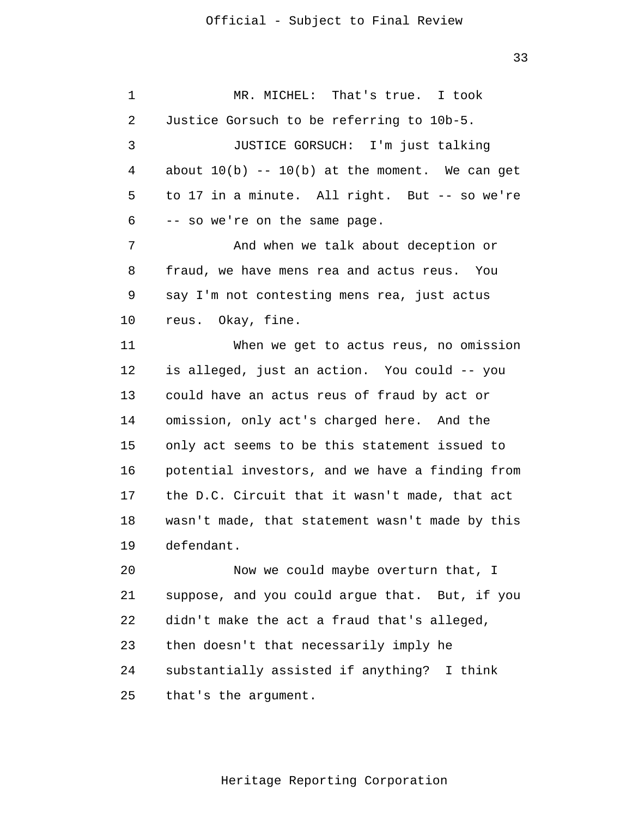1

2

3

4

5

6

7

8

9

10

11

12

13

14

15

16

17

MR. MICHEL: That's true. I took Justice Gorsuch to be referring to 10b-5. JUSTICE GORSUCH: I'm just talking about  $10(b)$  --  $10(b)$  at the moment. We can get to 17 in a minute. All right. But -- so we're -- so we're on the same page. And when we talk about deception or fraud, we have mens rea and actus reus. You say I'm not contesting mens rea, just actus reus. Okay, fine. When we get to actus reus, no omission is alleged, just an action. You could -- you could have an actus reus of fraud by act or omission, only act's charged here. And the only act seems to be this statement issued to potential investors, and we have a finding from the D.C. Circuit that it wasn't made, that act

18 19 wasn't made, that statement wasn't made by this defendant.

20 21 22 23 24 25 Now we could maybe overturn that, I suppose, and you could argue that. But, if you didn't make the act a fraud that's alleged, then doesn't that necessarily imply he substantially assisted if anything? I think that's the argument.

Heritage Reporting Corporation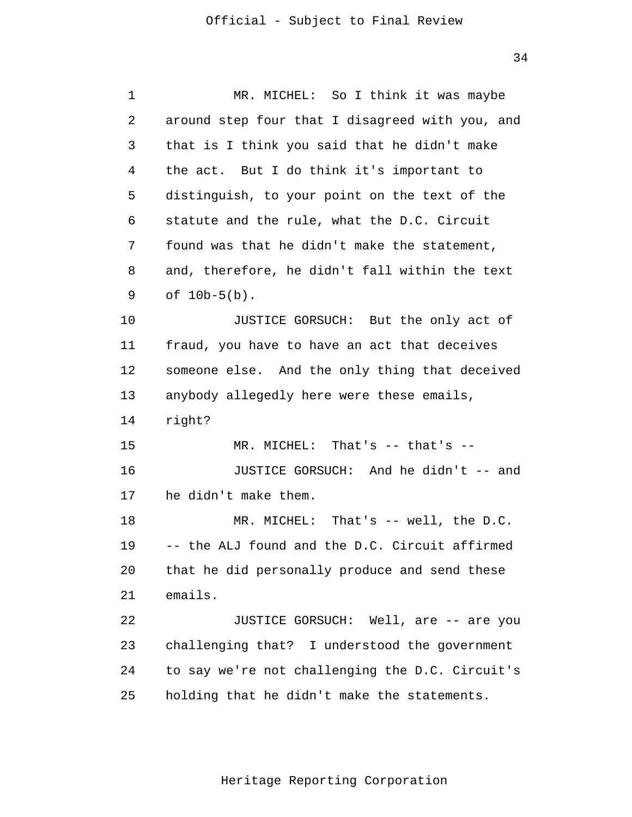| 1       | MR. MICHEL: So I think it was maybe             |  |  |
|---------|-------------------------------------------------|--|--|
| 2       | around step four that I disagreed with you, and |  |  |
| 3       | that is I think you said that he didn't make    |  |  |
| 4       | the act. But I do think it's important to       |  |  |
| 5       | distinguish, to your point on the text of the   |  |  |
| 6       | statute and the rule, what the D.C. Circuit     |  |  |
| 7       | found was that he didn't make the statement,    |  |  |
| 8       | and, therefore, he didn't fall within the text  |  |  |
| 9       | of $10b-5(b)$ .                                 |  |  |
| $10 \,$ | JUSTICE GORSUCH: But the only act of            |  |  |
| 11      | fraud, you have to have an act that deceives    |  |  |
| 12      | someone else. And the only thing that deceived  |  |  |
| 13      | anybody allegedly here were these emails,       |  |  |
| 14      | right?                                          |  |  |
| 15      | MR. MICHEL: That's -- that's --                 |  |  |
| 16      | JUSTICE GORSUCH: And he didn't -- and           |  |  |
| 17      | he didn't make them.                            |  |  |
| 18      | MR. MICHEL: That's $--$ well, the D.C.          |  |  |
| 19      | -- the ALJ found and the D.C. Circuit affirmed  |  |  |
| 20      | that he did personally produce and send these   |  |  |
| 21      | emails.                                         |  |  |
| 22      | JUSTICE GORSUCH: Well, are -- are you           |  |  |
| 23      | challenging that? I understood the government   |  |  |
| 24      | to say we're not challenging the D.C. Circuit's |  |  |
| 25      | holding that he didn't make the statements.     |  |  |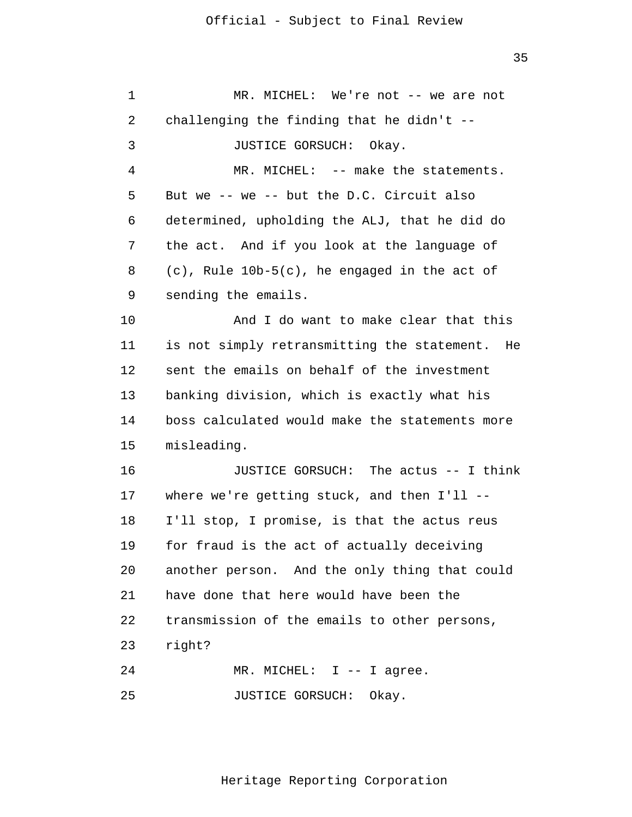1 2 3 4 5 6 7 8 9 10 11 12 13 14 15 16 17 18 19 20 21 22 23 24 MR. MICHEL: We're not -- we are not challenging the finding that he didn't  $-$ -JUSTICE GORSUCH: Okay. MR. MICHEL: -- make the statements. But we -- we -- but the D.C. Circuit also determined, upholding the ALJ, that he did do the act. And if you look at the language of (c), Rule 10b-5(c), he engaged in the act of sending the emails. And I do want to make clear that this is not simply retransmitting the statement. He sent the emails on behalf of the investment banking division, which is exactly what his boss calculated would make the statements more misleading. JUSTICE GORSUCH: The actus -- I think where we're getting stuck, and then  $I'11$  --I'll stop, I promise, is that the actus reus for fraud is the act of actually deceiving another person. And the only thing that could have done that here would have been the transmission of the emails to other persons, right?

25 MR. MICHEL: I -- I agree. JUSTICE GORSUCH: Okay.

Heritage Reporting Corporation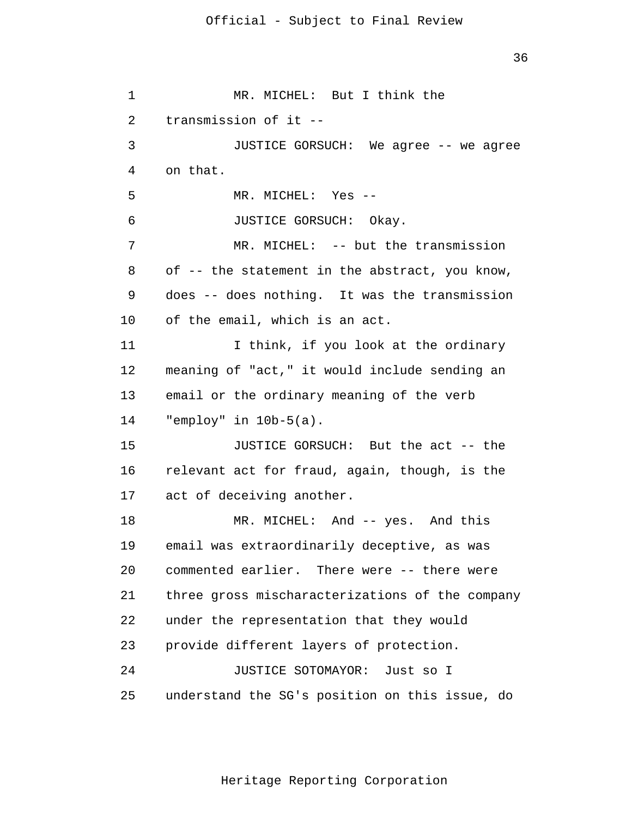under the representation that they would 1 2 3 4 5 6 7 8 9 10 11 12 13 14 15 16 17 18 19 20 21 22 23 24 25 MR. MICHEL: But I think the transmission of it - JUSTICE GORSUCH: We agree -- we agree on that. MR. MICHEL: Yes - JUSTICE GORSUCH: Okay. MR. MICHEL: -- but the transmission of -- the statement in the abstract, you know, does -- does nothing. It was the transmission of the email, which is an act. I think, if you look at the ordinary meaning of "act," it would include sending an email or the ordinary meaning of the verb "employ" in 10b-5(a). JUSTICE GORSUCH: But the act -- the relevant act for fraud, again, though, is the act of deceiving another. MR. MICHEL: And -- yes. And this email was extraordinarily deceptive, as was commented earlier. There were -- there were three gross mischaracterizations of the company provide different layers of protection. JUSTICE SOTOMAYOR: Just so I understand the SG's position on this issue, do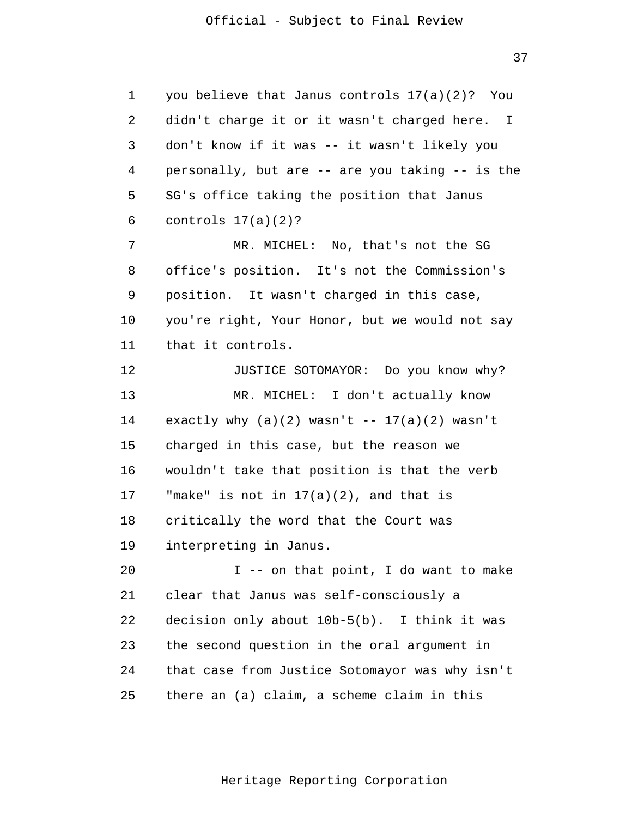1 2 3 4 5 6 7 8 9 10 11 you believe that Janus controls 17(a)(2)? You didn't charge it or it wasn't charged here. I don't know if it was -- it wasn't likely you personally, but are -- are you taking -- is the SG's office taking the position that Janus controls  $17(a)(2)?$ MR. MICHEL: No, that's not the SG office's position. It's not the Commission's position. It wasn't charged in this case, you're right, Your Honor, but we would not say that it controls.

12 13 14 15 16 17 18 19 JUSTICE SOTOMAYOR: Do you know why? MR. MICHEL: I don't actually know exactly why  $(a)(2)$  wasn't --  $17(a)(2)$  wasn't charged in this case, but the reason we wouldn't take that position is that the verb "make" is not in  $17(a)(2)$ , and that is critically the word that the Court was interpreting in Janus.

20 21 22 23 24 25 I -- on that point, I do want to make clear that Janus was self-consciously a decision only about 10b-5(b). I think it was the second question in the oral argument in that case from Justice Sotomayor was why isn't there an (a) claim, a scheme claim in this

Heritage Reporting Corporation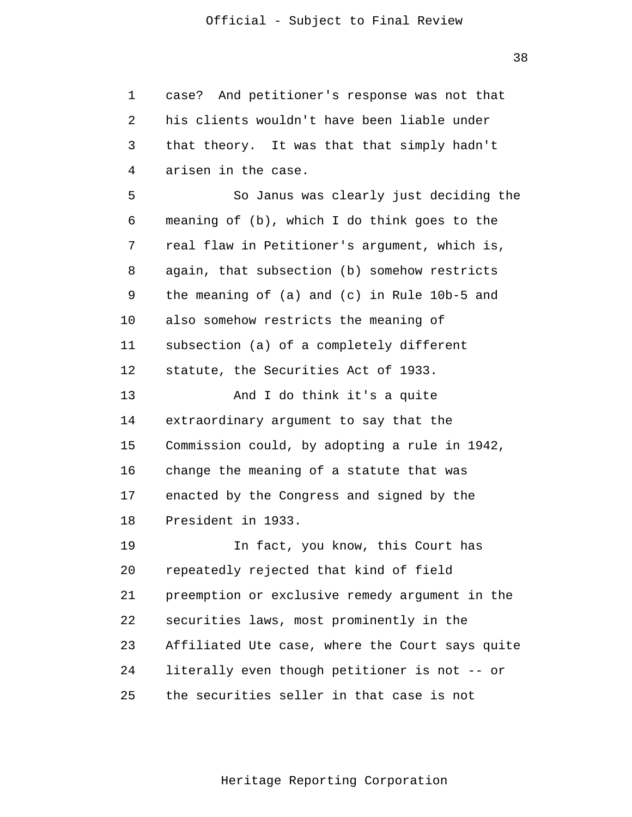1 2 3 4 5 case? And petitioner's response was not that his clients wouldn't have been liable under that theory. It was that that simply hadn't arisen in the case. So Janus was clearly just deciding the

6 7 8 9 10 11 12 13 14 15 16 17 18 19 20 21 22 23 meaning of (b), which I do think goes to the real flaw in Petitioner's argument, which is, again, that subsection (b) somehow restricts the meaning of (a) and (c) in Rule 10b-5 and also somehow restricts the meaning of subsection (a) of a completely different statute, the Securities Act of 1933. And I do think it's a quite extraordinary argument to say that the Commission could, by adopting a rule in 1942, change the meaning of a statute that was enacted by the Congress and signed by the President in 1933. In fact, you know, this Court has repeatedly rejected that kind of field preemption or exclusive remedy argument in the securities laws, most prominently in the Affiliated Ute case, where the Court says quite

 $2.4$ literally even though petitioner is not -- or

25 the securities seller in that case is not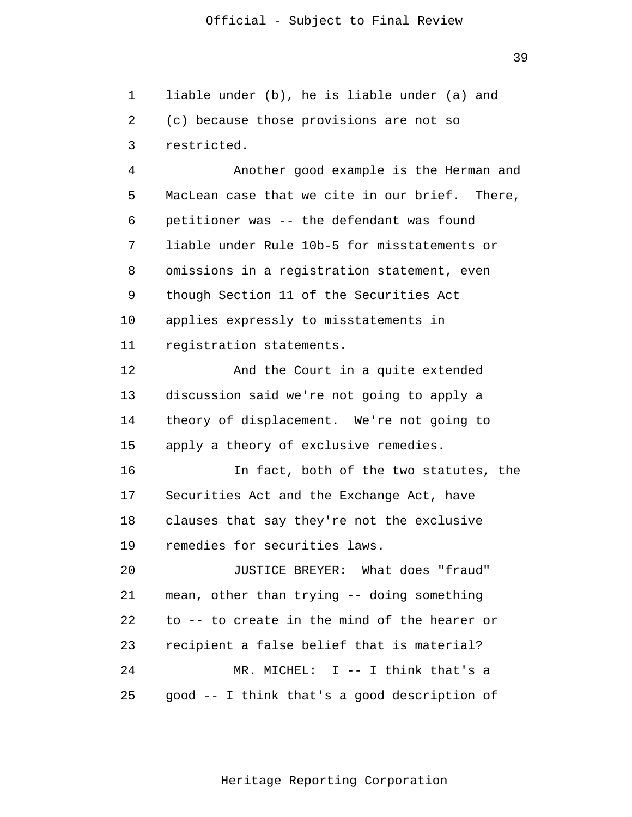1 2 3 liable under (b), he is liable under (a) and (c) because those provisions are not so restricted.

4 5 6 7 8 9 10 11 Another good example is the Herman and MacLean case that we cite in our brief. There, petitioner was -- the defendant was found liable under Rule 10b-5 for misstatements or omissions in a registration statement, even though Section 11 of the Securities Act applies expressly to misstatements in registration statements.

12 13 14 15 And the Court in a quite extended discussion said we're not going to apply a theory of displacement. We're not going to apply a theory of exclusive remedies.

16 17 18 19 In fact, both of the two statutes, the Securities Act and the Exchange Act, have clauses that say they're not the exclusive remedies for securities laws.

20 21 22 23  $2.4$ 25 JUSTICE BREYER: What does "fraud" mean, other than trying -- doing something to -- to create in the mind of the hearer or recipient a false belief that is material? MR. MICHEL: I -- I think that's a good -- I think that's a good description of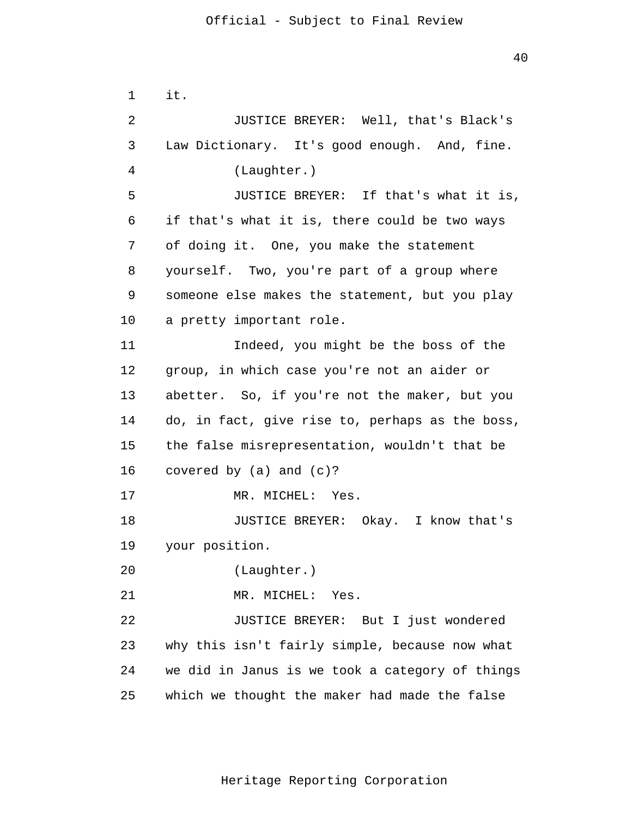1 2 3 4 5 6 7 8 9 10 11 12 13 14 15 16 17 18 19 20 21 22 23 24 25 it. JUSTICE BREYER: Well, that's Black's Law Dictionary. It's good enough. And, fine. (Laughter.) JUSTICE BREYER: If that's what it is, if that's what it is, there could be two ways of doing it. One, you make the statement yourself. Two, you're part of a group where someone else makes the statement, but you play a pretty important role. Indeed, you might be the boss of the group, in which case you're not an aider or abetter. So, if you're not the maker, but you do, in fact, give rise to, perhaps as the boss, the false misrepresentation, wouldn't that be covered by (a) and (c)? MR. MICHEL: Yes. JUSTICE BREYER: Okay. I know that's your position. (Laughter.) MR. MICHEL: Yes. JUSTICE BREYER: But I just wondered why this isn't fairly simple, because now what we did in Janus is we took a category of things which we thought the maker had made the false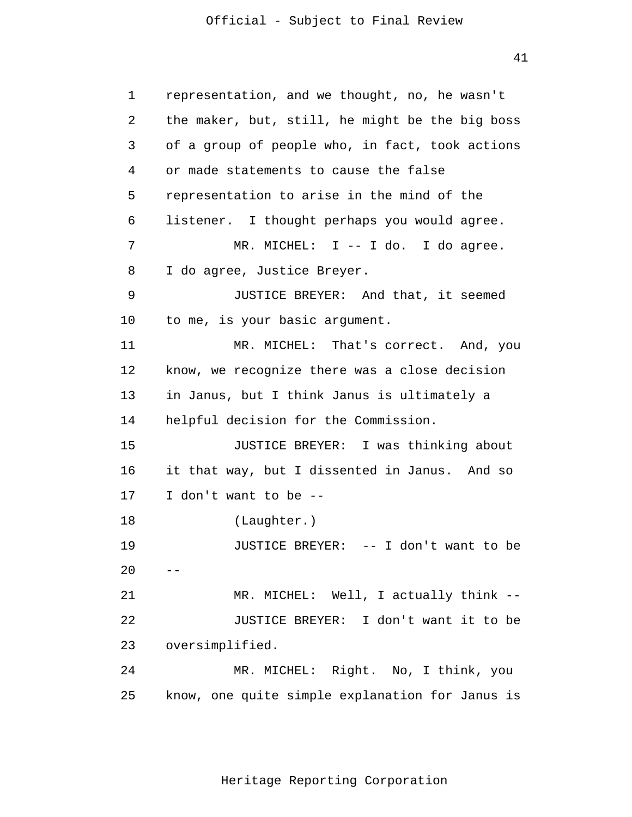41

 1 2 3 4 **5 5**  6 7 8 9 10 11 12 13 14 15 16 17 18 19  $20$  -- 21 22 23 24 25 representation, and we thought, no, he wasn't the maker, but, still, he might be the big boss of a group of people who, in fact, took actions or made statements to cause the false representation to arise in the mind of the listener. I thought perhaps you would agree. MR. MICHEL: I -- I do. I do agree. I do agree, Justice Breyer. JUSTICE BREYER: And that, it seemed to me, is your basic argument. MR. MICHEL: That's correct. And, you know, we recognize there was a close decision in Janus, but I think Janus is ultimately a helpful decision for the Commission. JUSTICE BREYER: I was thinking about it that way, but I dissented in Janus. And so I don't want to be - (Laughter.) JUSTICE BREYER: -- I don't want to be MR. MICHEL: Well, I actually think --JUSTICE BREYER: I don't want it to be oversimplified. MR. MICHEL: Right. No, I think, you know, one quite simple explanation for Janus is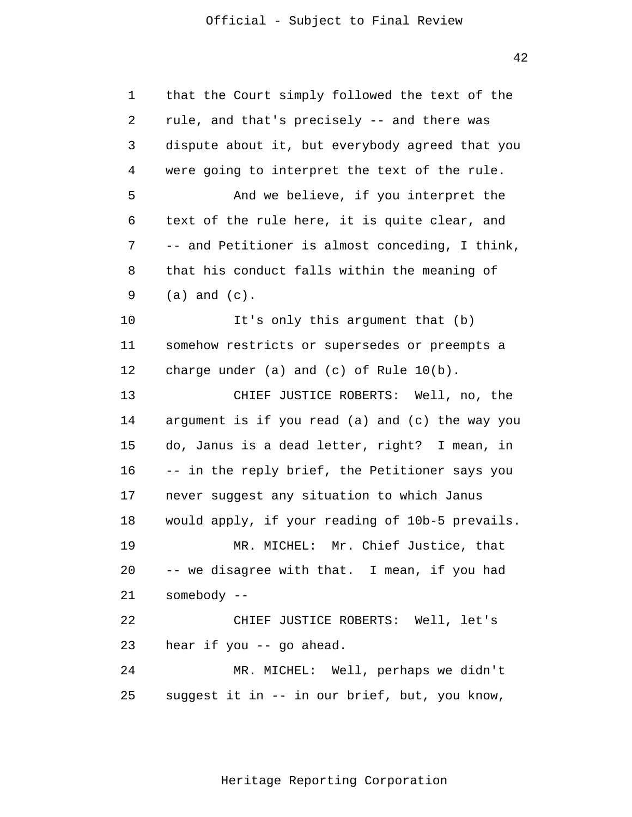42

1 2 3 4 5 6 7 8 9 10 11 12 13 14 15 16 17 18 19 20 21 22 23 24 25 that the Court simply followed the text of the rule, and that's precisely -- and there was dispute about it, but everybody agreed that you were going to interpret the text of the rule. And we believe, if you interpret the text of the rule here, it is quite clear, and -- and Petitioner is almost conceding, I think, that his conduct falls within the meaning of (a) and (c). It's only this argument that (b) somehow restricts or supersedes or preempts a charge under (a) and (c) of Rule 10(b). CHIEF JUSTICE ROBERTS: Well, no, the argument is if you read (a) and (c) the way you do, Janus is a dead letter, right? I mean, in -- in the reply brief, the Petitioner says you never suggest any situation to which Janus would apply, if your reading of 10b-5 prevails. MR. MICHEL: Mr. Chief Justice, that -- we disagree with that. I mean, if you had somebody - CHIEF JUSTICE ROBERTS: Well, let's hear if you -- go ahead. MR. MICHEL: Well, perhaps we didn't suggest it in -- in our brief, but, you know,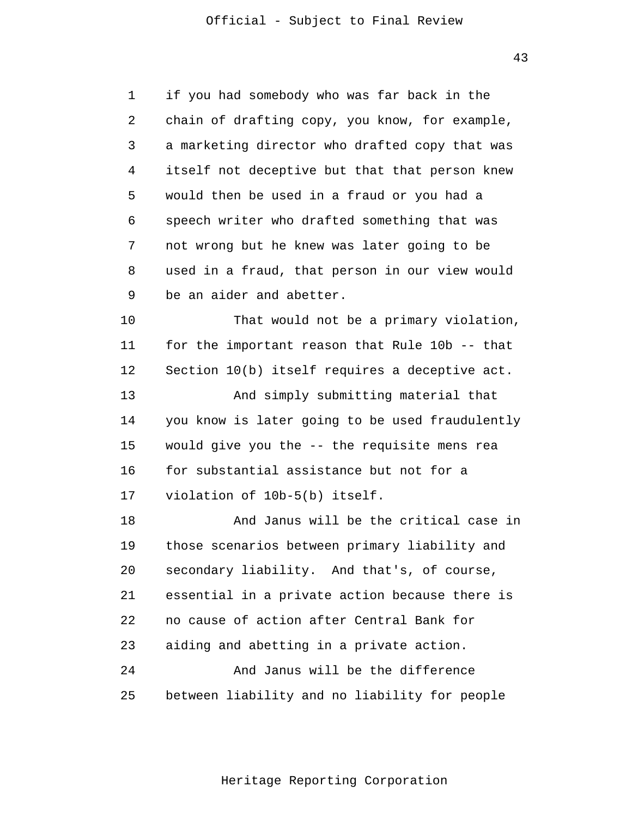43

1  $\overline{2}$ 3 4 5 6 7 8 9 10 11 12 13 14 15 16 17 18 19 20 21 22 23  $2.4$ 25 if you had somebody who was far back in the chain of drafting copy, you know, for example, a marketing director who drafted copy that was itself not deceptive but that that person knew would then be used in a fraud or you had a speech writer who drafted something that was not wrong but he knew was later going to be used in a fraud, that person in our view would be an aider and abetter. That would not be a primary violation, for the important reason that Rule 10b -- that Section 10(b) itself requires a deceptive act. And simply submitting material that you know is later going to be used fraudulently would give you the -- the requisite mens rea for substantial assistance but not for a violation of 10b-5(b) itself. And Janus will be the critical case in those scenarios between primary liability and secondary liability. And that's, of course, essential in a private action because there is no cause of action after Central Bank for aiding and abetting in a private action. And Janus will be the difference between liability and no liability for people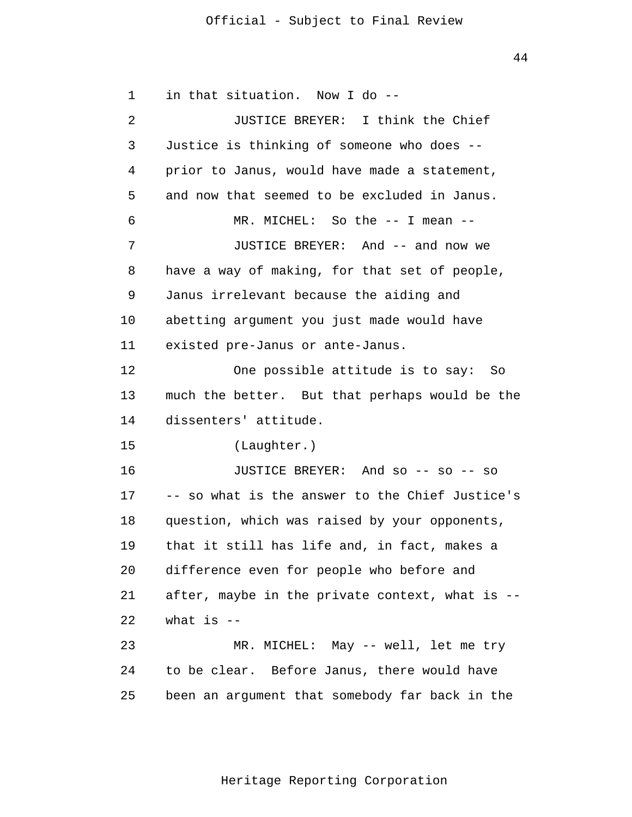44

1 2 3 4 5 6 7 8 9 10 11 12 13 14 15 16 17 18 19 20 21 22 23  $2.4$ 25 in that situation. Now I do - JUSTICE BREYER: I think the Chief Justice is thinking of someone who does prior to Janus, would have made a statement, and now that seemed to be excluded in Janus. MR. MICHEL: So the -- I mean --JUSTICE BREYER: And -- and now we have a way of making, for that set of people, Janus irrelevant because the aiding and abetting argument you just made would have existed pre-Janus or ante-Janus. One possible attitude is to say: So much the better. But that perhaps would be the dissenters' attitude. (Laughter.) JUSTICE BREYER: And so -- so -- so -- so what is the answer to the Chief Justice's question, which was raised by your opponents, that it still has life and, in fact, makes a difference even for people who before and after, maybe in the private context, what is what is  $-$ MR. MICHEL: May -- well, let me try to be clear. Before Janus, there would have been an argument that somebody far back in the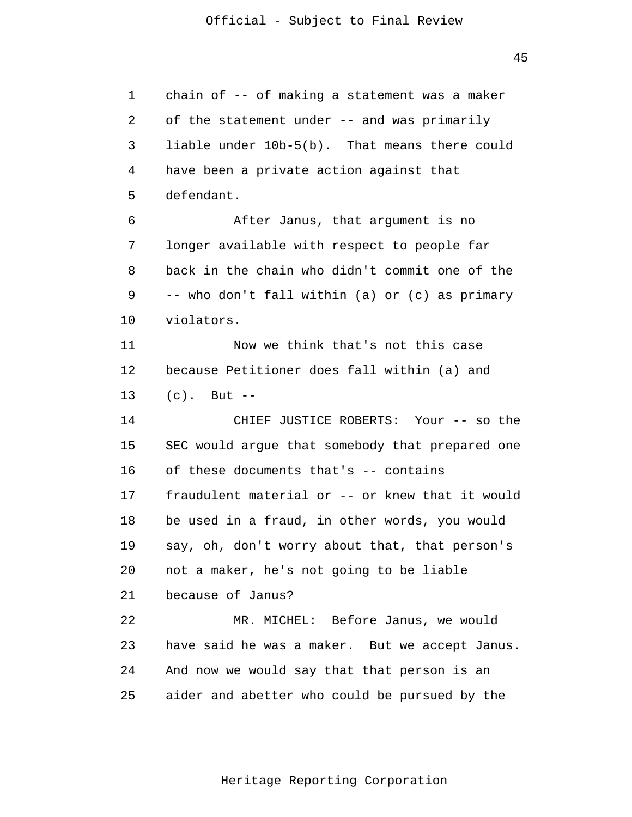liable under 10b-5(b). That means there could 1 2 3 4 5 6 7 8 9 10 11 12 13 14 15 16 17 18 19 20 21 22 23 24 25 chain of -- of making a statement was a maker of the statement under -- and was primarily have been a private action against that defendant. After Janus, that argument is no longer available with respect to people far back in the chain who didn't commit one of the -- who don't fall within (a) or (c) as primary violators. Now we think that's not this case because Petitioner does fall within (a) and  $(c)$ . But  $-$ CHIEF JUSTICE ROBERTS: Your -- so the SEC would argue that somebody that prepared one of these documents that's -- contains fraudulent material or -- or knew that it would be used in a fraud, in other words, you would say, oh, don't worry about that, that person's not a maker, he's not going to be liable because of Janus? MR. MICHEL: Before Janus, we would have said he was a maker. But we accept Janus. And now we would say that that person is an aider and abetter who could be pursued by the

45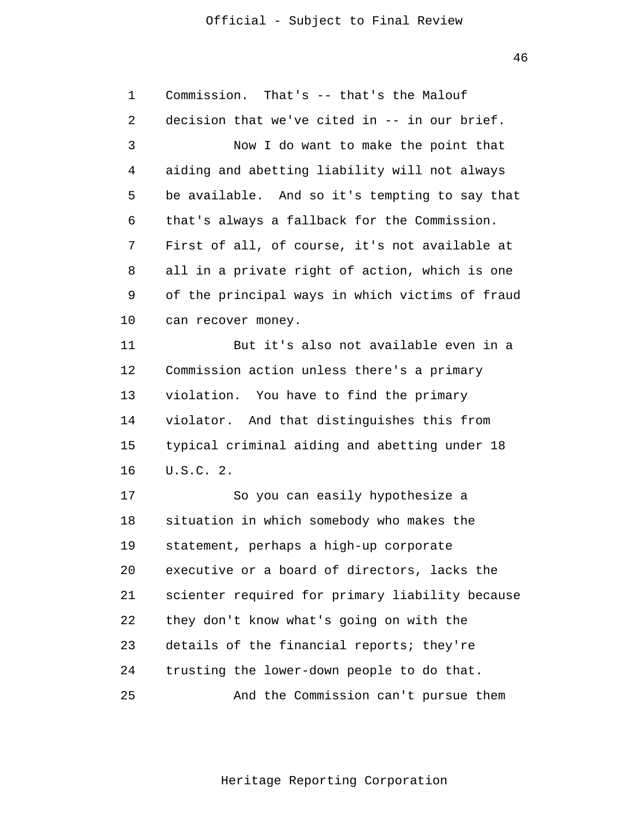46

| 1  | Commission. That's -- that's the Malouf         |  |  |
|----|-------------------------------------------------|--|--|
| 2  | decision that we've cited in -- in our brief.   |  |  |
| 3  | Now I do want to make the point that            |  |  |
| 4  | aiding and abetting liability will not always   |  |  |
| 5  | be available. And so it's tempting to say that  |  |  |
| 6  | that's always a fallback for the Commission.    |  |  |
| 7  | First of all, of course, it's not available at  |  |  |
| 8  | all in a private right of action, which is one  |  |  |
| 9  | of the principal ways in which victims of fraud |  |  |
| 10 | can recover money.                              |  |  |
| 11 | But it's also not available even in a           |  |  |
| 12 | Commission action unless there's a primary      |  |  |
| 13 | violation. You have to find the primary         |  |  |
| 14 | violator. And that distinguishes this from      |  |  |
| 15 | typical criminal aiding and abetting under 18   |  |  |
| 16 | U.S.C. 2.                                       |  |  |
| 17 | So you can easily hypothesize a                 |  |  |
| 18 | situation in which somebody who makes the       |  |  |
| 19 | statement, perhaps a high-up corporate          |  |  |
| 20 | executive or a board of directors, lacks the    |  |  |
| 21 | scienter required for primary liability because |  |  |
| 22 | they don't know what's going on with the        |  |  |
| 23 | details of the financial reports; they're       |  |  |
| 24 | trusting the lower-down people to do that.      |  |  |
| 25 | And the Commission can't pursue them            |  |  |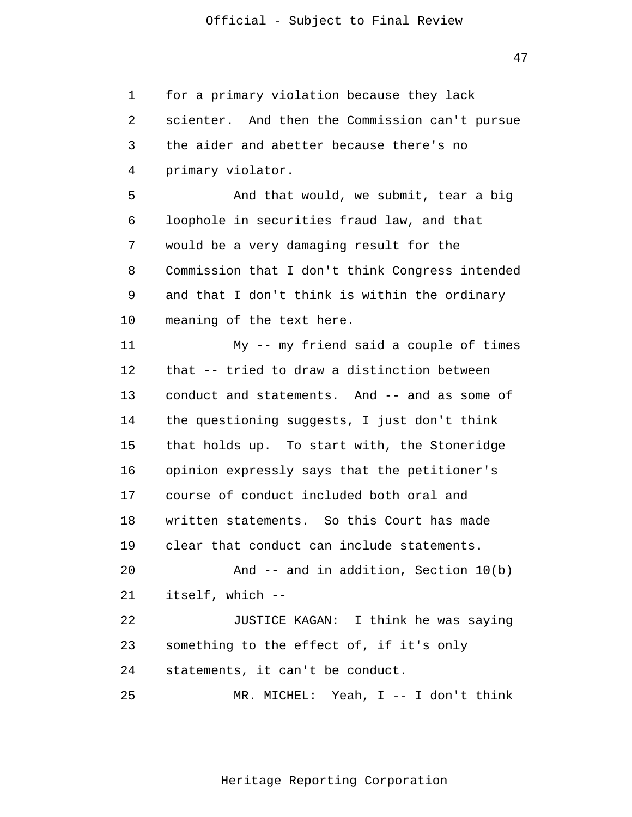47

1 2 3 4 5 6 7 8 9 10 11 12 13 14 15 16 17 18 19 20 21 22 23 24 25 for a primary violation because they lack scienter. And then the Commission can't pursue the aider and abetter because there's no primary violator. And that would, we submit, tear a big loophole in securities fraud law, and that would be a very damaging result for the Commission that I don't think Congress intended and that I don't think is within the ordinary meaning of the text here. My -- my friend said a couple of times that -- tried to draw a distinction between conduct and statements. And -- and as some of the questioning suggests, I just don't think that holds up. To start with, the Stoneridge opinion expressly says that the petitioner's course of conduct included both oral and written statements. So this Court has made clear that conduct can include statements. And -- and in addition, Section 10(b) itself, which - JUSTICE KAGAN: I think he was saying something to the effect of, if it's only statements, it can't be conduct. MR. MICHEL: Yeah, I -- I don't think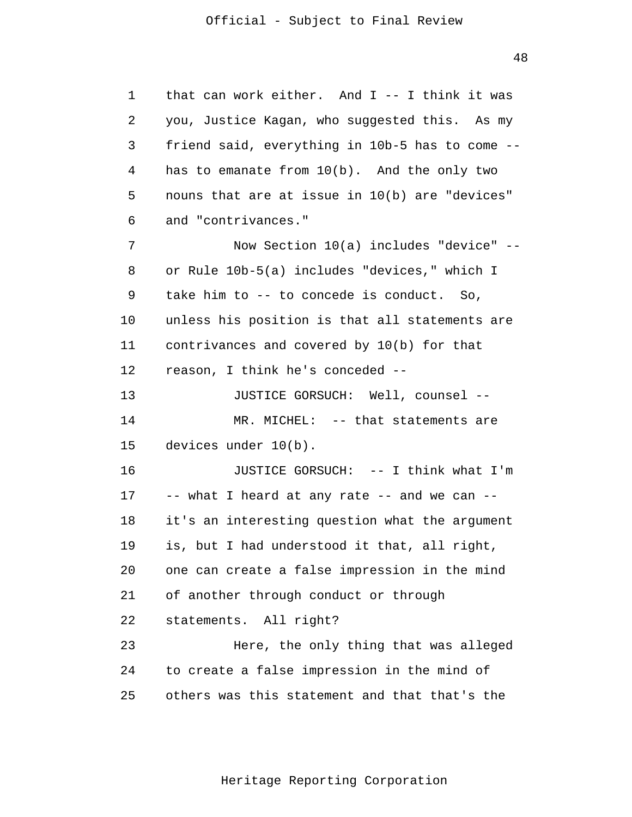48

1 2 3 4 5 6 7 8 9 10 11 12 13 14 15 16 17 18 19 20 21 22 23 24 25 that can work either. And  $I$  -- I think it was you, Justice Kagan, who suggested this. As my friend said, everything in 10b-5 has to come has to emanate from 10(b). And the only two nouns that are at issue in 10(b) are "devices" and "contrivances." Now Section 10(a) includes "device" or Rule 10b-5(a) includes "devices," which I take him to -- to concede is conduct. So, unless his position is that all statements are contrivances and covered by 10(b) for that reason, I think he's conceded - JUSTICE GORSUCH: Well, counsel - MR. MICHEL: -- that statements are devices under 10(b). JUSTICE GORSUCH: -- I think what I'm -- what I heard at any rate -- and we can -it's an interesting question what the argument is, but I had understood it that, all right, one can create a false impression in the mind of another through conduct or through statements. All right? Here, the only thing that was alleged to create a false impression in the mind of others was this statement and that that's the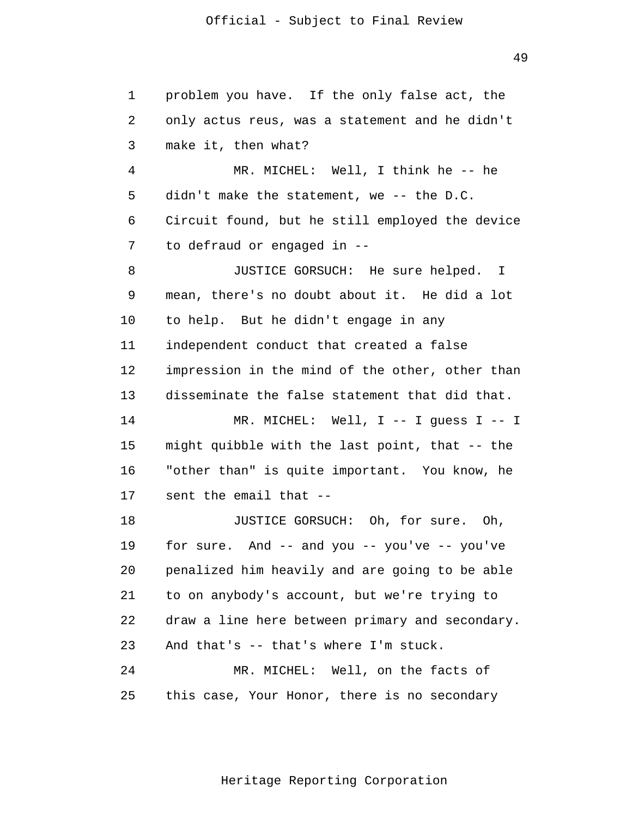49

1 2 3 4 5 6 7 8 9 10 11 12 13 14 15 16 17 18 19 20 21 22 23 24 25 problem you have. If the only false act, the only actus reus, was a statement and he didn't make it, then what? MR. MICHEL: Well, I think he -- he didn't make the statement, we -- the D.C. Circuit found, but he still employed the device to defraud or engaged in - JUSTICE GORSUCH: He sure helped. I mean, there's no doubt about it. He did a lot to help. But he didn't engage in any independent conduct that created a false impression in the mind of the other, other than disseminate the false statement that did that. MR. MICHEL: Well, I -- I guess I -- I might quibble with the last point, that -- the "other than" is quite important. You know, he sent the email that - JUSTICE GORSUCH: Oh, for sure. Oh, for sure. And  $-$  and you  $-$  you've  $-$  you've penalized him heavily and are going to be able to on anybody's account, but we're trying to draw a line here between primary and secondary. And that's -- that's where I'm stuck. MR. MICHEL: Well, on the facts of this case, Your Honor, there is no secondary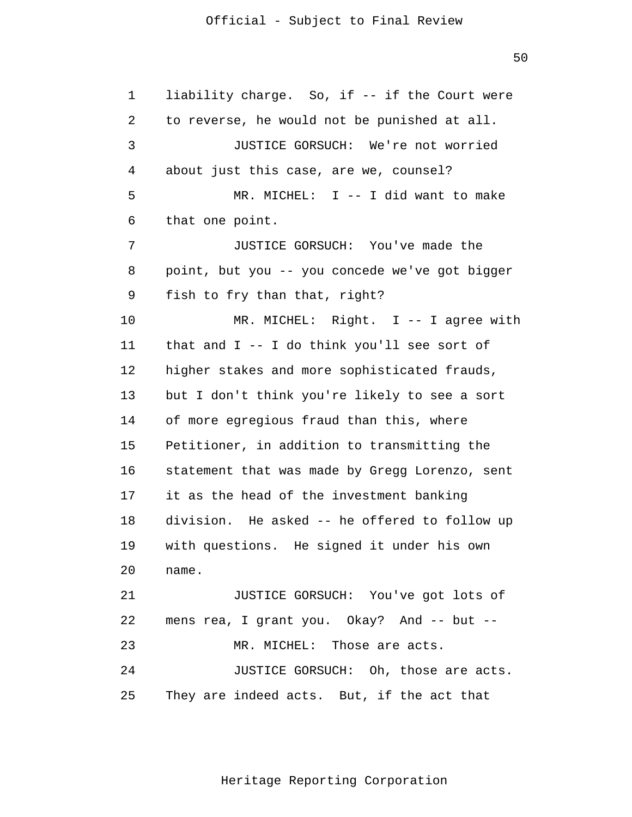50

1 2 3 4 5 6 7 8 9 10 11 12 13 14 15 16 17 18 19 20 21 22 23 24 25 liability charge. So, if -- if the Court were to reverse, he would not be punished at all. JUSTICE GORSUCH: We're not worried about just this case, are we, counsel? MR. MICHEL: I -- I did want to make that one point. JUSTICE GORSUCH: You've made the point, but you -- you concede we've got bigger fish to fry than that, right? MR. MICHEL: Right. I -- I agree with that and I -- I do think you'll see sort of higher stakes and more sophisticated frauds, but I don't think you're likely to see a sort of more egregious fraud than this, where Petitioner, in addition to transmitting the statement that was made by Gregg Lorenzo, sent it as the head of the investment banking division. He asked -- he offered to follow up with questions. He signed it under his own name. JUSTICE GORSUCH: You've got lots of mens rea, I grant you. Okay? And -- but --MR. MICHEL: Those are acts. JUSTICE GORSUCH: Oh, those are acts. They are indeed acts. But, if the act that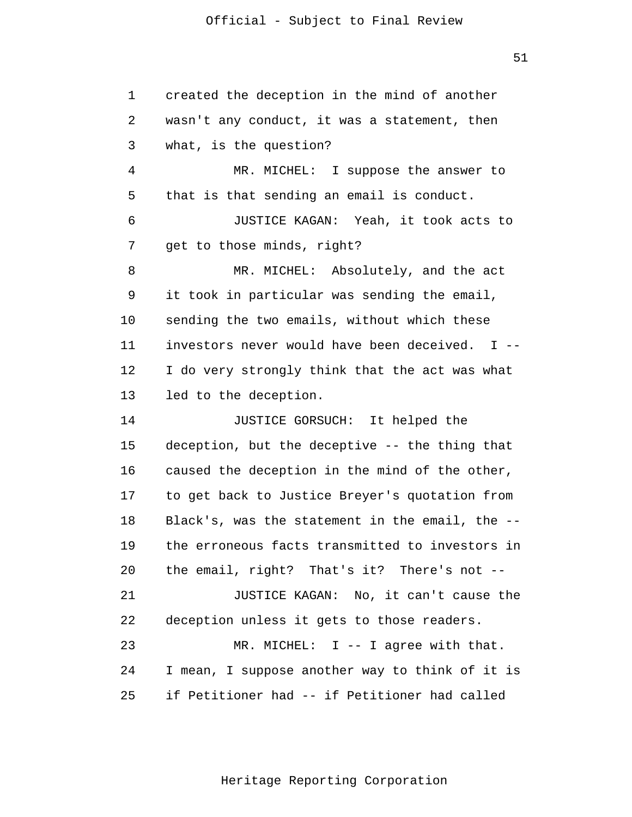1 2 3 4 5 6 7 8 9 10 11 12 13 14 15 16 17 18 19 20 21 22 23 24 25 created the deception in the mind of another wasn't any conduct, it was a statement, then what, is the question? MR. MICHEL: I suppose the answer to that is that sending an email is conduct. JUSTICE KAGAN: Yeah, it took acts to get to those minds, right? MR. MICHEL: Absolutely, and the act it took in particular was sending the email, sending the two emails, without which these investors never would have been deceived. I - I do very strongly think that the act was what led to the deception. JUSTICE GORSUCH: It helped the deception, but the deceptive -- the thing that caused the deception in the mind of the other, to get back to Justice Breyer's quotation from Black's, was the statement in the email, the the erroneous facts transmitted to investors in the email, right? That's it? There's not - JUSTICE KAGAN: No, it can't cause the deception unless it gets to those readers. MR. MICHEL: I -- I agree with that. I mean, I suppose another way to think of it is if Petitioner had -- if Petitioner had called

Heritage Reporting Corporation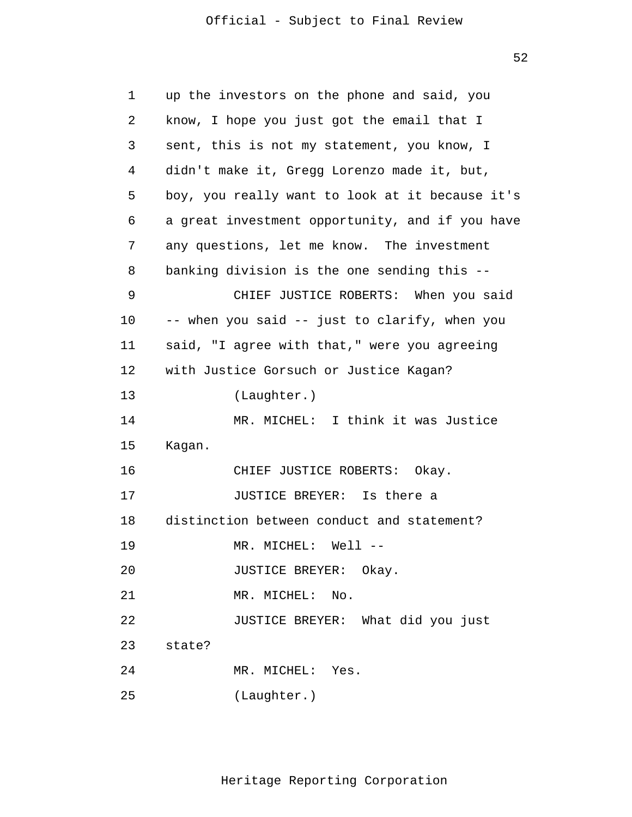52

| $\mathbf 1$ | up the investors on the phone and said, you     |  |  |
|-------------|-------------------------------------------------|--|--|
| 2           | know, I hope you just got the email that I      |  |  |
| 3           | sent, this is not my statement, you know, I     |  |  |
| 4           | didn't make it, Gregg Lorenzo made it, but,     |  |  |
| 5           | boy, you really want to look at it because it's |  |  |
| 6           | a great investment opportunity, and if you have |  |  |
| 7           | any questions, let me know. The investment      |  |  |
| 8           | banking division is the one sending this --     |  |  |
| 9           | CHIEF JUSTICE ROBERTS: When you said            |  |  |
| 10          | -- when you said -- just to clarify, when you   |  |  |
| 11          | said, "I agree with that," were you agreeing    |  |  |
| 12          | with Justice Gorsuch or Justice Kagan?          |  |  |
| 13          | (Laughter.)                                     |  |  |
| 14          | MR. MICHEL: I think it was Justice              |  |  |
| 15          | Kagan.                                          |  |  |
| 16          | CHIEF JUSTICE ROBERTS: Okay.                    |  |  |
| 17          | JUSTICE BREYER: Is there a                      |  |  |
| 18          | distinction between conduct and statement?      |  |  |
| 19          | MR. MICHEL:<br>Well --                          |  |  |
| 20          | JUSTICE BREYER: Okay.                           |  |  |
| 21          | MR. MICHEL:<br>No.                              |  |  |
| 22          | JUSTICE BREYER: What did you just               |  |  |
| 23          | state?                                          |  |  |
| 24          | MR. MICHEL: Yes.                                |  |  |
| 25          | (Laughter.)                                     |  |  |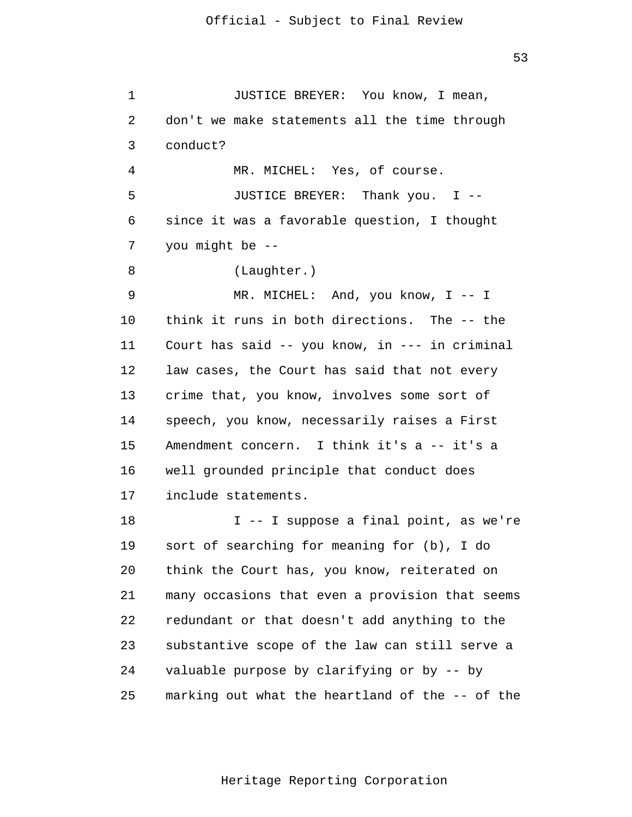1 2 3 4 5 6 7 8 9 10 11 12 13 14 15 16 17 18 19 20 21 22 23 24 JUSTICE BREYER: You know, I mean, don't we make statements all the time through conduct? MR. MICHEL: Yes, of course. JUSTICE BREYER: Thank you. I since it was a favorable question, I thought you might be - (Laughter.) MR. MICHEL: And, you know, I -- I think it runs in both directions. The -- the Court has said -- you know, in --- in criminal law cases, the Court has said that not every crime that, you know, involves some sort of speech, you know, necessarily raises a First Amendment concern. I think it's a -- it's a well grounded principle that conduct does include statements. I -- I suppose a final point, as we're sort of searching for meaning for (b), I do think the Court has, you know, reiterated on many occasions that even a provision that seems redundant or that doesn't add anything to the substantive scope of the law can still serve a valuable purpose by clarifying or by -- by

25 marking out what the heartland of the -- of the

Heritage Reporting Corporation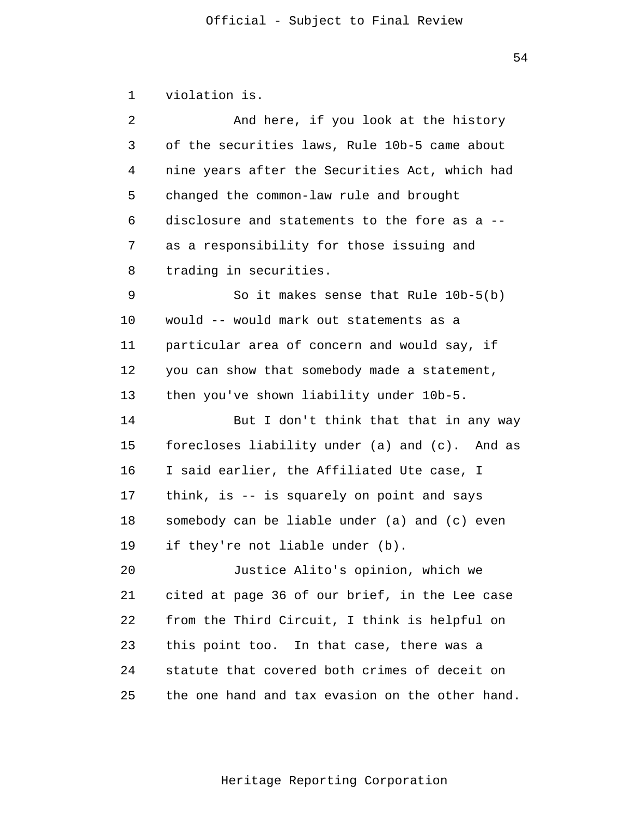| violation is. |  |
|---------------|--|
|               |  |

| 2  | And here, if you look at the history            |
|----|-------------------------------------------------|
| 3  | of the securities laws, Rule 10b-5 came about   |
| 4  | nine years after the Securities Act, which had  |
| 5  | changed the common-law rule and brought         |
| 6  | disclosure and statements to the fore as a --   |
| 7  | as a responsibility for those issuing and       |
| 8  | trading in securities.                          |
| 9  | So it makes sense that Rule $10b-5(b)$          |
| 10 | would -- would mark out statements as a         |
| 11 | particular area of concern and would say, if    |
| 12 | you can show that somebody made a statement,    |
| 13 | then you've shown liability under 10b-5.        |
| 14 | But I don't think that that in any way          |
| 15 | forecloses liability under (a) and (c). And as  |
| 16 | I said earlier, the Affiliated Ute case, I      |
| 17 | think, is -- is squarely on point and says      |
| 18 | somebody can be liable under (a) and (c) even   |
| 19 | if they're not liable under (b).                |
| 20 | Justice Alito's opinion, which we               |
| 21 | cited at page 36 of our brief, in the Lee case  |
| 22 | from the Third Circuit, I think is helpful on   |
| 23 | this point too. In that case, there was a       |
| 24 | statute that covered both crimes of deceit on   |
| 25 | the one hand and tax evasion on the other hand. |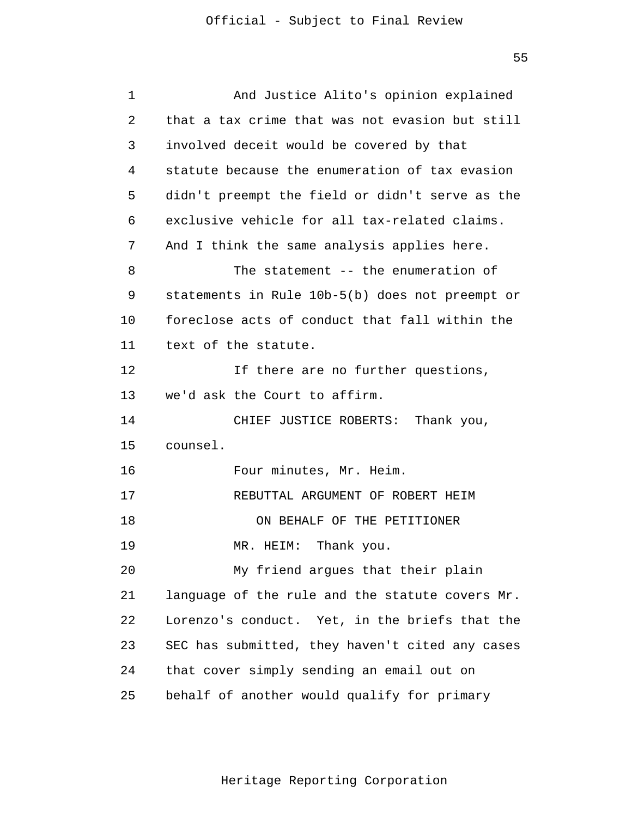| $\mathbf 1$ | And Justice Alito's opinion explained           |
|-------------|-------------------------------------------------|
| 2           | that a tax crime that was not evasion but still |
| 3           | involved deceit would be covered by that        |
| 4           | statute because the enumeration of tax evasion  |
| 5           | didn't preempt the field or didn't serve as the |
| 6           | exclusive vehicle for all tax-related claims.   |
| 7           | And I think the same analysis applies here.     |
| 8           | The statement -- the enumeration of             |
| 9           | statements in Rule 10b-5(b) does not preempt or |
| 10          | foreclose acts of conduct that fall within the  |
| 11          | text of the statute.                            |
| 12          | If there are no further questions,              |
| 13          | we'd ask the Court to affirm.                   |
| 14          | CHIEF JUSTICE ROBERTS: Thank you,               |
| 15          | counsel.                                        |
| 16          | Four minutes, Mr. Heim.                         |
| 17          | REBUTTAL ARGUMENT OF ROBERT HEIM                |
| 18          | ON BEHALF OF THE PETITIONER                     |
| 19          | MR. HEIM: Thank you.                            |
| 20          | My friend argues that their plain               |
| 21          | language of the rule and the statute covers Mr. |
| 22          | Lorenzo's conduct. Yet, in the briefs that the  |
| 23          | SEC has submitted, they haven't cited any cases |
| 24          | that cover simply sending an email out on       |
| 25          | behalf of another would qualify for primary     |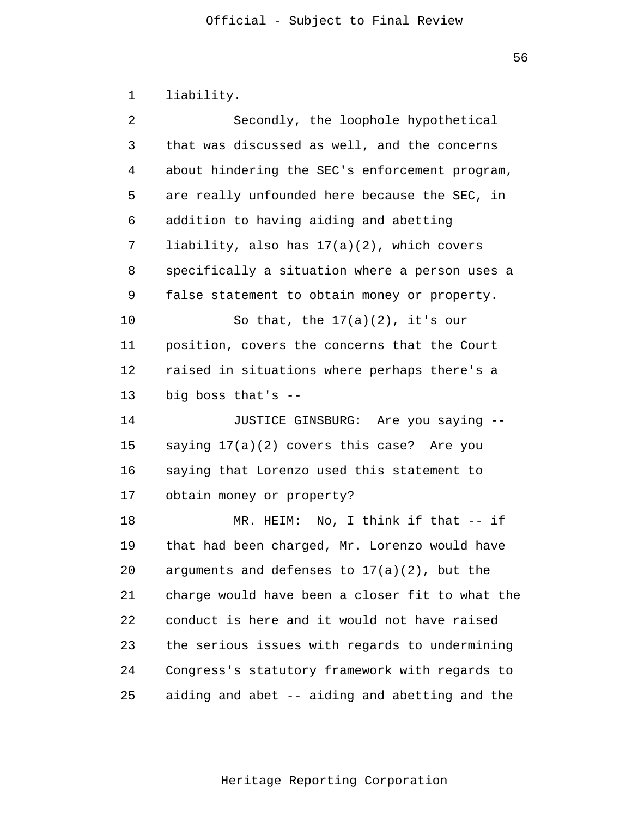|  | liability |  |
|--|-----------|--|
|--|-----------|--|

| 2       | Secondly, the loophole hypothetical             |
|---------|-------------------------------------------------|
| 3       | that was discussed as well, and the concerns    |
| 4       | about hindering the SEC's enforcement program,  |
| 5       | are really unfounded here because the SEC, in   |
| 6       | addition to having aiding and abetting          |
| 7       | liability, also has $17(a)(2)$ , which covers   |
| 8       | specifically a situation where a person uses a  |
| 9       | false statement to obtain money or property.    |
| $10 \,$ | So that, the $17(a)(2)$ , it's our              |
| 11      | position, covers the concerns that the Court    |
| 12      | raised in situations where perhaps there's a    |
| 13      | big boss that's --                              |
| 14      | JUSTICE GINSBURG: Are you saying --             |
| 15      | saying 17(a)(2) covers this case? Are you       |
| 16      | saying that Lorenzo used this statement to      |
| 17      | obtain money or property?                       |
| 18      | MR. HEIM: No, I think if that $--$ if           |
| 19      | that had been charged, Mr. Lorenzo would have   |
| 20      | arguments and defenses to $17(a)(2)$ , but the  |
| 21      | charge would have been a closer fit to what the |
| 22      | conduct is here and it would not have raised    |
| 23      | the serious issues with regards to undermining  |
| 24      | Congress's statutory framework with regards to  |
| 25      | aiding and abet -- aiding and abetting and the  |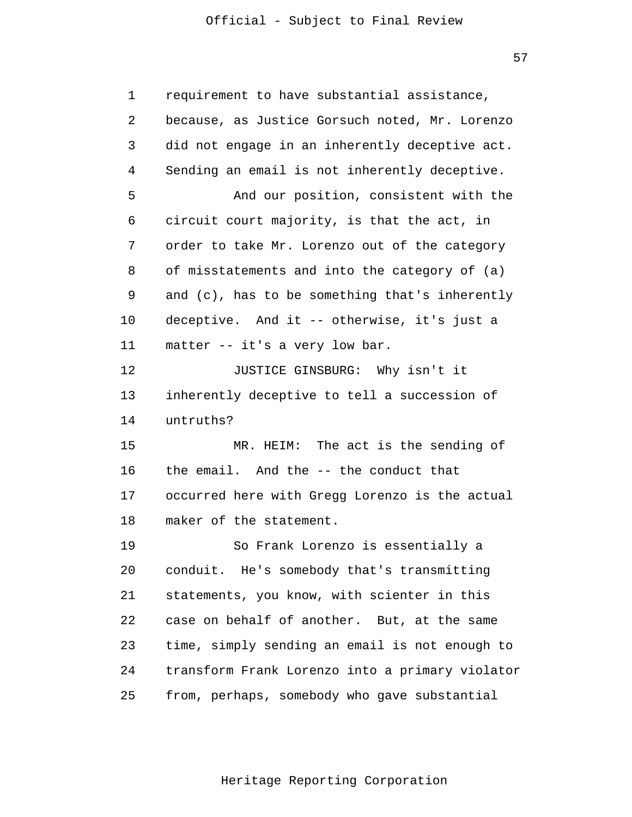57

| $\mathbf 1$ | requirement to have substantial assistance,     |
|-------------|-------------------------------------------------|
| 2           | because, as Justice Gorsuch noted, Mr. Lorenzo  |
| 3           | did not engage in an inherently deceptive act.  |
| 4           | Sending an email is not inherently deceptive.   |
| 5           | And our position, consistent with the           |
| 6           | circuit court majority, is that the act, in     |
| 7           | order to take Mr. Lorenzo out of the category   |
| 8           | of misstatements and into the category of (a)   |
| 9           | and (c), has to be something that's inherently  |
| 10          | deceptive. And it -- otherwise, it's just a     |
| 11          | matter -- it's a very low bar.                  |
| 12          | JUSTICE GINSBURG: Why isn't it                  |
| 13          | inherently deceptive to tell a succession of    |
| 14          | untruths?                                       |
| 15          | MR. HEIM: The act is the sending of             |
| 16          | the email. And the -- the conduct that          |
| 17          | occurred here with Gregg Lorenzo is the actual  |
| 18          | maker of the statement.                         |
| 19          | So Frank Lorenzo is essentially a               |
| 20          | conduit. He's somebody that's transmitting      |
| 21          | statements, you know, with scienter in this     |
| 22          | case on behalf of another. But, at the same     |
| 23          | time, simply sending an email is not enough to  |
| 24          | transform Frank Lorenzo into a primary violator |
| 25          | from, perhaps, somebody who gave substantial    |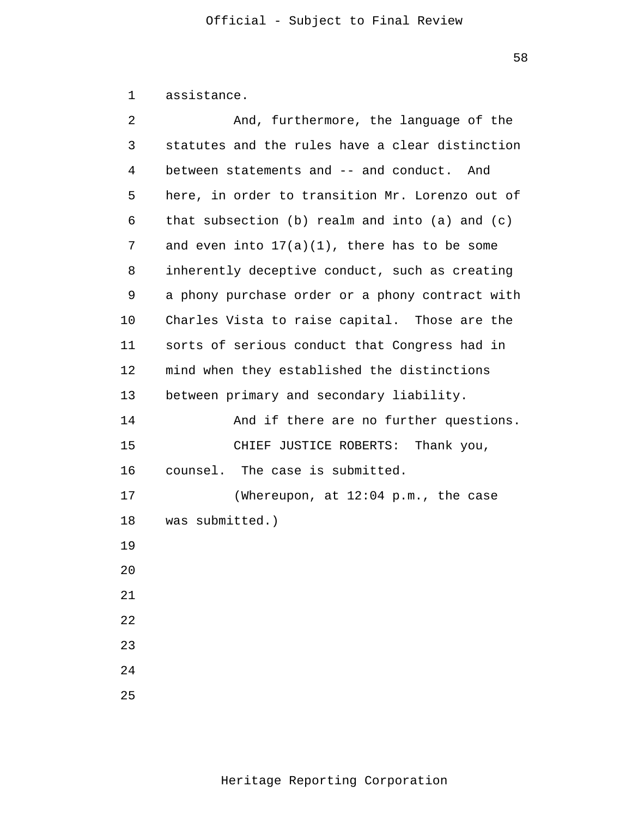```
1
assistance.
```

| 2  | And, furthermore, the language of the           |
|----|-------------------------------------------------|
| 3  | statutes and the rules have a clear distinction |
| 4  | between statements and -- and conduct. And      |
| 5  | here, in order to transition Mr. Lorenzo out of |
| 6  | that subsection (b) realm and into (a) and (c)  |
| 7  | and even into $17(a)(1)$ , there has to be some |
| 8  | inherently deceptive conduct, such as creating  |
| 9  | a phony purchase order or a phony contract with |
| 10 | Charles Vista to raise capital. Those are the   |
| 11 | sorts of serious conduct that Congress had in   |
| 12 | mind when they established the distinctions     |
| 13 | between primary and secondary liability.        |
| 14 | And if there are no further questions.          |
| 15 | CHIEF JUSTICE ROBERTS:<br>Thank you,            |
| 16 | counsel. The case is submitted.                 |
| 17 | (Whereupon, at 12:04 p.m., the case             |
| 18 | was submitted.)                                 |
| 19 |                                                 |
| 20 |                                                 |
| 21 |                                                 |
| 22 |                                                 |
| 23 |                                                 |
| 24 |                                                 |
| 25 |                                                 |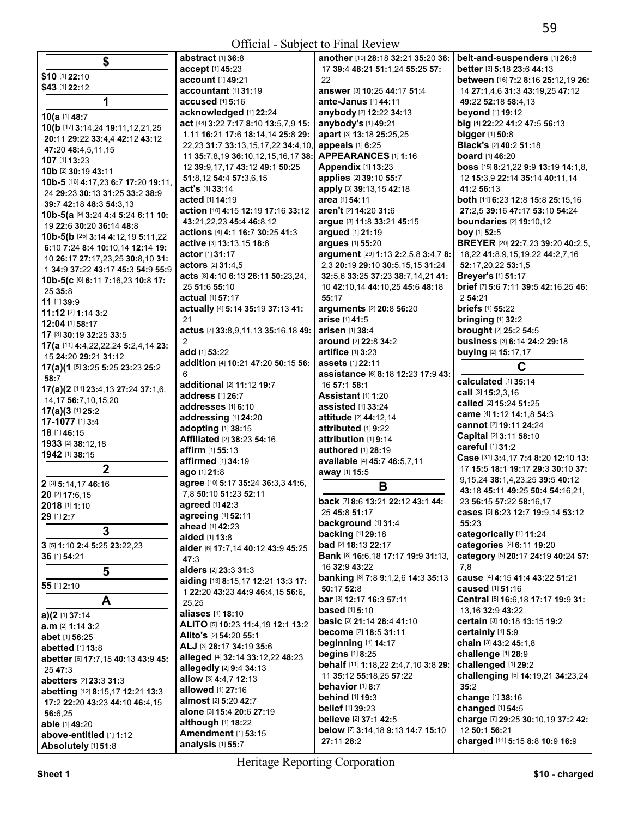| <b>Official - Subject to Final Review</b>                             |                                                          |                                              |                                                                       |
|-----------------------------------------------------------------------|----------------------------------------------------------|----------------------------------------------|-----------------------------------------------------------------------|
| \$                                                                    | abstract [1] 36:8                                        | another [10] 28:18 32:21 35:20 36:           | belt-and-suspenders [1] 26:8                                          |
|                                                                       | accept [1] 45:23                                         | 17 39:4 48:21 51:1,24 55:25 57:              | better [3] 5:18 23:6 44:13                                            |
| \$10 [1] 22:10                                                        | account [1] 49:21                                        | 22                                           | between [16] 7:2 8:16 25:12,19 26:                                    |
| \$43 [1] 22:12                                                        | accountant [1] 31:19                                     | answer [3] 10:25 44:17 51:4                  | 14 27:1,4,6 31:3 43:19,25 47:12                                       |
| 1                                                                     | accused [1] 5:16                                         | ante-Janus [1] 44:11                         | 49:22 52:18 58:4,13                                                   |
| 10(a [1] 48:7                                                         | acknowledged [1] 22:24                                   | anybody [2] 12:22 34:13                      | beyond [1] 19:12                                                      |
| 10(b [17] 3:14,24 19:11,12,21,25                                      | act [44] 3:22 7:17 8:10 13:5,7,9 15:                     | anybody's [1] 49:21                          | big [4] 22:22 41:2 47:5 56:13                                         |
| 20:11 29:22 33:4,4 42:12 43:12                                        | 1,11 16:21 17:6 18:14,14 25:8 29:                        | apart [3] 13:18 25:25,25                     | bigger [1] 50:8                                                       |
| 47:20 48:4,5,11,15                                                    | 22,23 31:7 33:13,15,17,22 34:4,10,                       | appeals [1] 6:25                             | Black's [2] 40:2 51:18                                                |
| 107 [1] 13:23                                                         | 11 35:7,8,19 36:10,12,15,16,17 38:                       | <b>APPEARANCES [1] 1:16</b>                  | <b>board</b> [1] 46:20                                                |
| 10b [2] 30:19 43:11                                                   | 12 39:9,17,17 43:12 49:1 50:25<br>51:8,12 54:4 57:3,6,15 | Appendix [1] 13:23<br>applies [2] 39:10 55:7 | boss [15] 8:21,22 9:9 13:19 14:1,8,<br>12 15:3,9 22:14 35:14 40:11,14 |
| 10b-5 [16] 4:17,23 6:7 17:20 19:11,                                   | act's [1] 33:14                                          | apply [3] 39:13,15 42:18                     | 41:2 56:13                                                            |
| 24 29:23 30:13 31:25 33:2 38:9                                        | acted [1] 14:19                                          | area [1] 54:11                               | both [11] 6:23 12:8 15:8 25:15,16                                     |
| 39:7 42:18 48:3 54:3,13                                               | action [10] 4:15 12:19 17:16 33:12                       | aren't [2] 14:20 31:6                        | 27:2,5 39:16 47:17 53:10 54:24                                        |
| 10b-5(a [9] 3:24 4:4 5:24 6:11 10:                                    | 43:21,22,23 45:4 46:8,12                                 | argue [3] 11:8 33:21 45:15                   | <b>boundaries</b> [2] 19:10,12                                        |
| 19 22:6 30:20 36:14 48:8                                              | actions [4] 4:1 16:7 30:25 41:3                          | argued [1] 21:19                             | boy [1] 52:5                                                          |
| 10b-5(b [25] 3:14 4:12,19 5:11,22                                     | active [3] 13:13,15 18:6                                 | argues [1] 55:20                             | BREYER [20] 22:7,23 39:20 40:2,5,                                     |
| 6:10 7:24 8:4 10:10,14 12:14 19:                                      | <b>actor</b> [1] <b>31:17</b>                            | argument [29] 1:13 2:2,5,8 3:4,7 8:          | 18,22 41:8,9,15,19,22 44:2,7,16                                       |
| 10 26:17 27:17,23,25 30:8,10 31:<br>1 34:9 37:22 43:17 45:3 54:9 55:9 | actors [2] 31:4,5                                        | 2,3 20:19 29:10 30:5,15,15 31:24             | 52:17,20,22 53:1,5                                                    |
| 10b-5(c [6] 6:11 7:16,23 10:8 17:                                     | acts [8] 4:10 6:13 26:11 50:23,24,                       | 32:5,6 33:25 37:23 38:7,14,21 41:            | Breyer's [1] 51:17                                                    |
| 25 35:8                                                               | 25 51:6 55:10                                            | 10 42:10.14 44:10.25 45:6 48:18              | brief [7] 5:6 7:11 39:5 42:16,25 46:                                  |
| $11$ [1] $39:9$                                                       | actual [1] 57:17                                         | 55:17                                        | 2 54:21                                                               |
| 11:12 [2] 1:14 3:2                                                    | actually [4] 5:14 35:19 37:13 41:                        | arguments [2] 20:8 56:20                     | <b>briefs</b> [1] 55:22                                               |
| 12:04 [1] 58:17                                                       | 21                                                       | arise [1] 41:5                               | <b>bringing [1] 32:2</b>                                              |
| 17 [3] 30:19 32:25 33:5                                               | actus [7] 33:8,9,11,13 35:16,18 49:                      | arisen [1] 38:4                              | brought [2] 25:2 54:5                                                 |
| <b>17(a</b> [11] <b>4:</b> 4,22,22,24 <b>5:</b> 2,4,14 <b>23:</b>     | $\overline{2}$                                           | around [2] 22:8 34:2                         | business [3] 6:14 24:2 29:18                                          |
| 15 24:20 29:21 31:12                                                  | add [1] 53:22                                            | artifice [1] 3:23                            | buying [2] 15:17,17                                                   |
| 17(a)(1 [5] 3:25 5:25 23:23 25:2                                      | addition [4] 10:21 47:20 50:15 56:                       | <b>assets</b> [1] 22:11                      | C                                                                     |
| 58:7                                                                  | 6                                                        | assistance [6] 8:18 12:23 17:9 43:           | calculated [1] 35:14                                                  |
| 17(a)(2 [11] 23:4,13 27:24 37:1,6,                                    | additional [2] 11:12 19:7<br>address [1] 26:7            | 16 57:1 58:1<br>Assistant [1] 1:20           | call [3] 15:2,3,16                                                    |
| 14,17 56:7,10,15,20                                                   | addresses [1] 6:10                                       | assisted [1] 33:24                           | called [2] 15:24 51:25                                                |
| 17(a)(3[1]25:2]                                                       | addressing [1] 24:20                                     | attitude [2] 44:12,14                        | came [4] 1:12 14:1,8 54:3                                             |
| 17-1077 [1] 3:4                                                       | adopting [1] 38:15                                       | attributed [1] 9:22                          | cannot [2] 19:11 24:24                                                |
| 18 [1] 46:15                                                          | Affiliated [2] 38:23 54:16                               | attribution [1] 9:14                         | Capital [2] 3:11 58:10                                                |
| 1933 [2] 38:12,18                                                     | <b>affirm</b> [1] <b>55:13</b>                           | authored [1] 28:19                           | careful [1] 31:2                                                      |
| 1942 [1] 38:15                                                        | affirmed [1] 34:19                                       | available [4] 45:7 46:5,7,11                 | Case [31] 3:4,17 7:4 8:20 12:10 13:                                   |
| $\boldsymbol{2}$                                                      | ago [1] 21:8                                             | away [1] 15:5                                | 17 15:5 18:1 19:17 29:3 30:10 37:                                     |
| 2 [3] 5:14,17 46:16                                                   | agree [10] 5:17 35:24 36:3,3 41:6,                       | B                                            | 9, 15, 24 38: 1, 4, 23, 25 39: 5 40: 12                               |
| 20 [2] 17:6,15                                                        | 7,8 50:10 51:23 52:11                                    |                                              | 43:18 45:11 49:25 50:4 54:16,21,                                      |
| 2018 [1] 1:10                                                         | agreed $[1]$ 42:3                                        | back [7] 8:6 13:21 22:12 43:1 44:            | 23 56:15 57:22 58:16,17                                               |
| 29 [1] 2:7                                                            | agreeing [1] 52:11                                       | 25 45:8 51:17<br>background [1] 31:4         | cases [6] 6:23 12:7 19:9,14 53:12<br>55:23                            |
| 3                                                                     | ahead [1] 42:23                                          | <b>backing [1] 29:18</b>                     | categorically [1] 11:24                                               |
| 3 [5] 1:10 2:4 5:25 23:22,23                                          | <b>aided</b> [1] <b>13:</b> 8                            | bad [2] 18:13 22:17                          | categories [2] 6:11 19:20                                             |
| 36 [1] 54:21                                                          | aider [6] 17:7,14 40:12 43:9 45:25                       | <b>Bank</b> [8] 16:6,18 17:17 19:9 31:13,    | category [5] 20:17 24:19 40:24 57:                                    |
|                                                                       | 47:3<br>aiders [2] 23:3 31:3                             | 16 32:9 43:22                                | 7,8                                                                   |
| 5                                                                     | aiding [13] 8:15,17 12:21 13:3 17:                       | banking [8] 7:8 9:1,2,6 14:3 35:13           | cause [4] 4:15 41:4 43:22 51:21                                       |
| 55 [1] 2:10                                                           | 1 22:20 43:23 44:9 46:4,15 56:6,                         | 50:17 52:8                                   | <b>caused</b> [1] <b>51:1</b> 6                                       |
| A                                                                     | 25,25                                                    | bar [3] 12:17 16:3 57:11                     | Central [8] 16:6, 18 17:17 19:9 31:                                   |
| a)(2 [1] 37:14                                                        | aliases [1] 18:10                                        | <b>based</b> [1] <b>5:</b> 10                | 13,16 32:9 43:22                                                      |
| a.m [2] 1:14 3:2                                                      | ALITO [5] 10:23 11:4,19 12:1 13:2                        | basic [3] 21:14 28:4 41:10                   | certain [3] 10:18 13:15 19:2                                          |
| abet [1] 56:25                                                        | Alito's [2] 54:20 55:1                                   | become [2] 18:5 31:11                        | certainly [1] 5:9                                                     |
| abetted [1] 13:8                                                      | ALJ [3] 28:17 34:19 35:6                                 | beginning [1] 14:17                          | chain [3] 43:2 45:1,8                                                 |
| abetter [6] 17:7,15 40:13 43:9 45:                                    | alleged [4] 32:14 33:12,22 48:23                         | begins [1] 8:25                              | challenge [1] 28:9                                                    |
| 25 47:3                                                               | allegedly [2] 9:4 34:13                                  | behalf [11] 1:18,22 2:4,7,10 3:8 29:         | challenged [1] 29:2                                                   |
| abetters [2] 23:3 31:3                                                | allow [3] 4:4,7 12:13                                    | 11 35:12 55:18,25 57:22                      | challenging [5] 14:19,21 34:23,24                                     |
| abetting [12] 8:15,17 12:21 13:3                                      | allowed [1] 27:16                                        | behavior [1] 8:7                             | 35:2                                                                  |
| 17:2 22:20 43:23 44:10 46:4,15                                        | almost [2] 5:20 42:7                                     | <b>behind</b> [1] 19:3                       | change [1] 38:16                                                      |
| 56:6,25                                                               | alone [3] 15:4 20:6 27:19                                | belief [1] 39:23<br>believe [2] 37:1 42:5    | changed [1] 54:5<br>charge [7] 29:25 30:10,19 37:2 42:                |
| able [1] 49:20                                                        | although [1] 18:22                                       | below [7] 3:14,18 9:13 14:7 15:10            | 12 50:1 56:21                                                         |
| above-entitled [1] 1:12                                               | <b>Amendment</b> [1] 53:15                               | 27:11 28:2                                   | charged [11] 5:15 8:8 10:9 16:9                                       |
| Absolutely [1] 51:8                                                   | analysis [1] 55:7                                        |                                              |                                                                       |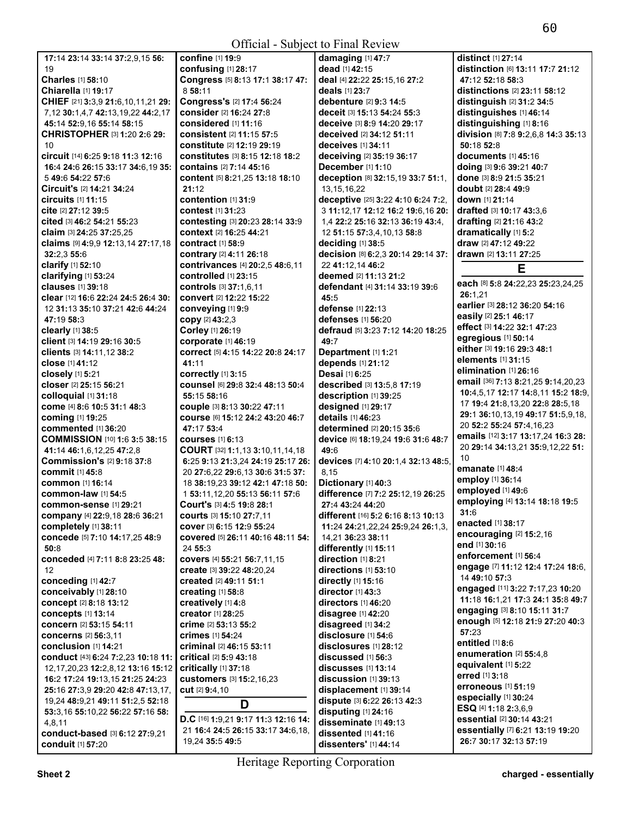| <b>Official - Subject to Final Review</b>                  |                                                     |                                              |                                                    |
|------------------------------------------------------------|-----------------------------------------------------|----------------------------------------------|----------------------------------------------------|
| 17:14 23:14 33:14 37:2,9,15 56:                            | confine [1] 19:9                                    | damaging [1] 47:7                            | distinct [1] 27:14                                 |
| 19                                                         | confusing [1] 28:17                                 | dead [1] 42:15                               | distinction [6] 13:11 17:7 21:12                   |
| <b>Charles</b> [1] 58:10                                   | Congress [5] 8:13 17:1 38:17 47:                    | deal [4] 22:22 25:15,16 27:2                 | 47:12 52:18 58:3                                   |
| Chiarella [1] 19:17                                        | 8 58:11                                             | deals [1] 23:7                               | distinctions [2] 23:11 58:12                       |
| CHIEF [21] 3:3,9 21:6,10,11,21 29:                         | Congress's [2] 17:4 56:24                           | <b>debenture</b> [2] 9:3 14:5                | distinguish [2] 31:2 34:5                          |
| 7,12 30:1,4,7 42:13,19,22 44:2,17                          | consider [2] 16:24 27:8                             | deceit [3] 15:13 54:24 55:3                  | distinguishes [1] 46:14                            |
| 45:14 52:9,16 55:14 58:15                                  | considered [1] 11:16                                | deceive [3] 8:9 14:20 29:17                  | distinguishing [1] 8:16                            |
| <b>CHRISTOPHER [3] 1:20 2:6 29:</b>                        | <b>consistent</b> [2] 11:15 57:5                    | deceived [2] 34:12 51:11                     | division [8] 7:8 9:2,6,8 14:3 35:13                |
| 10                                                         | <b>constitute</b> [2] <b>12:19 29:19</b>            | deceives [1] 34:11                           | 50:18 52:8                                         |
| circuit [14] 6:25 9:18 11:3 12:16                          | <b>constitutes</b> [3] 8:15 12:18 18:2              | deceiving [2] 35:19 36:17                    | documents $[1]$ 45:16                              |
| 16:4 24:6 26:15 33:17 34:6,19 35:                          | contains [2] 7:14 45:16                             | December [1] 1:10                            | doing [3] 9:6 39:21 40:7                           |
| 5 49:6 54:22 57:6                                          | content [5] 8:21,25 13:18 18:10                     | deception [8] 32:15,19 33:7 51:1,            | done [3] 8:9 21:5 35:21                            |
| <b>Circuit's [2] 14:21 34:24</b>                           | 21:12                                               | 13, 15, 16, 22                               | <b>doubt</b> [2] <b>28:4 49:</b> 9                 |
| $circuits$ [1] 11:15                                       | <b>contention</b> [1] 31:9                          | deceptive [25] 3:22 4:10 6:24 7:2,           | down [1] 21:14                                     |
| cite [2] 27:12 39:5                                        | <b>contest</b> [1] 31:23                            | 3 11:12,17 12:12 16:2 19:6,16 20:            | drafted [3] 10:17 43:3,6                           |
| cited [3] 46:2 54:21 55:23                                 | <b>contesting [3] 20:23 28:14 33:9</b>              | 1,4 22:2 25:16 32:13 36:19 43:4,             | <b>drafting</b> [2] <b>21:16 43:2</b>              |
| claim [3] 24:25 37:25,25                                   | <b>context</b> [2] <b>16:25 44:21</b>               | 12 51:15 57:3,4,10,13 58:8                   | dramatically [1] 5:2                               |
| claims [9] 4:9,9 12:13,14 27:17,18                         | <b>contract</b> [1] <b>58:9</b>                     | deciding $[1]$ 38:5                          | draw [2] 47:12 49:22                               |
| 32:2,3 55:6                                                | contrary [2] 4:11 26:18                             | decision [8] 6:2,3 20:14 29:14 37:           | drawn [2] 13:11 27:25                              |
| clarify [1] 52:10                                          | contrivances [4] 20:2,5 48:6,11                     | 22 41:12,14 46:2                             | Е                                                  |
| clarifying [1] 53:24                                       | <b>controlled</b> [1] 23:15                         | deemed [2] 11:13 21:2                        | each [8] 5:8 24:22,23 25:23,24,25                  |
| clauses [1] 39:18                                          | controls [3] 37:1,6,11                              | defendant [4] 31:14 33:19 39:6               | 26:1.21                                            |
| clear [12] 16:6 22:24 24:5 26:4 30:                        | <b>convert</b> [2] 12:22 15:22                      | 45:5                                         | earlier [3] 28:12 36:20 54:16                      |
| 12 31:13 35:10 37:21 42:6 44:24                            | conveying [1] 9:9                                   | defense [1] 22:13                            | easily [2] 25:1 46:17                              |
| 47:19 58:3                                                 | copy [2] 43:2,3                                     | defenses [1] 56:20                           | effect [3] 14:22 32:1 47:23                        |
| clearly [1] 38:5                                           | Corley [1] 26:19                                    | defraud [5] 3:23 7:12 14:20 18:25            | egregious [1] 50:14                                |
| client [3] 14:19 29:16 30:5                                | corporate [1] 46:19                                 | 49:7                                         | either [3] 19:16 29:3 48:1                         |
| clients [3] 14:11,12 38:2<br>close [1] 41:12               | correct [5] 4:15 14:22 20:8 24:17<br>41:11          | Department [1] 1:21<br>depends [1] 21:12     | elements [1] 31:15                                 |
| closely [1] 5:21                                           | correctly [1] 3:15                                  | Desai [1] 6:25                               | elimination [1] 26:16                              |
| closer [2] 25:15 56:21                                     | COUNSel [6] 29:8 32:4 48:13 50:4                    | described [3] 13:5,8 17:19                   | email [36] 7:13 8:21,25 9:14,20,23                 |
| colloquial [1] 31:18                                       | 55:15 58:16                                         | description [1] 39:25                        | 10:4,5,17 12:17 14:8,11 15:2 18:9,                 |
| come [4] 8:6 10:5 31:1 48:3                                | couple [3] 8:13 30:22 47:11                         | designed [1] 29:17                           | 17 19:4 21:8,13,20 22:8 28:5,18                    |
| coming [1] 19:25                                           | COUISE [6] 15:12 24:2 43:20 46:7                    | details [1] 46:23                            | 29:1 36:10,13,19 49:17 51:5,9,18,                  |
| <b>commented</b> [1] 36:20                                 | 47:17 53:4                                          | determined [2] 20:15 35:6                    | 20 52:2 55:24 57:4,16,23                           |
| COMMISSION [10] 1:6 3:5 38:15                              | <b>courses</b> [1] 6:13                             | device [6] 18:19,24 19:6 31:6 48:7           | emails [12] 3:17 13:17,24 16:3 28:                 |
| 41:14 46:1.6.12.25 47:2.8                                  | <b>COURT</b> [32] <b>1:1,13 3:10,11,14,18</b>       | 49:6                                         | 20 29:14 34:13,21 35:9,12,22 51:                   |
| <b>Commission's [2] 9:18 37:8</b>                          | 6:25 9:13 21:3,24 24:19 25:17 26:                   | devices [7] 4:10 20:1,4 32:13 48:5,          | 10                                                 |
| <b>commit</b> [1] 45:8                                     | 20 27:6,22 29:6,13 30:6 31:5 37:                    | 8,15                                         | emanate [1] 48:4                                   |
| <b>common</b> [1] 16:14                                    | 18 38:19,23 39:12 42:1 47:18 50:                    | Dictionary [1] 40:3                          | employ [1] 36:14                                   |
| common-law [1] 54:5                                        | 1 53:11,12,20 55:13 56:11 57:6                      | difference [7] 7:2 25:12,19 26:25            | employed [1] 49:6                                  |
| <b>common-sense</b> [1] 29:21                              | Court's [3] 4:5 19:8 28:1                           | 27:4 43:24 44:20                             | employing [4] 13:14 18:18 19:5                     |
| company [4] 22:9,18 28:6 36:21                             | Courts [3] 15:10 27:7,11                            | different [16] 5:2 6:16 8:13 10:13           | 31:6                                               |
| completely [1] 38:11                                       | cover [3] 6:15 12:9 55:24                           | 11:24 24:21,22,24 25:9,24 26:1,3,            | enacted [1] 38:17                                  |
| concede [5] 7:10 14:17,25 48:9                             | covered [5] 26:11 40:16 48:11 54:                   | 14,21 36:23 38:11                            | encouraging [2] 15:2,16                            |
| 50:8                                                       | 24 55:3                                             | differently [1] 15:11                        | end [1] 30:16<br>enforcement [1] 56:4              |
| conceded [4] 7:11 8:8 23:25 48:                            | covers [4] 55:21 56:7,11,15                         | direction [1] 8:21                           |                                                    |
| $12 \overline{ }$                                          | create [3] 39:22 48:20,24                           | directions [1] 53:10                         | engage [7] 11:12 12:4 17:24 18:6,<br>14 49:10 57:3 |
| conceding [1] 42:7                                         | created [2] 49:11 51:1                              | <b>directly</b> [1] 15:16                    | engaged [11] 3:22 7:17,23 10:20                    |
| conceivably [1] 28:10                                      | <b>creating</b> [1] 58:8                            | director [1] 43:3                            | 11:18 16:1,21 17:3 24:1 35:8 49:7                  |
| concept [2] 8:18 13:12                                     | creatively [1] 4:8                                  | directors [1] 46:20                          | engaging [3] 8:10 15:11 31:7                       |
| concepts [1] 13:14                                         | creator [1] 28:25                                   | disagree [1] 42:20                           | enough [5] 12:18 21:9 27:20 40:3                   |
| concern [2] 53:15 54:11                                    | crime [2] 53:13 55:2                                | disagreed [1] 34:2                           | 57:23                                              |
| concerns [2] 56:3.11                                       | <b>crimes</b> [1] 54:24<br>criminal [2] 46:15 53:11 | disclosure [1] 54:6<br>disclosures [1] 28:12 | entitled [1] 8:6                                   |
| conclusion [1] 14:21<br>conduct [43] 6:24 7:2,23 10:18 11: | critical [2] 5:9 43:18                              | discussed [1] 56:3                           | enumeration [2] 55:4,8                             |
| 12, 17, 20, 23 12: 2, 8, 12 13: 16 15: 12                  | critically [1] 37:18                                | discusses [1] 13:14                          | equivalent [1] 5:22                                |
| 16:2 17:24 19:13,15 21:25 24:23                            | <b>customers</b> [3] 15:2,16,23                     | $disclusion$ [1] 39:13                       | erred [1] 3:18                                     |
| 25:16 27:3,9 29:20 42:8 47:13,17,                          | cut <sup>[2]</sup> 9:4,10                           | displacement [1] 39:14                       | erroneous [1] 51:19                                |
| 19,24 48:9,21 49:11 51:2,5 52:18                           |                                                     | dispute [3] 6:22 26:13 42:3                  | especially [1] 30:24                               |
| 53:3,16 55:10,22 56:22 57:16 58:                           | D                                                   | disputing [1] 24:16                          | ESQ [4] 1:18 2:3,6,9                               |
| 4,8,11                                                     | D.C [16] 1:9,21 9:17 11:3 12:16 14:                 | disseminate [1] 49:13                        | essential [2] 30:14 43:21                          |
| conduct-based [3] 6:12 27:9,21                             | 21 16:4 24:5 26:15 33:17 34:6,18,                   | dissented [1] 41:16                          | essentially [7] 6:21 13:19 19:20                   |
| conduit [1] 57:20                                          | 19,24 35:5 49:5                                     | dissenters' [1] 44:14                        | 26:7 30:17 32:13 57:19                             |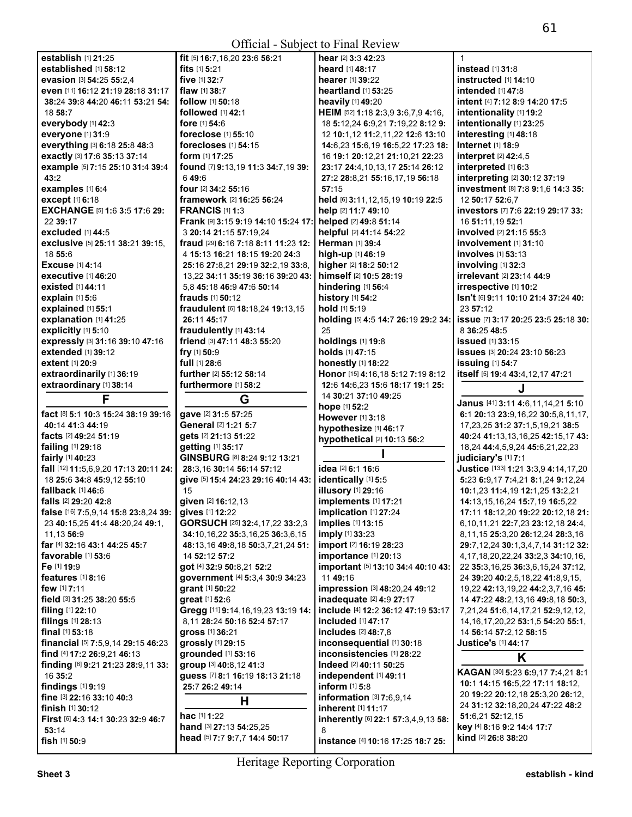| Official - Subject to Final Review                           |                                                     |                                                          |                                                                     |
|--------------------------------------------------------------|-----------------------------------------------------|----------------------------------------------------------|---------------------------------------------------------------------|
| establish [1] 21:25                                          | fit [5] 16:7,16,20 23:6 56:21                       | hear [2] 3:3 42:23                                       | $\mathbf{1}$                                                        |
| established [1] 58:12                                        | fits $[1]$ 5:21                                     | heard [1] 48:17                                          | instead $[1]$ 31:8                                                  |
| evasion [3] 54:25 55:2.4                                     | five [1] 32:7                                       | hearer [1] 39:22                                         | instructed [1] 14:10                                                |
| even [11] 16:12 21:19 28:18 31:17                            | flaw $[1]$ 38:7                                     | <b>heartland</b> [1] <b>53:25</b>                        | intended [1] 47:8                                                   |
| 38:24 39:8 44:20 46:11 53:21 54:                             | follow [1] 50:18                                    | heavily [1] 49:20                                        | intent [4] 7:12 8:9 14:20 17:5                                      |
| 18 58:7                                                      | followed [1] 42:1                                   | HEIM [52] 1:18 2:3,9 3:6,7,9 4:16,                       | intentionality [1] 19:2                                             |
| everybody [1] 42:3                                           | fore $[1] 54:6$                                     | 18 5:12,24 6:9,21 7:19,22 8:12 9:                        | intentionally [1] 23:25                                             |
| everyone [1] 31:9                                            | foreclose [1] 55:10                                 | 12 10:1,12 11:2,11,22 12:6 13:10                         | interesting [1] 48:18                                               |
| everything [3] 6:18 25:8 48:3                                | forecloses [1] 54:15                                | 14:6,23 15:6,19 16:5,22 17:23 18:                        | Internet [1] 18:9                                                   |
| exactly [3] 17:6 35:13 37:14                                 | <b>form</b> $[1]$ <b>17:25</b>                      | 16 19:1 20:12,21 21:10,21 22:23                          | interpret [2] 42:4,5                                                |
| example [5] 7:15 25:10 31:4 39:4                             | found [7] 9:13,19 11:3 34:7,19 39:                  | 23:17 24:4,10,13,17 25:14 26:12                          | interpreted [1] 6:3                                                 |
| 43:2                                                         | 649:6                                               | 27:2 28:8,21 55:16,17,19 56:18                           | interpreting [2] 30:12 37:19                                        |
| examples [1] 6:4                                             | four [2] 34:2 55:16                                 | 57:15                                                    | investment [8] 7:8 9:1,6 14:3 35:                                   |
| except [1] 6:18                                              | framework [2] 16:25 56:24<br><b>FRANCIS [1] 1:3</b> | held [6] 3:11,12,15,19 10:19 22:5<br>help [2] 11:7 49:10 | 12 50:17 52:6.7                                                     |
| EXCHANGE [5] 1:6 3:5 17:6 29:<br>22 39:17                    | Frank [9] 3:15 9:19 14:10 15:24 17:                 | helped [2] 49:8 51:14                                    | investors [7] 7:6 22:19 29:17 33:                                   |
| excluded [1] 44:5                                            | 3 20:14 21:15 57:19,24                              | helpful [2] 41:14 54:22                                  | 16 51:11,19 52:1<br>involved [2] 21:15 55:3                         |
| exclusive [5] 25:11 38:21 39:15,                             | <b>fraud</b> [29] <b>6:16 7:18 8:11 11:23 12:</b>   | <b>Herman</b> [1] 39:4                                   | involvement [1] 31:10                                               |
| 18 55:6                                                      | 4 15:13 16:21 18:15 19:20 24:3                      | high-up [1] 46:19                                        | <b>involves</b> [1] <b>53:13</b>                                    |
| <b>Excuse</b> [1] 4:14                                       | 25:16 27:8,21 29:19 32:2,19 33:8,                   | higher [2] 18:2 50:12                                    | involving $[1]$ 32:3                                                |
| executive [1] 46:20                                          | 13,22 34:11 35:19 36:16 39:20 43:                   | himself [2] 10:5 28:19                                   | irrelevant [2] 23:14 44:9                                           |
| existed [1] 44:11                                            | 5.8 45:18 46:9 47:6 50:14                           | hindering [1] 56:4                                       | irrespective [1] 10:2                                               |
| explain [1] 5:6                                              | <b>frauds</b> [1] <b>50:12</b>                      | history [1] 54:2                                         | Isn't [6] 9:11 10:10 21:4 37:24 40:                                 |
| explained [1] 55:1                                           | fraudulent [6] 18:18,24 19:13,15                    | hold [1] 5:19                                            | 23 57:12                                                            |
| explanation [1] 41:25                                        | 26:11 45:17                                         | holding [5] 4:5 14:7 26:19 29:2 34:                      | <b>issue</b> [7] 3:17 20:25 23:5 25:18 30:                          |
| explicitly [1] 5:10                                          | fraudulently [1] 43:14                              | 25                                                       | 8 36:25 48:5                                                        |
| expressly [3] 31:16 39:10 47:16                              | friend [3] 47:11 48:3 55:20                         | holdings [1] 19:8                                        | <b>issued</b> [1] 33:15                                             |
| extended [1] 39:12                                           | fry [1] 50:9                                        | holds [1] 47:15                                          | issues [3] 20:24 23:10 56:23                                        |
| extent [1] 20:9                                              | full [1] 28:6                                       | honestly [1] 18:22                                       | issuing [1] 54:7                                                    |
| extraordinarily [1] 36:19                                    | further [2] 55:12 58:14                             | Honor [15] 4:16,18 5:12 7:19 8:12                        | itself [5] 19:4 43:4,12,17 47:21                                    |
| extraordinary [1] 38:14                                      | furthermore [1] 58:2                                | 12:6 14:6,23 15:6 18:17 19:1 25:                         | J                                                                   |
| F                                                            |                                                     | 14 30:21 37:10 49:25                                     |                                                                     |
|                                                              |                                                     |                                                          |                                                                     |
|                                                              | G                                                   | hope [1] 52:2                                            | Janus [41] 3:11 4:6,11,14,21 5:10                                   |
| fact [8] 5:1 10:3 15:24 38:19 39:16                          | gave [2] 31:5 57:25                                 | However [1] 3:18                                         | 6:1 20:13 23:9,16,22 30:5,8,11,17,                                  |
| 40:14 41:3 44:19                                             | General [2] 1:21 5:7                                | hypothesize [1] 46:17                                    | 17, 23, 25 31: 2 37: 1, 5, 19, 21 38: 5                             |
| facts [2] 49:24 51:19                                        | gets [2] 21:13 51:22                                | hypothetical [2] 10:13 56:2                              | 40:24 41:13,13,16,25 42:15,17 43:                                   |
| failing [1] 29:18                                            | getting [1] 35:17                                   |                                                          | 18,24 44:4,5,9,24 45:6,21,22,23                                     |
| fairly [1] 40:23                                             | GINSBURG [8] 8:24 9:12 13:21                        | idea [2] 6:1 16:6                                        | judiciary's [1] 7:1                                                 |
| fall [12] 11:5,6,9,20 17:13 20:11 24:                        | 28:3,16 30:14 56:14 57:12                           |                                                          | Justice [133] 1:21 3:3,9 4:14,17,20                                 |
| 18 25:6 34:8 45:9,12 55:10<br>fallback [1] 46:6              | give [5] 15:4 24:23 29:16 40:14 43:<br>15           | identically [1] 5:5                                      | 5:23 6:9,17 7:4,21 8:1,24 9:12,24                                   |
|                                                              |                                                     | <b>illusory</b> [1] 29:16                                | 10:1,23 11:4,19 12:1,25 13:2,21                                     |
| falls [2] 29:20 42:8<br>false [16] 7:5,9,14 15:8 23:8,24 39: | given [2] 16:12,13<br>gives [1] 12:22               | implements [1] 17:21<br>implication [1] 27:24            | 14:13,15,16,24 15:7,19 16:5,22<br>17:11 18:12,20 19:22 20:12,18 21: |
| 23 40:15,25 41:4 48:20,24 49:1,                              | GORSUCH [25] 32:4,17,22 33:2,3                      | implies [1] 13:15                                        | 6,10,11,21 22:7,23 23:12,18 24:4,                                   |
| 11,13 56:9                                                   | 34:10,16,22 35:3,16,25 36:3,6,15                    | imply [1] 33:23                                          | 8,11,15 25:3,20 26:12,24 28:3,16                                    |
| far [4] 32:16 43:1 44:25 45:7                                | 48:13,16 49:8,18 50:3,7,21,24 51:                   | import [2] 16:19 28:23                                   | 29:7,12,24 30:1,3,4,7,14 31:12 32:                                  |
| favorable [1] 53:6                                           | 14 52:12 57:2                                       | importance [1] 20:13                                     | 4, 17, 18, 20, 22, 24 33: 2, 3 34: 10, 16,                          |
| Fe [1] 19:9                                                  | got [4] 32:9 50:8,21 52:2                           | important [5] 13:10 34:4 40:10 43:                       | 22 35:3,16,25 36:3,6,15,24 37:12,                                   |
| features $[1]$ 8:16                                          | government [4] 5:3,4 30:9 34:23                     | 11 49:16                                                 | 24 39:20 40:2,5,18,22 41:8,9,15,                                    |
| few [1] 7:11                                                 | grant [1] 50:22                                     | impression [3] 48:20,24 49:12                            | 19,22 42:13,19,22 44:2,3,7,16 45:                                   |
| field [3] 31:25 38:20 55:5                                   | great [1] 52:6                                      | inadequate [2] 4:9 27:17                                 | 14 47:22 48:2,13,16 49:8,18 50:3,                                   |
| <b>filing</b> $[1]$ 22:10                                    | Gregg [11] 9:14, 16, 19, 23 13:19 14:               | include [4] 12:2 36:12 47:19 53:17                       | 7,21,24 51:6,14,17,21 52:9,12,12,                                   |
| filings [1] 28:13                                            | 8,11 28:24 50:16 52:4 57:17                         | <b>included</b> [1] 47:17                                | 14, 16, 17, 20, 22 53: 1, 5 54: 20 55: 1,                           |
| final [1] 53:18                                              | gross [1] 36:21                                     | includes [2] 48:7,8                                      | 14 56:14 57:2,12 58:15                                              |
| financial [5] 7:5,9,14 29:15 46:23                           | grossly [1] 29:15                                   | inconsequential [1] 30:18                                | <b>Justice's [1] 44:17</b>                                          |
| find [4] 17:2 26:9,21 46:13                                  | grounded [1] 53:16                                  | inconsistencies [1] 28:22                                | Κ                                                                   |
| finding [6] 9:21 21:23 28:9,11 33:                           | group [3] 40:8,12 41:3                              | Indeed [2] 40:11 50:25                                   |                                                                     |
| 16 35:2                                                      | guess [7] 8:1 16:19 18:13 21:18                     | independent [1] 49:11                                    | KAGAN [30] 5:23 6:9,17 7:4,21 8:1                                   |
| findings $[1]$ 9:19                                          | 25:7 26:2 49:14                                     | inform [1] 5:8                                           | 10:1 14:15 16:5,22 17:11 18:12,<br>20 19:22 20:12,18 25:3,20 26:12, |
| fine [3] 22:16 33:10 40:3                                    | Н                                                   | information $[3]$ 7:6,9,14                               | 24 31:12 32:18,20,24 47:22 48:2                                     |
| finish [1] 30:12                                             | hac [1] 1:22                                        | inherent [1] 11:17                                       | 51:6,21 52:12,15                                                    |
| First [6] 4:3 14:1 30:23 32:9 46:7<br>53:14                  | hand [3] 27:13 54:25,25                             | inherently [6] 22:1 57:3,4,9,13 58:<br>8                 | key [4] 8:16 9:2 14:4 17:7                                          |
| fish [1] 50:9                                                | head [5] 7:7 9:7,7 14:4 50:17                       | instance [4] 10:16 17:25 18:7 25:                        | kind [2] 26:8 38:20                                                 |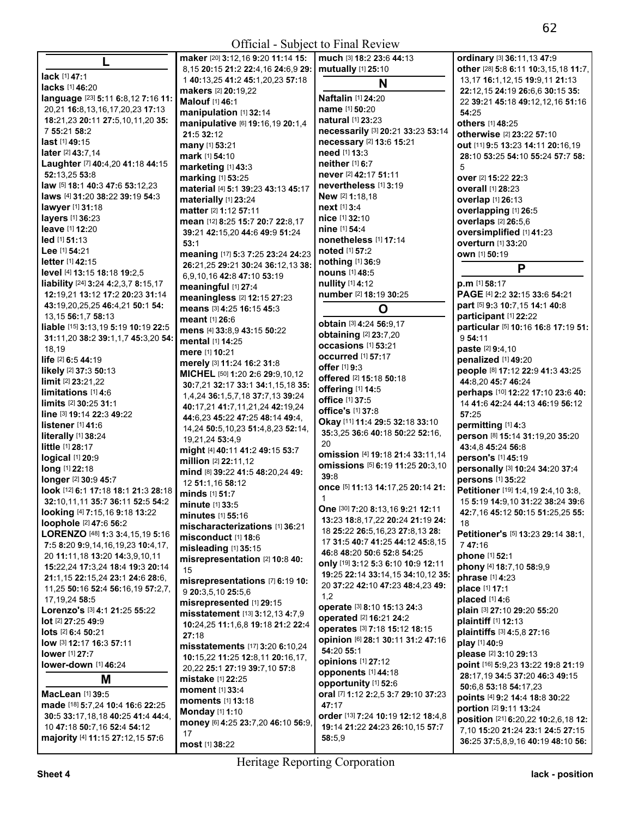**All Contracts** 

|                                                   | maker [20] 3:12,16 9:20 11:14 15:                                     | much [3] 18:2 23:6 44:13                                            | ordinary [3] 36:11,13 47:9                              |
|---------------------------------------------------|-----------------------------------------------------------------------|---------------------------------------------------------------------|---------------------------------------------------------|
|                                                   | 8,15 20:15 21:2 22:4,16 24:6,9 29:                                    | mutually [1] 25:10                                                  | other [28] 5:8 6:11 10:3,15,18 11:7,                    |
| lack [1] 47:1                                     | 1 40:13,25 41:2 45:1,20,23 57:18                                      | N                                                                   | 13, 17 16: 1, 12, 15 19: 9, 11 21: 13                   |
| lacks [1] 46:20                                   | makers [2] 20:19,22                                                   |                                                                     | 22:12,15 24:19 26:6,6 30:15 35:                         |
| language [23] 5:11 6:8,12 7:16 11:                | Malouf [1] 46:1                                                       | Naftalin [1] 24:20                                                  | 22 39:21 45:18 49:12,12,16 51:16                        |
| 20,21 16:8,13,16,17,20,23 17:13                   | manipulation [1] 32:14                                                | name [1] 50:20                                                      | 54:25                                                   |
| 18:21,23 20:11 27:5,10,11,20 35:                  | manipulative [6] 19:16,19 20:1,4                                      | natural [1] 23:23                                                   | others [1] 48:25                                        |
| 7 55:21 58:2                                      | 21:5 32:12                                                            | necessarily [3] 20:21 33:23 53:14                                   | otherwise [2] 23:22 57:10                               |
| $last$ [1] 49:15                                  | <b>many</b> [1] <b>53:21</b>                                          | necessary [2] 13:6 15:21                                            | out [11] 9:5 13:23 14:11 20:16,19                       |
| <b>later</b> [2] 43:7,14                          | mark [1] 54:10                                                        | need [1] 13:3                                                       | 28:10 53:25 54:10 55:24 57:7 58:                        |
| Laughter [7] 40:4,20 41:18 44:15                  | marketing [1] 43:3                                                    | neither [1] 6:7                                                     | 5                                                       |
| 52:13.25 53:8                                     | marking [1] 53:25                                                     | never [2] 42:17 51:11                                               | over [2] 15:22 22:3                                     |
| law [5] 18:1 40:3 47:6 53:12,23                   | material [4] 5:1 39:23 43:13 45:17                                    | nevertheless [1] 3:19                                               | <b>overall</b> [1] <b>28:23</b>                         |
| laws [4] 31:20 38:22 39:19 54:3                   | materially [1] 23:24                                                  | New [2] 1:18,18<br>next [1] 3:4                                     | overlap [1] 26:13                                       |
| lawyer [1] 31:18                                  | matter [2] 1:12 57:11                                                 | nice [1] 32:10                                                      | overlapping [1] 26:5                                    |
| layers [1] 36:23<br><b>leave</b> [1] <b>12:20</b> | mean [12] 8:25 15:7 20:7 22:8,17                                      | nine [1] 54:4                                                       | overlaps [2] 26:5,6                                     |
| $led$ [1] 51:13                                   | 39:21 42:15,20 44:6 49:9 51:24                                        | nonetheless [1] 17:14                                               | oversimplified [1] 41:23                                |
| Lee $[1]$ 54:21                                   | 53:1                                                                  | <b>noted</b> [1] 57:2                                               | overturn [1] 33:20                                      |
| <b>letter</b> $[1]$ 42:15                         | meaning [17] 5:3 7:25 23:24 24:23                                     | nothing [1] 36:9                                                    | own [1] 50:19                                           |
| level [4] 13:15 18:18 19:2,5                      | 26:21,25 29:21 30:24 36:12,13 38:                                     | nouns [1] 48:5                                                      | P                                                       |
| liability [24] 3:24 4:2,3,7 8:15,17               | 6,9,10,16 42:8 47:10 53:19                                            | nullity [1] 4:12                                                    | $p.m$ [1] 58:17                                         |
| 12:19,21 13:12 17:2 20:23 31:14                   | meaningful [1] 27:4                                                   | number [2] 18:19 30:25                                              | PAGE [4] 2:2 32:15 33:6 54:21                           |
| 43:19,20,25,25 46:4,21 50:1 54:                   | meaningless [2] 12:15 27:23                                           |                                                                     | part [5] 9:3 10:7,15 14:1 40:8                          |
| 13, 15 56: 1, 7 58: 13                            | means [3] 4:25 16:15 45:3                                             | O                                                                   | participant [1] 22:22                                   |
| liable [15] 3:13,19 5:19 10:19 22:5               | <b>meant</b> [1] 26:6                                                 | obtain [3] 4:24 56:9,17                                             | particular [5] 10:16 16:8 17:19 51:                     |
| 31:11,20 38:2 39:1,1,7 45:3,20 54:                | mens [4] 33:8,9 43:15 50:22                                           | obtaining [2] 23:7,20                                               | 954:11                                                  |
| 18,19                                             | mental [1] 14:25                                                      | occasions [1] 53:21                                                 | <b>paste</b> [2] 9:4,10                                 |
| life [2] 6:5 44:19                                | mere [1] 10:21                                                        | occurred [1] 57:17                                                  | penalized [1] 49:20                                     |
| likely [2] 37:3 50:13                             | merely [3] 11:24 16:2 31:8                                            | <b>offer</b> [1] 9:3                                                | people [8] 17:12 22:9 41:3 43:25                        |
| limit [2] 23:21,22                                | MICHEL [50] 1:20 2:6 29:9,10,12                                       | offered [2] 15:18 50:18                                             | 44:8,20 45:7 46:24                                      |
| limitations [1] 4:6                               | 30:7,21 32:17 33:1 34:1,15,18 35:<br>1,4,24 36:1,5,7,18 37:7,13 39:24 | offering [1] 14:5                                                   | perhaps [10] 12:22 17:10 23:6 40:                       |
| $\lim$ its [2] 30:25 31:1                         | 40:17,21 41:7,11,21,24 42:19,24                                       | office [1] 37:5                                                     | 14 41:6 42:24 44:13 46:19 56:12                         |
| line [3] 19:14 22:3 49:22                         | 44:6,23 45:22 47:25 48:14 49:4,                                       | <b>office's</b> [1] 37:8                                            | 57:25                                                   |
| listener $[1]$ 41:6                               | 14,24 50:5,10,23 51:4,8,23 52:14,                                     | Okay [11] 11:4 29:5 32:18 33:10                                     | permitting [1] 4:3                                      |
| literally [1] 38:24                               | 19,21,24 53:4,9                                                       | 35:3,25 36:6 40:18 50:22 52:16,                                     | person [8] 15:14 31:19,20 35:20                         |
| <b>little</b> $[1]$ 28:17                         | might [4] 40:11 41:2 49:15 53:7                                       | 20                                                                  | 43:4,8 45:24 56:8                                       |
| logical [1] 20:9                                  | million [2] 22:11,12                                                  | omission [4] 19:18 21:4 33:11,14                                    | person's [1] 45:19                                      |
| long [1] 22:18                                    | mind [8] 39:22 41:5 48:20,24 49:                                      | <b>omissions</b> [5] 6:19 11:25 20:3,10                             | personally [3] 10:24 34:20 37:4                         |
| longer [2] 30:9 45:7                              | 12 51:1,16 58:12                                                      | 39:8                                                                | persons [1] 35:22                                       |
| look [12] 6:1 17:18 18:1 21:3 28:18               | minds [1] 51:7                                                        | once [5] 11:13 14:17,25 20:14 21:                                   | Petitioner [19] 1:4,19 2:4,10 3:8,                      |
| 32:10,11,11 35:7 36:11 52:5 54:2                  | minute [1] 33:5                                                       | $\mathbf{1}$                                                        | 15 5:19 14:9,10 31:22 38:24 39:6                        |
| looking [4] 7:15,16 9:18 13:22                    | minutes [1] 55:16                                                     | One [30] 7:20 8:13,16 9:21 12:11                                    | 42:7,16 45:12 50:15 51:25,25 55:                        |
| loophole [2] 47:6 56:2                            | mischaracterizations [1] 36:21                                        | 13:23 18:8,17,22 20:24 21:19 24:                                    | 18                                                      |
| LORENZO [48] 1:3 3:4,15,19 5:16                   | misconduct [1] 18:6                                                   | 18 25:22 26:5,16,23 27:8,13 28:<br>17 31:5 40:7 41:25 44:12 45:8.15 | <b>Petitioner's [5] 13:23 29:14 38:1,</b>               |
| 7:5 8:20 9:9,14,16,19,23 10:4,17,                 | misleading [1] 35:15                                                  | 46:8 48:20 50:6 52:8 54:25                                          | 747:16                                                  |
| 20 11:11,18 13:20 14:3,9,10,11                    | misrepresentation [2] 10:8 40:                                        | only [19] 3:12 5:3 6:10 10:9 12:11                                  | phone [1] 52:1                                          |
| 15:22,24 17:3,24 18:4 19:3 20:14                  | 15                                                                    | 19:25 22:14 33:14,15 34:10,12 35:                                   | phony [4] 18:7,10 58:9,9                                |
| 21:1,15 22:15,24 23:1 24:6 28:6,                  | misrepresentations [7] 6:19 10:                                       | 20 37:22 42:10 47:23 48:4,23 49:                                    | phrase [1] 4:23                                         |
| 11,25 50:16 52:4 56:16,19 57:2,7,                 | 9 20:3,5,10 25:5,6                                                    | 1,2                                                                 | place [1] 17:1                                          |
| 17, 19, 24 58: 5                                  | misrepresented [1] 29:15                                              | operate [3] 8:10 15:13 24:3                                         | placed $[1]$ 4:6                                        |
| Lorenzo's [3] 4:1 21:25 55:22                     | misstatement [13] 3:12,13 4:7,9                                       | operated [2] 16:21 24:2                                             | plain [3] 27:10 29:20 55:20                             |
| lot [2] 27:25 49:9                                | 10:24,25 11:1,6,8 19:18 21:2 22:4                                     | operates [3] 7:18 15:12 18:15                                       | plaintiff [1] 12:13                                     |
| lots [2] 6:4 50:21                                | 27:18                                                                 | opinion [6] 28:1 30:11 31:2 47:16                                   | plaintiffs [3] 4:5,8 27:16                              |
| low [3] 12:17 16:3 57:11                          | misstatements [17] 3:20 6:10,24                                       | 54:20 55:1                                                          | play [1] 40:9                                           |
| <b>lower</b> [1] 27:7                             | 10:15,22 11:25 12:8,11 20:16,17,                                      | <b>opinions</b> [1] 27:12                                           | please [2] 3:10 29:13                                   |
| lower-down [1] 46:24                              | 20,22 25:1 27:19 39:7,10 57:8                                         | opponents [1] 44:18                                                 | point [16] 5:9,23 13:22 19:8 21:19                      |
| M                                                 | <b>mistake</b> [1] 22:25                                              | opportunity [1] 52:6                                                | 28:17,19 34:5 37:20 46:3 49:15                          |
| MacLean [1] 39:5                                  | moment [1] 33:4                                                       | oral [7] 1:12 2:2,5 3:7 29:10 37:23                                 | 50:6,8 53:18 54:17,23<br>points [4] 9:2 14:4 18:8 30:22 |
| made [18] 5:7,24 10:4 16:6 22:25                  | <b>moments</b> [1] 13:18                                              | 47:17                                                               | portion [2] 9:11 13:24                                  |
| 30:5 33:17,18,18 40:25 41:4 44:4,                 | <b>Monday</b> $[1]$ 1:10                                              | order [13] 7:24 10:19 12:12 18:4,8                                  | position [21] 6:20,22 10:2,6,18 12:                     |
| 10 47:18 50:7,16 52:4 54:12                       | money [6] 4:25 23:7,20 46:10 56:9,                                    | 19:14 21:22 24:23 26:10,15 57:7                                     | 7,10 15:20 21:24 23:1 24:5 27:15                        |
| majority [4] 11:15 27:12,15 57:6                  | 17                                                                    | 58:5,9                                                              | 36:25 37:5,8,9,16 40:19 48:10 56:                       |
|                                                   | <b>most</b> [1] 38:22                                                 |                                                                     |                                                         |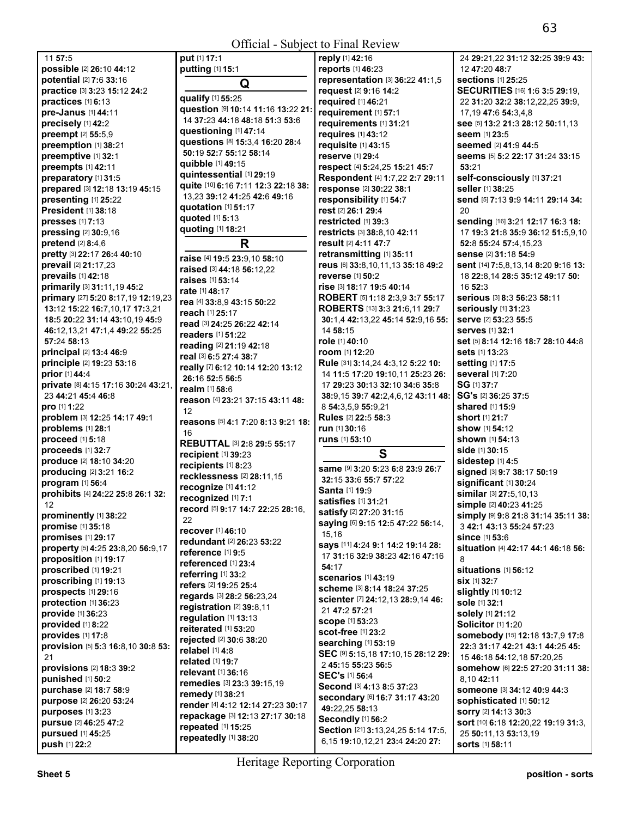**put** [1] **17:**1

| possible [2] 26:10 44:12                           | pι       |
|----------------------------------------------------|----------|
| potential [2] 7:6 33:16                            |          |
| practice [3] 3:23 15:12 24:2                       | qι       |
| practices [1] 6:13                                 | qι       |
| pre-Janus [1] 44:11                                | 1،       |
| precisely [1] 42:2                                 | qι       |
| preempt [2] 55:5,9                                 | qι       |
| preemption [1] 38:21                               | 51       |
| preemptive [1] 32:1                                | qι       |
| preempts [1] 42:11                                 | qı       |
| preparatory [1] 31:5                               | qι       |
| prepared [3] 12:18 13:19 45:15                     | 1:       |
| presenting [1] 25:22<br><b>President [1] 38:18</b> | qι       |
| presses [1] 7:13                                   | qι       |
| pressing [2] 30:9,16                               | qι       |
| pretend [2] 8:4,6                                  |          |
| pretty [3] 22:17 26:4 40:10                        |          |
| prevail [2] 21:17,23                               | ra       |
| prevails [1] 42:18                                 | ra       |
| primarily [3] 31:11,19 45:2                        | ra       |
| primary [27] 5:20 8:17,19 12:19,23                 | ra       |
| 13:12 15:22 16:7,10,17 17:3,21                     | re       |
| 18:5 20:22 31:14 43:10,19 45:9                     | re       |
| 46:12,13,21 47:1,4 49:22 55:25                     | re       |
| 57:24 58:13                                        | re       |
| principal [2] 13:4 46:9                            | re       |
| principle [2] 19:23 53:16                          | re       |
| prior [1] 44:4                                     | re       |
| private [8] 4:15 17:16 30:24 43:21,                | 2١       |
| 23 44:21 45:4 46:8                                 | re       |
| pro [1] 1:22                                       | re       |
| problem [3] 12:25 14:17 49:1                       | 1:       |
| problems [1] 28:1                                  | re       |
| proceed [1] 5:18                                   | 1        |
| proceeds [1] 32:7                                  | RI       |
| produce [2] 18:10 34:20                            | re       |
| producing [2] 3:21 16:2                            | re<br>re |
| program [1] 56:4                                   | re       |
|                                                    |          |
| prohibits [4] 24:22 25:8 26:1 32:                  |          |
| 12                                                 | re       |
| prominently [1] 38:22                              | re       |
| promise [1] 35:18                                  | 2:       |
| promises [1] 29:17                                 | re       |
| property [5] 4:25 23:8,20 56:9,17                  | re       |
| proposition [1] 19:17                              | re       |
| proscribed [1] 19:21                               | re       |
| proscribing [1] 19:13                              | re       |
| prospects [1] 29:16                                | re       |
| protection [1] 36:23                               | re<br>re |
| provide [1] 36:23                                  | re       |
| provided [1] 8:22                                  | re       |
| provides [1] 17:8                                  | re       |
| provision [5] 5:3 16:8,10 30:8 53:                 | re       |
| 21                                                 | re       |
| provisions [2] 18:3 39:2                           | re       |
| punished [1] 50:2                                  | re       |
| purchase [2] 18:7 58:9                             | re       |
| purpose [2] 26:20 53:24                            | re       |
| purposes [1] 3:23                                  | re       |
| pursue [2] 46:25 47:2                              | re       |
| pursued [1] 45:25<br>push [1] 22:2                 | re       |

11 **57:**5

**putting** [1] **15:**1 **Q qualify** [1] **55:**25 **question** [9] **10:**14 **11:**16 **13:**22 **21:**  14 **37:**23 **44:**18 **48:**18 **51:**3 **53:**6 **questioning** [1] **47:**14 **questions** [8] **15:**3,4 **16:**20 **28:**4 **50:**19 **52:**7 **55:**12 **58:**14 **quibble** [1] **49:**15 **quintessential** [1] **29:**19 **quite** [10] **6:**16 **7:**11 **12:**3 **22:**18 **38:**  13,23 **39:**12 **41:**25 **42:**6 **49:**16 **quotation** [1] **51:**17 **quoted** [1] **5:**13 **quoting** [1] **18:**21 **R raise** [4] **19:**5 **23:**9,10 **58:**10 **raised** [3] **44:**18 **56:**12,22 **raises** [1] **53:**14 **rate** [1] **48:**17 **rea** [4] **33:**8,9 **43:**15 **50:**22 **reach** [1] **25:**17 **read** [3] **24:**25 **26:**22 **42:**14 **readers** [1] **51:**22 **reading** [2] **21:**19 **42:**18 **real** [3] **6:**5 **27:**4 **38:**7 **really** [7] **6:**12 **10:**14 **12:**20 **13:**12 **26:**16 **52:**5 **56:**5 **realm** [1] **58:**6 **reason** [4] **23:**21 **37:**15 **43:**11 **48:**  2 **reasons** [5] **4:**1 **7:**20 **8:**13 **9:**21 **18:**  16 **REBUTTAL** [3] **2:**8 **29:**5 **55:**17 **recipient** [1] **39:**23 **recipients** [1] **8:**23 **recklessness** [2] **28:**11,15 **recognize** [1] **41:**12 **recognized** [1] **7:**1 **record** [5] **9:**17 **14:**7 **22:**25 **28:**16, 22 **recover** [1] **46:**10 **redundant** [2] **26:**23 **53:**22 **reference** [1] **9:**5 **referenced** [1] **23:**4 **referring** [1] **33:**2 **refers** [2] **19:**25 **25:**4 **regards** [3] **28:**2 **56:**23,24 **registration** [2] **39:**8,11 **regulation** [1] **13:**13 **reiterated** [1] **53:**20 **rejected** [2] **30:**6 **38:**20 **relabel** [1] **4:**8 **related** [1] **19:**7 **relevant** [1] **36:**16 **remedies** [3] **23:**3 **39:**15,19 **remedy** [1] **38:**21 **render** [4] **4:**12 **12:**14 **27:**23 **30:**17 **repackage** [3] **12:**13 **27:**17 **30:**18 **repeated** [1] **15:**25 **repeatedly** [1] **38:**20

**reply** [1] **42:**16 **reports** [1] **46:**23 **representation** [3] **36:**22 **41:**1,5 **request** [2] **9:**16 **14:**2 **required** [1] **46:**21 **requirement** [1] **57:**1 **requirements** [1] **31:**21 **requires** [1] **43:**12 **requisite** [1] **43:**15 **reserve** [1] **29:**4 **respect** [4] **5:**24,25 **15:**21 **45:**7 **Respondent** [4] **1:**7,22 **2:**7 **29:**11 **response** [2] **30:**22 **38:**1 **responsibility** [1] **54:**7 **rest** [2] **26:**1 **29:**4 **restricted** [1] **39:**3 **restricts** [3] **38:**8,10 **42:**11 **result** [2] **4:**11 **47:**7 **retransmitting** [1] **35:**11 **reus** [6] **33:**8,10,11,13 **35:**18 **49:**2 **reverse** [1] **50:**2 **rise** [3] **18:**17 **19:**5 **40:**14 **ROBERT** [5] **1:**18 **2:**3,9 **3:**7 **55:**17 **ROBERTS** [13] **3:**3 **21:**6,11 **29:**7 **30:**1,4 **42:**13,22 **45:**14 **52:**9,16 **55:**  14 **58:**15 **role** [1] **40:**10 **room** [1] **12:**20 **Rule** [31] **3:**14,24 **4:**3,12 **5:**22 **10:**  14 **11:**5 **17:**20 **19:**10,11 **25:**23 **26:**  17 **29:**23 **30:**13 **32:**10 **34:**6 **35:**8 **38:**9,15 **39:**7 **42:**2,4,6,12 **43:**11 **48:**  8 **54:**3,5,9 **55:**9,21 **Rules** [2] **22:**5 **58:**3 **run** [1] **30:**16 **runs** [1] **53:**10 **S same** [9] **3:**20 **5:**23 **6:**8 **23:**9 **26:**7 **32:**15 **33:**6 **55:**7 **57:**22 **Santa** [1] **19:**9 **satisfies** [1] **31:**21 **satisfy** [2] **27:**20 **31:**15 **saying** [6] **9:**15 **12:**5 **47:**22 **56:**14, 15,16 **says** [11] **4:**24 **9:**1 **14:**2 **19:**14 **28:**  17 **31:**16 **32:**9 **38:**23 **42:**16 **47:**16 **54:**17 **scenarios** [1] **43:**19 **scheme** [3] **8:**14 **18:**24 **37:**25 **scienter** [7] **24:**12,13 **28:**9,14 **46:**  21 **47:**2 **57:**21 **scope** [1] **53:**23 **scot-free** [1] **23:**2 **searching** [1] **53:**19 **SEC** [9] **5:**15,18 **17:**10,15 **28:**12 **29:**  2 **45:**15 **55:**23 **56:**5 **SEC's** [1] **56:**4 **Second** [3] **4:**13 **8:**5 **37:**23 **secondary** [6] **16:**7 **31:**17 **43:**20 **49:**22,25 **58:**13 **Secondly** [1] **56:**2 **Section** [21] **3:**13,24,25 **5:**14 **17:**5, 6,15 **19:**10,12,21 **23:**4 **24:**20 **27:** 

**All Contracts** 

24 **29:**21,22 **31:**12 **32:**25 **39:**9 **43:**  12 **47:**20 **48:**7 **sections** [1] **25:**25 **SECURITIES** [16] **1:**6 **3:**5 **29:**19, 22 **31:**20 **32:**2 **38:**12,22,25 **39:**9, 17,19 **47:**6 **54:**3,4,8 **see** [5] **13:**2 **21:**3 **28:**12 **50:**11,13 **seem** [1] **23:**5 **seemed** [2] **41:**9 **44:**5 **seems** [5] **5:**2 **22:**17 **31:**24 **33:**15 **53:**21 **self-consciously** [1] **37:**21 **seller** [1] **38:**25 **send** [5] **7:**13 **9:**9 **14:**11 **29:**14 **34:**   $20$ **sending** [16] **3:**21 **12:**17 **16:**3 **18:**  17 **19:**3 **21:**8 **35:**9 **36:**12 **51:**5,9,10 **52:**8 **55:**24 **57:**4,15,23 **sense** [2] **31:**18 **54:**9 **sent** [14] **7:**5,8,13,14 **8:**20 **9:**16 **13:**  18 **22:**8,14 **28:**5 **35:**12 **49:**17 **50:**  16 **52:**3 **serious** [3] **8:**3 **56:**23 **58:**11 **seriously** [1] **31:**23 **serve** [2] **53:**23 **55:**5 **serves** [1] **32:**1 **set** [5] **8:**14 **12:**16 **18:**7 **28:**10 **44:**8 **sets** [1] **13:**23 **setting** [1] **17:**5 **several** [1] **7:**20 **SG** [1] **37:**7 **SG's** [2] **36:**25 **37:**5 **shared** [1] **15:**9 **short** [1] **21:**7 **show** [1] **54:**12 **shown** [1] **54:**13 **side** [1] **30:**15 **sidestep** [1] **4:**5 **signed** [3] **9:**7 **38:**17 **50:**19 **significant** [1] **30:**24 **similar** [3] **27:**5,10,13 **simple** [2] **40:**23 **41:**25 **simply** [9] **9:**8 **21:**8 **31:**14 **35:**11 **38:**  3 **42:**1 **43:**13 **55:**24 **57:**23 **since** [1] **53:**6 **situation** [4] **42:**17 **44:**1 **46:**18 **56:**  8 **situations** [1] **56:**12 **six** [1] **32:**7 **slightly** [1] **10:**12 **sole** [1] **32:**1 **solely** [1] **21:**12 **Solicitor** [1] **1:**20 **somebody** [15] **12:**18 **13:**7,9 **17:**8 **22:**3 **31:**17 **42:**21 **43:**1 **44:**25 **45:**  15 **46:**18 **54:**12,18 **57:**20,25 **somehow** [6] **22:**5 **27:**20 **31:**11 **38:**  8,10 **42:**11 **someone** [3] **34:**12 **40:**9 **44:**3 **sophisticated** [1] **50:**12 **sorry** [2] **14:**13 **30:**3 **sort** [10] **6:**18 **12:**20,22 **19:**19 **31:**3, 25 **50:**11,13 **53:**13,19 **sorts** [1] **58:**11